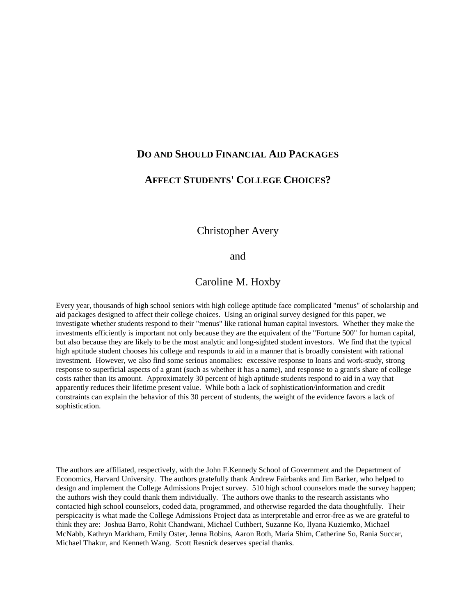# **DO AND SHOULD FINANCIAL AID PACKAGES**

# **AFFECT STUDENTS' COLLEGE CHOICES?**

**Christopher Avery** 

# and

# Caroline M. Hoxby

Every year, thousands of high school seniors with high college aptitude face complicated "menus" of scholarship and aid packages designed to affect their college choices. Using an original survey designed for this paper, we investigate whether students respond to their "menus" like rational human capital investors. Whether they make the investments efficiently is important not only because they are the equivalent of the "Fortune 500" for human capital, but also because they are likely to be the most analytic and long-sighted student investors. We find that the typical high aptitude student chooses his college and responds to aid in a manner that is broadly consistent with rational investment. However, we also find some serious anomalies: excessive response to loans and work-study, strong response to superficial aspects of a grant (such as whether it has a name), and response to a grant's share of college costs rather than its amount. Approximately 30 percent of high aptitude students respond to aid in a way that apparently reduces their lifetime present value. While both a lack of sophistication/information and credit constraints can explain the behavior of this 30 percent of students, the weight of the evidence favors a lack of sophistication.

The authors are affiliated, respectively, with the John F.Kennedy School of Government and the Department of Economics, Harvard University. The authors gratefully thank Andrew Fairbanks and Jim Barker, who helped to design and implement the College Admissions Project survey. 510 high school counselors made the survey happen; the authors wish they could thank them individually. The authors owe thanks to the research assistants who contacted high school counselors, coded data, programmed, and otherwise regarded the data thoughtfully. Their perspicacity is what made the College Admissions Project data as interpretable and error-free as we are grateful to think they are: Joshua Barro, Rohit Chandwani, Michael Cuthbert, Suzanne Ko, Ilyana Kuziemko, Michael McNabb, Kathryn Markham, Emily Oster, Jenna Robins, Aaron Roth, Maria Shim, Catherine So, Rania Succar, Michael Thakur, and Kenneth Wang. Scott Resnick deserves special thanks.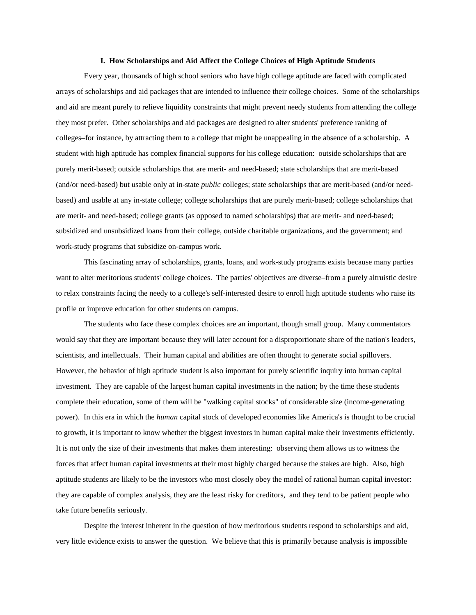#### **I. How Scholarships and Aid Affect the College Choices of High Aptitude Students**

Every year, thousands of high school seniors who have high college aptitude are faced with complicated arrays of scholarships and aid packages that are intended to influence their college choices. Some of the scholarships and aid are meant purely to relieve liquidity constraints that might prevent needy students from attending the college they most prefer. Other scholarships and aid packages are designed to alter students' preference ranking of colleges–for instance, by attracting them to a college that might be unappealing in the absence of a scholarship. A student with high aptitude has complex financial supports for his college education: outside scholarships that are purely merit-based; outside scholarships that are merit- and need-based; state scholarships that are merit-based (and/or need-based) but usable only at in-state *public* colleges; state scholarships that are merit-based (and/or needbased) and usable at any in-state college; college scholarships that are purely merit-based; college scholarships that are merit- and need-based; college grants (as opposed to named scholarships) that are merit- and need-based; subsidized and unsubsidized loans from their college, outside charitable organizations, and the government; and work-study programs that subsidize on-campus work.

This fascinating array of scholarships, grants, loans, and work-study programs exists because many parties want to alter meritorious students' college choices. The parties' objectives are diverse–from a purely altruistic desire to relax constraints facing the needy to a college's self-interested desire to enroll high aptitude students who raise its profile or improve education for other students on campus.

The students who face these complex choices are an important, though small group. Many commentators would say that they are important because they will later account for a disproportionate share of the nation's leaders, scientists, and intellectuals. Their human capital and abilities are often thought to generate social spillovers. However, the behavior of high aptitude student is also important for purely scientific inquiry into human capital investment. They are capable of the largest human capital investments in the nation; by the time these students complete their education, some of them will be "walking capital stocks" of considerable size (income-generating power). In this era in which the *human* capital stock of developed economies like America's is thought to be crucial to growth, it is important to know whether the biggest investors in human capital make their investments efficiently. It is not only the size of their investments that makes them interesting: observing them allows us to witness the forces that affect human capital investments at their most highly charged because the stakes are high. Also, high aptitude students are likely to be the investors who most closely obey the model of rational human capital investor: they are capable of complex analysis, they are the least risky for creditors, and they tend to be patient people who take future benefits seriously.

Despite the interest inherent in the question of how meritorious students respond to scholarships and aid, very little evidence exists to answer the question. We believe that this is primarily because analysis is impossible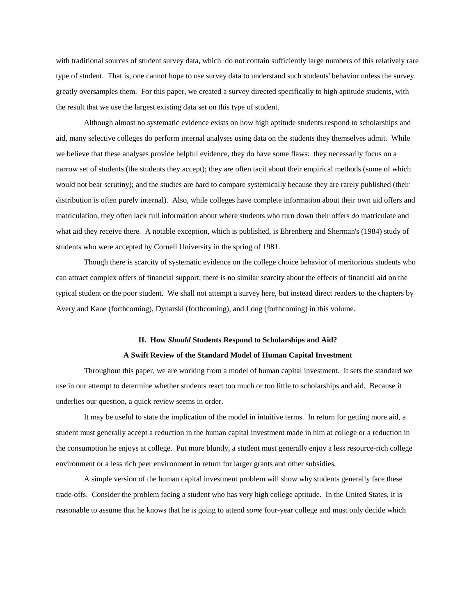with traditional sources of student survey data, which do not contain sufficiently large numbers of this relatively rare type of student. That is, one cannot hope to use survey data to understand such students' behavior unless the survey greatly oversamples them. For this paper, we created a survey directed specifically to high aptitude students, with the result that we use the largest existing data set on this type of student.

Although almost no systematic evidence exists on how high aptitude students respond to scholarships and aid, many selective colleges do perform internal analyses using data on the students they themselves admit. While we believe that these analyses provide helpful evidence, they do have some flaws: they necessarily focus on a narrow set of students (the students they accept); they are often tacit about their empirical methods (some of which would not bear scrutiny); and the studies are hard to compare systemically because they are rarely published (their distribution is often purely internal). Also, while colleges have complete information about their own aid offers and matriculation, they often lack full information about where students who turn down their offers do matriculate and what aid they receive there. A notable exception, which is published, is Ehrenberg and Sherman's (1984) study of students who were accepted by Cornell University in the spring of 1981.

Though there is scarcity of systematic evidence on the college choice behavior of meritorious students who can attract complex offers of financial support, there is no similar scarcity about the effects of financial aid on the typical student or the poor student. We shall not attempt a survey here, but instead direct readers to the chapters by Avery and Kane (forthcoming), Dynarski (forthcoming), and Long (forthcoming) in this volume.

# **II.** How *Should* Students Respond to Scholarships and Aid? A Swift Review of the Standard Model of Human Capital Investment

Throughout this paper, we are working from a model of human capital investment. It sets the standard we use in our attempt to determine whether students react too much or too little to scholarships and aid. Because it underlies our question, a quick review seems in order.

It may be useful to state the implication of the model in intuitive terms. In return for getting more aid, a student must generally accept a reduction in the human capital investment made in him at college or a reduction in the consumption he enjoys at college. Put more bluntly, a student must generally enjoy a less resource-rich college environment or a less rich peer environment in return for larger grants and other subsidies.

A simple version of the human capital investment problem will show why students generally face these trade-offs. Consider the problem facing a student who has very high college aptitude. In the United States, it is reasonable to assume that he knows that he is going to attend *some* four-year college and must only decide which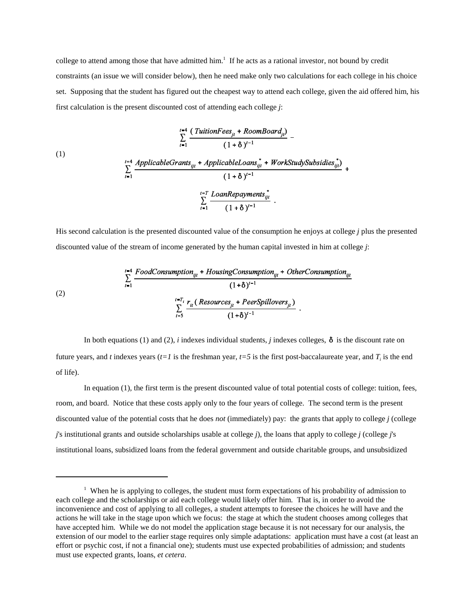college to attend among those that have admitted him.<sup>1</sup> If he acts as a rational investor, not bound by credit constraints (an issue we will consider below), then he need make only two calculations for each college in his choice set. Supposing that the student has figured out the cheapest way to attend each college, given the aid offered him, his first calculation is the present discounted cost of attending each college *j*:

(1)  
\n
$$
\sum_{t=1}^{t=4} \frac{(TutionFees_{jt} + RoomBoard_{jt})}{(1 + \delta)^{t-1}} -
$$
\n
$$
\sum_{t=1}^{t=4} \frac{AppliedblackGrants_{ijt} + ApplicableLoans_{ijt}^{*} + WorkStudySubsidies_{ijt}^{*})}{(1 + \delta)^{t-1}} + \sum_{t=1}^{t=T} \frac{LoanRepayments_{ijt}^{*}}{(1 + \delta)^{t-1}}.
$$

His second calculation is the presented discounted value of the consumption he enjoys at college *j* plus the presented discounted value of the stream of income generated by the human capital invested in him at college *j*:

(2)  
\n
$$
\sum_{t=1}^{t=4} \frac{FoodConsumption_{ijt} + Houston_{ijt} (1+\delta)^{t-1}}{(1+\delta)^{t-1}}
$$
\n
$$
\sum_{t=5}^{t=T_i} \frac{r_{it} (Resources_{jt} + PersonIlovers_{jt})}{(1+\delta)^{t-1}}.
$$

In both equations (1) and (2), *i* indexes individual students, *j* indexes colleges,  $\delta$  is the discount rate on future years, and *t* indexes years ( $t=1$  is the freshman year,  $t=5$  is the first post-baccalaureate year, and  $T<sub>i</sub>$  is the end of life).

In equation (1), the first term is the present discounted value of total potential costs of college: tuition, fees, room, and board. Notice that these costs apply only to the four years of college. The second term is the present discounted value of the potential costs that he does *not* (immediately) pay: the grants that apply to college  $j$  (college *j*'s institutional grants and outside scholarships usable at college *j*), the loans that apply to college *j* (college *j*'s institutional loans, subsidized loans from the federal government and outside charitable groups, and unsubsidized

<sup>&</sup>lt;sup>1</sup> When he is applying to colleges, the student must form expectations of his probability of admission to each college and the scholarships or aid each college would likely offer him. That is, in order to avoid the inconvenience and cost of applying to all colleges, a student attempts to foresee the choices he will have and the actions he will take in the stage upon which we focus: the stage at which the student chooses among colleges that have accepted him. While we do not model the application stage because it is not necessary for our analysis, the extension of our model to the earlier stage requires only simple adaptations: application must have a cost (at least an effort or psychic cost, if not a financial one); students must use expected probabilities of admission; and students must use expected grants, loans, et cetera.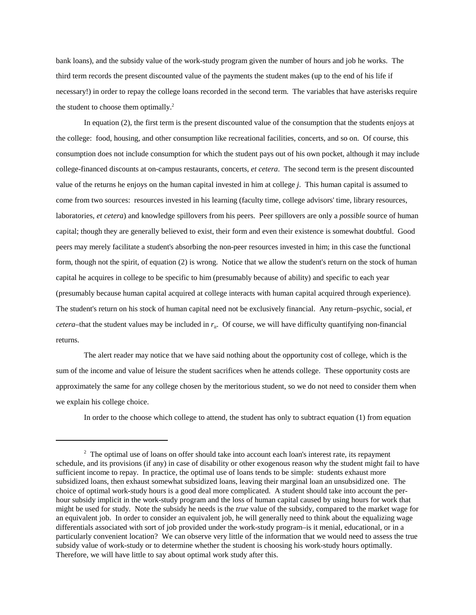bank loans), and the subsidy value of the work-study program given the number of hours and job he works. The third term records the present discounted value of the payments the student makes (up to the end of his life if necessary!) in order to repay the college loans recorded in the second term. The variables that have asterisks require the student to choose them optimally. $2$ 

In equation  $(2)$ , the first term is the present discounted value of the consumption that the students enjoys at the college: food, housing, and other consumption like recreational facilities, concerts, and so on. Of course, this consumption does not include consumption for which the student pays out of his own pocket, although it may include college-financed discounts at on-campus restaurants, concerts, et cetera. The second term is the present discounted value of the returns he enjoys on the human capital invested in him at college *j*. This human capital is assumed to come from two sources: resources invested in his learning (faculty time, college advisors' time, library resources, laboratories, et cetera) and knowledge spillovers from his peers. Peer spillovers are only a *possible* source of human capital; though they are generally believed to exist, their form and even their existence is somewhat doubtful. Good peers may merely facilitate a student's absorbing the non-peer resources invested in him; in this case the functional form, though not the spirit, of equation (2) is wrong. Notice that we allow the student's return on the stock of human capital he acquires in college to be specific to him (presumably because of ability) and specific to each year (presumably because human capital acquired at college interacts with human capital acquired through experience). The student's return on his stock of human capital need not be exclusively financial. Any return–psychic, social, et *cetera*–that the student values may be included in  $r_{ij}$ . Of course, we will have difficulty quantifying non-financial returns.

The alert reader may notice that we have said nothing about the opportunity cost of college, which is the sum of the income and value of leisure the student sacrifices when he attends college. These opportunity costs are approximately the same for any college chosen by the meritorious student, so we do not need to consider them when we explain his college choice.

In order to the choose which college to attend, the student has only to subtract equation (1) from equation

<sup>&</sup>lt;sup>2</sup> The optimal use of loans on offer should take into account each loan's interest rate, its repayment schedule, and its provisions (if any) in case of disability or other exogenous reason why the student might fail to have sufficient income to repay. In practice, the optimal use of loans tends to be simple: students exhaust more subsidized loans, then exhaust somewhat subsidized loans, leaving their marginal loan an unsubsidized one. The choice of optimal work-study hours is a good deal more complicated. A student should take into account the perhour subsidy implicit in the work-study program and the loss of human capital caused by using hours for work that might be used for study. Note the subsidy he needs is the *true* value of the subsidy, compared to the market wage for an equivalent job. In order to consider an equivalent job, he will generally need to think about the equalizing wage differentials associated with sort of job provided under the work-study program–is it menial, educational, or in a particularly convenient location? We can observe very little of the information that we would need to assess the true subsidy value of work-study or to determine whether the student is choosing his work-study hours optimally. Therefore, we will have little to say about optimal work study after this.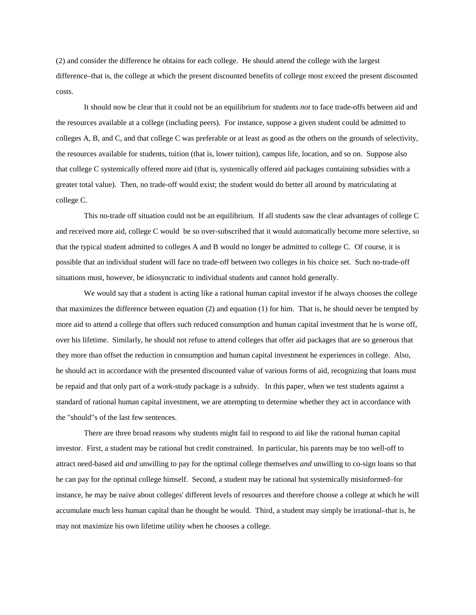(2) and consider the difference he obtains for each college. He should attend the college with the largest difference–that is, the college at which the present discounted benefits of college most exceed the present discounted costs.

It should now be clear that it could not be an equilibrium for students *not* to face trade-offs between aid and the resources available at a college (including peers). For instance, suppose a given student could be admitted to colleges A, B, and C, and that college C was preferable or at least as good as the others on the grounds of selectivity, the resources available for students, tuition (that is, lower tuition), campus life, location, and so on. Suppose also that college C systemically offered more aid (that is, systemically offered aid packages containing subsidies with a greater total value). Then, no trade-off would exist; the student would do better all around by matriculating at college C.

This no-trade off situation could not be an equilibrium. If all students saw the clear advantages of college C and received more aid, college C would be so over-subscribed that it would automatically become more selective, so that the typical student admitted to colleges A and B would no longer be admitted to college C. Of course, it is possible that an individual student will face no trade-off between two colleges in his choice set. Such no-trade-off situations must, however, be idiosyncratic to individual students and cannot hold generally.

We would say that a student is acting like a rational human capital investor if he always chooses the college that maximizes the difference between equation  $(2)$  and equation  $(1)$  for him. That is, he should never be tempted by more aid to attend a college that offers such reduced consumption and human capital investment that he is worse off, over his lifetime. Similarly, he should not refuse to attend colleges that offer aid packages that are so generous that they more than offset the reduction in consumption and human capital investment he experiences in college. Also, he should act in accordance with the presented discounted value of various forms of aid, recognizing that loans must be repaid and that only part of a work-study package is a subsidy. In this paper, when we test students against a standard of rational human capital investment, we are attempting to determine whether they act in accordance with the "should"s of the last few sentences.

There are three broad reasons why students might fail to respond to aid like the rational human capital investor. First, a student may be rational but credit constrained. In particular, his parents may be too well-off to attract need-based aid *and* unwilling to pay for the optimal college themselves *and* unwilling to co-sign loans so that he can pay for the optimal college himself. Second, a student may be rational but systemically misinformed–for instance, he may be naive about colleges' different levels of resources and therefore choose a college at which he will accumulate much less human capital than he thought he would. Third, a student may simply be irrational–that is, he may not maximize his own lifetime utility when he chooses a college.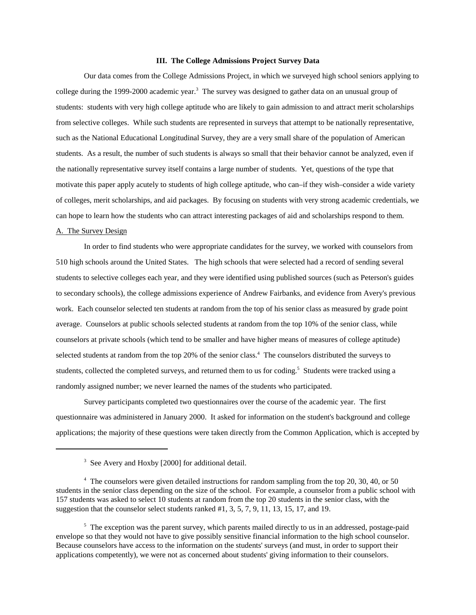#### **III.** The College Admissions Project Survey Data

Our data comes from the College Admissions Project, in which we surveyed high school seniors applying to college during the 1999-2000 academic year.<sup>3</sup> The survey was designed to gather data on an unusual group of students: students with very high college aptitude who are likely to gain admission to and attract merit scholarships from selective colleges. While such students are represented in surveys that attempt to be nationally representative, such as the National Educational Longitudinal Survey, they are a very small share of the population of American students. As a result, the number of such students is always so small that their behavior cannot be analyzed, even if the nationally representative survey itself contains a large number of students. Yet, questions of the type that motivate this paper apply acutely to students of high college aptitude, who can–if they wish–consider a wide variety of colleges, merit scholarships, and aid packages. By focusing on students with very strong academic credentials, we can hope to learn how the students who can attract interesting packages of aid and scholarships respond to them.

#### A. The Survey Design

In order to find students who were appropriate candidates for the survey, we worked with counselors from 510 high schools around the United States. The high schools that were selected had a record of sending several students to selective colleges each year, and they were identified using published sources (such as Peterson's guides to secondary schools), the college admissions experience of Andrew Fairbanks, and evidence from Avery's previous work. Each counselor selected ten students at random from the top of his senior class as measured by grade point average. Counselors at public schools selected students at random from the top 10% of the senior class, while counselors at private schools (which tend to be smaller and have higher means of measures of college aptitude) selected students at random from the top 20% of the senior class.<sup>4</sup> The counselors distributed the surveys to students, collected the completed surveys, and returned them to us for coding.<sup>5</sup> Students were tracked using a randomly assigned number; we never learned the names of the students who participated.

Survey participants completed two questionnaires over the course of the academic year. The first questionnaire was administered in January 2000. It asked for information on the student's background and college applications; the majority of these questions were taken directly from the Common Application, which is accepted by

<sup>&</sup>lt;sup>3</sup> See Avery and Hoxby [2000] for additional detail.

<sup>&</sup>lt;sup>4</sup> The counselors were given detailed instructions for random sampling from the top 20, 30, 40, or 50 students in the senior class depending on the size of the school. For example, a counselor from a public school with 157 students was asked to select 10 students at random from the top 20 students in the senior class, with the suggestion that the counselor select students ranked  $#1, 3, 5, 7, 9, 11, 13, 15, 17,$  and 19.

 $5$  The exception was the parent survey, which parents mailed directly to us in an addressed, postage-paid envelope so that they would not have to give possibly sensitive financial information to the high school counselor. Because counselors have access to the information on the students' surveys (and must, in order to support their applications competently), we were not as concerned about students' giving information to their counselors.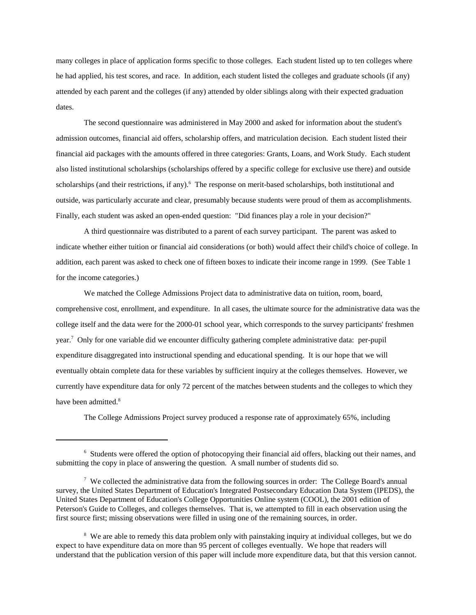many colleges in place of application forms specific to those colleges. Each student listed up to ten colleges where he had applied, his test scores, and race. In addition, each student listed the colleges and graduate schools (if any) attended by each parent and the colleges (if any) attended by older siblings along with their expected graduation dates.

The second questionnaire was administered in May 2000 and asked for information about the student's admission outcomes, financial aid offers, scholarship offers, and matriculation decision. Each student listed their financial aid packages with the amounts offered in three categories: Grants, Loans, and Work Study. Each student also listed institutional scholarships (scholarships offered by a specific college for exclusive use there) and outside scholarships (and their restrictions, if any).<sup>6</sup> The response on merit-based scholarships, both institutional and outside, was particularly accurate and clear, presumably because students were proud of them as accomplishments. Finally, each student was asked an open-ended question: "Did finances play a role in your decision?"

A third questionnaire was distributed to a parent of each survey participant. The parent was asked to indicate whether either tuition or financial aid considerations (or both) would affect their child's choice of college. In addition, each parent was asked to check one of fifteen boxes to indicate their income range in 1999. (See Table 1 for the income categories.)

We matched the College Admissions Project data to administrative data on tuition, room, board, comprehensive cost, enrollment, and expenditure. In all cases, the ultimate source for the administrative data was the college itself and the data were for the 2000-01 school year, which corresponds to the survey participants' freshmen year.<sup>7</sup> Only for one variable did we encounter difficulty gathering complete administrative data: per-pupil expenditure disaggregated into instructional spending and educational spending. It is our hope that we will eventually obtain complete data for these variables by sufficient inquiry at the colleges themselves. However, we currently have expenditure data for only 72 percent of the matches between students and the colleges to which they have been admitted.<sup>8</sup>

The College Admissions Project survey produced a response rate of approximately 65%, including

<sup>&</sup>lt;sup>6</sup> Students were offered the option of photocopying their financial aid offers, blacking out their names, and submitting the copy in place of answering the question. A small number of students did so.

 $7$  We collected the administrative data from the following sources in order: The College Board's annual survey, the United States Department of Education's Integrated Postsecondary Education Data System (IPEDS), the United States Department of Education's College Opportunities Online system (COOL), the 2001 edition of Peterson's Guide to Colleges, and colleges themselves. That is, we attempted to fill in each observation using the first source first; missing observations were filled in using one of the remaining sources, in order.

<sup>&</sup>lt;sup>8</sup> We are able to remedy this data problem only with painstaking inquiry at individual colleges, but we do expect to have expenditure data on more than 95 percent of colleges eventually. We hope that readers will understand that the publication version of this paper will include more expenditure data, but that this version cannot.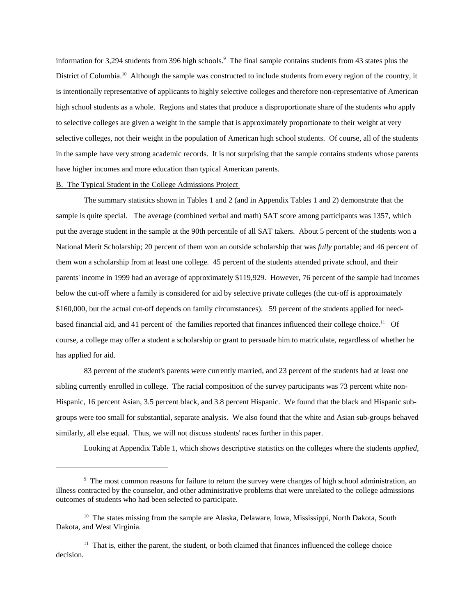information for 3,294 students from 396 high schools.<sup>9</sup> The final sample contains students from 43 states plus the District of Columbia.<sup>10</sup> Although the sample was constructed to include students from every region of the country, it is intentionally representative of applicants to highly selective colleges and therefore non-representative of American high school students as a whole. Regions and states that produce a disproportionate share of the students who apply to selective colleges are given a weight in the sample that is approximately proportionate to their weight at very selective colleges, not their weight in the population of American high school students. Of course, all of the students in the sample have very strong academic records. It is not surprising that the sample contains students whose parents have higher incomes and more education than typical American parents.

### B. The Typical Student in the College Admissions Project

The summary statistics shown in Tables 1 and 2 (and in Appendix Tables 1 and 2) demonstrate that the sample is quite special. The average (combined verbal and math) SAT score among participants was 1357, which put the average student in the sample at the 90th percentile of all SAT takers. About 5 percent of the students won a National Merit Scholarship; 20 percent of them won an outside scholarship that was *fully* portable; and 46 percent of them won a scholarship from at least one college. 45 percent of the students attended private school, and their parents' income in 1999 had an average of approximately \$119,929. However, 76 percent of the sample had incomes below the cut-off where a family is considered for aid by selective private colleges (the cut-off is approximately \$160,000, but the actual cut-off depends on family circumstances). 59 percent of the students applied for needbased financial aid, and 41 percent of the families reported that finances influenced their college choice.<sup>11</sup> Of course, a college may offer a student a scholarship or grant to persuade him to matriculate, regardless of whether he has applied for aid.

83 percent of the student's parents were currently married, and 23 percent of the students had at least one sibling currently enrolled in college. The racial composition of the survey participants was 73 percent white non-Hispanic, 16 percent Asian, 3.5 percent black, and 3.8 percent Hispanic. We found that the black and Hispanic subgroups were too small for substantial, separate analysis. We also found that the white and Asian sub-groups behaved similarly, all else equal. Thus, we will not discuss students' races further in this paper.

Looking at Appendix Table 1, which shows descriptive statistics on the colleges where the students *applied*,

<sup>&</sup>lt;sup>9</sup> The most common reasons for failure to return the survey were changes of high school administration, an illness contracted by the counselor, and other administrative problems that were unrelated to the college admissions outcomes of students who had been selected to participate.

<sup>&</sup>lt;sup>10</sup> The states missing from the sample are Alaska, Delaware, Iowa, Mississippi, North Dakota, South Dakota, and West Virginia.

 $11$  That is, either the parent, the student, or both claimed that finances influenced the college choice decision.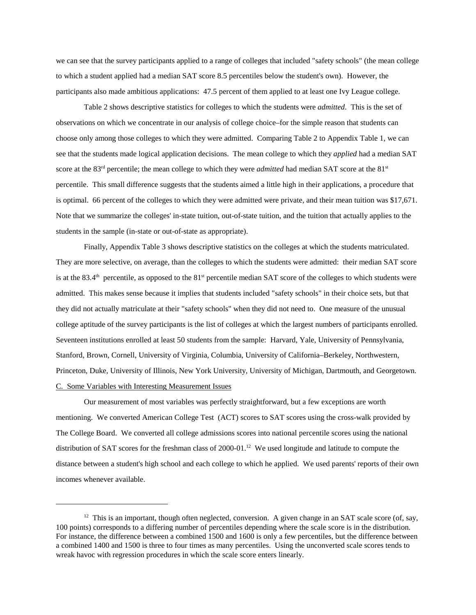we can see that the survey participants applied to a range of colleges that included "safety schools" (the mean college to which a student applied had a median SAT score 8.5 percentiles below the student's own). However, the participants also made ambitious applications: 47.5 percent of them applied to at least one Ivy League college.

Table 2 shows descriptive statistics for colleges to which the students were *admitted*. This is the set of observations on which we concentrate in our analysis of college choice–for the simple reason that students can choose only among those colleges to which they were admitted. Comparing Table 2 to Appendix Table 1, we can see that the students made logical application decisions. The mean college to which they *applied* had a median SAT score at the 83<sup>rd</sup> percentile; the mean college to which they were *admitted* had median SAT score at the  $81<sup>st</sup>$ percentile. This small difference suggests that the students aimed a little high in their applications, a procedure that is optimal. 66 percent of the colleges to which they were admitted were private, and their mean tuition was \$17,671. Note that we summarize the colleges' in-state tuition, out-of-state tuition, and the tuition that actually applies to the students in the sample (in-state or out-of-state as appropriate).

Finally, Appendix Table 3 shows descriptive statistics on the colleges at which the students matriculated. They are more selective, on average, than the colleges to which the students were admitted: their median SAT score is at the 83.4<sup>th</sup> percentile, as opposed to the  $81<sup>st</sup>$  percentile median SAT score of the colleges to which students were admitted. This makes sense because it implies that students included "safety schools" in their choice sets, but that they did not actually matriculate at their "safety schools" when they did not need to. One measure of the unusual college aptitude of the survey participants is the list of colleges at which the largest numbers of participants enrolled. Seventeen institutions enrolled at least 50 students from the sample: Harvard, Yale, University of Pennsylvania, Stanford, Brown, Cornell, University of Virginia, Columbia, University of California–Berkeley, Northwestern, Princeton, Duke, University of Illinois, New York University, University of Michigan, Dartmouth, and Georgetown. C. Some Variables with Interesting Measurement Issues

Our measurement of most variables was perfectly straightforward, but a few exceptions are worth mentioning. We converted American College Test (ACT) scores to SAT scores using the cross-walk provided by The College Board. We converted all college admissions scores into national percentile scores using the national distribution of SAT scores for the freshman class of  $2000-01$ .<sup>12</sup> We used longitude and latitude to compute the distance between a student's high school and each college to which he applied. We used parents' reports of their own incomes whenever available.

<sup>&</sup>lt;sup>12</sup> This is an important, though often neglected, conversion. A given change in an SAT scale score (of, say, 100 points) corresponds to a differing number of percentiles depending where the scale score is in the distribution. For instance, the difference between a combined 1500 and 1600 is only a few percentiles, but the difference between a combined 1400 and 1500 is three to four times as many percentiles. Using the unconverted scale scores tends to wreak havoc with regression procedures in which the scale score enters linearly.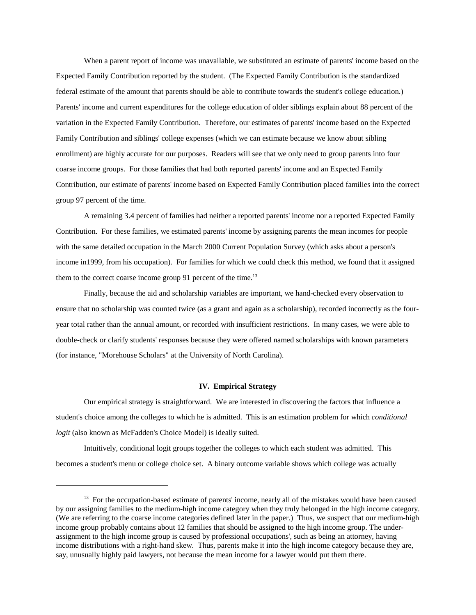When a parent report of income was unavailable, we substituted an estimate of parents' income based on the Expected Family Contribution reported by the student. (The Expected Family Contribution is the standardized federal estimate of the amount that parents should be able to contribute towards the student's college education.) Parents' income and current expenditures for the college education of older siblings explain about 88 percent of the variation in the Expected Family Contribution. Therefore, our estimates of parents' income based on the Expected Family Contribution and siblings' college expenses (which we can estimate because we know about sibling enrollment) are highly accurate for our purposes. Readers will see that we only need to group parents into four coarse income groups. For those families that had both reported parents' income and an Expected Family Contribution, our estimate of parents' income based on Expected Family Contribution placed families into the correct group 97 percent of the time.

A remaining 3.4 percent of families had neither a reported parents' income nor a reported Expected Family Contribution. For these families, we estimated parents' income by assigning parents the mean incomes for people with the same detailed occupation in the March 2000 Current Population Survey (which asks about a person's income in 1999, from his occupation). For families for which we could check this method, we found that it assigned them to the correct coarse income group 91 percent of the time.<sup>13</sup>

Finally, because the aid and scholarship variables are important, we hand-checked every observation to ensure that no scholarship was counted twice (as a grant and again as a scholarship), recorded incorrectly as the fouryear total rather than the annual amount, or recorded with insufficient restrictions. In many cases, we were able to double-check or clarify students' responses because they were offered named scholarships with known parameters (for instance, "Morehouse Scholars" at the University of North Carolina).

## **IV.EmpiricalStrategy**

Our empirical strategy is straightforward. We are interested in discovering the factors that influence a student's choice among the colleges to which he is admitted. This is an estimation problem for which *conditional logit* (also known as McFadden's Choice Model) is ideally suited.

Intuitively, conditional logit groups together the colleges to which each student was admitted. This becomes a student's menu or college choice set. A binary outcome variable shows which college was actually

<sup>&</sup>lt;sup>13</sup> For the occupation-based estimate of parents' income, nearly all of the mistakes would have been caused by our assigning families to the medium-high income category when they truly belonged in the high income category. (We are referring to the coarse income categories defined later in the paper.) Thus, we suspect that our medium-high income group probably contains about 12 families that should be assigned to the high income group. The underassignment to the high income group is caused by professional occupations', such as being an attorney, having income distributions with a right-hand skew. Thus, parents make it into the high income category because they are, say, unusually highly paid lawyers, not because the mean income for a lawyer would put them there.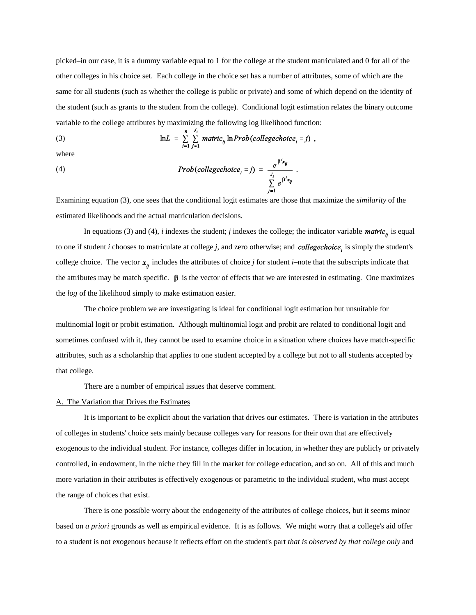picked–in our case, it is a dummy variable equal to 1 for the college at the student matriculated and 0 for all of the other colleges in his choice set. Each college in the choice set has a number of attributes, some of which are the same for all students (such as whether the college is public or private) and some of which depend on the identity of the student (such as grants to the student from the college). Conditional logit estimation relates the binary outcome variable to the college attributes by maximizing the following log likelihood function:

(3) 
$$
\ln L = \sum_{i=1}^{n} \sum_{j=1}^{J_i} \text{matrix}_{ij} \ln \text{Prob}(collect \text{log} \text{echo} \text{ice}_i = j),
$$

where

(4) 
$$
Prob(college choice_i = j) = \frac{e^{j\omega_i}}{\sum_{i=1}^{j} e^{j\omega_i}}
$$

Examining equation (3), one sees that the conditional logit estimates are those that maximize the *similarity* of the estimated likelihoods and the actual matriculation decisions.

In equations (3) and (4), *i* indexes the student; *j* indexes the college; the indicator variable *matric*<sub>ij</sub> is equal to one if student *i* chooses to matriculate at college *j*, and zero otherwise; and *collegechoice*, is simply the student's college choice. The vector  $x_{ij}$  includes the attributes of choice *j* for student *i*–note that the subscripts indicate that the attributes may be match specific.  $\beta$  is the vector of effects that we are interested in estimating. One maximizes the *log* of the likelihood simply to make estimation easier.

The choice problem we are investigating is ideal for conditional logit estimation but unsuitable for multinomial logit or probit estimation. Although multinomial logit and probit are related to conditional logit and sometimes confused with it, they cannot be used to examine choice in a situation where choices have match-specific attributes, such as a scholarship that applies to one student accepted by a college but not to all students accepted by that college.

There are a number of empirical issues that deserve comment.

#### A. The Variation that Drives the Estimates

It is important to be explicit about the variation that drives our estimates. There is variation in the attributes of colleges in students' choice sets mainly because colleges vary for reasons for their own that are effectively exogenous to the individual student. For instance, colleges differ in location, in whether they are publicly or privately controlled, in endowment, in the niche they fill in the market for college education, and so on. All of this and much more variation in their attributes is effectively exogenous or parametric to the individual student, who must accept the range of choices that exist.

There is one possible worry about the endogeneity of the attributes of college choices, but it seems minor based on *a priori* grounds as well as empirical evidence. It is as follows. We might worry that a college's aid offer to a student is not exogenous because it reflects effort on the student's part that is observed by that college only and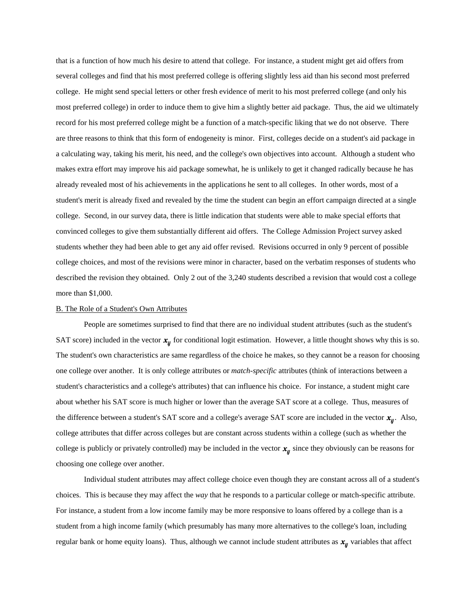that is a function of how much his desire to attend that college. For instance, a student might get aid offers from several colleges and find that his most preferred college is offering slightly less aid than his second most preferred college. He might send special letters or other fresh evidence of merit to his most preferred college (and only his most preferred college) in order to induce them to give him a slightly better aid package. Thus, the aid we ultimately record for his most preferred college might be a function of a match-specific liking that we do not observe. There are three reasons to think that this form of endogeneity is minor. First, colleges decide on a student's aid package in a calculating way, taking his merit, his need, and the college's own objectives into account. Although a student who makes extra effort may improve his aid package somewhat, he is unlikely to get it changed radically because he has already revealed most of his achievements in the applications he sent to all colleges. In other words, most of a student's merit is already fixed and revealed by the time the student can begin an effort campaign directed at a single college. Second, in our survey data, there is little indication that students were able to make special efforts that convinced colleges to give them substantially different aid offers. The College Admission Project survey asked students whether they had been able to get any aid offer revised. Revisions occurred in only 9 percent of possible college choices, and most of the revisions were minor in character, based on the verbatim responses of students who described the revision they obtained. Only 2 out of the 3,240 students described a revision that would cost a college more than \$1,000.

#### B. The Role of a Student's Own Attributes

People are sometimes surprised to find that there are no individual student attributes (such as the student's SAT score) included in the vector  $x_{ij}$  for conditional logit estimation. However, a little thought shows why this is so. The student's own characteristics are same regardless of the choice he makes, so they cannot be a reason for choosing one college over another. It is only college attributes or *match-specific* attributes (think of interactions between a student's characteristics and a college's attributes) that can influence his choice. For instance, a student might care about whether his SAT score is much higher or lower than the average SAT score at a college. Thus, measures of the difference between a student's SAT score and a college's average SAT score are included in the vector  $x_n$ . Also, college attributes that differ across colleges but are constant across students within a college (such as whether the college is publicly or privately controlled) may be included in the vector  $x_{ii}$  since they obviously can be reasons for choosing one college over another.

Individual student attributes may affect college choice even though they are constant across all of a student's choices. This is because they may affect the *way* that he responds to a particular college or match-specific attribute. For instance, a student from a low income family may be more responsive to loans offered by a college than is a student from a high income family (which presumably has many more alternatives to the college's loan, including regular bank or home equity loans). Thus, although we cannot include student attributes as  $x_{ij}$  variables that affect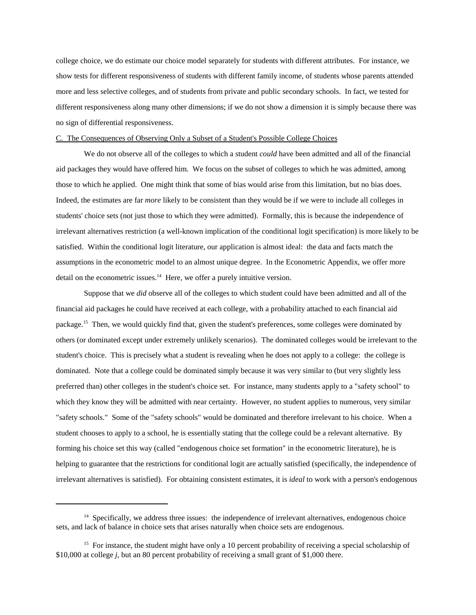college choice, we do estimate our choice model separately for students with different attributes. For instance, we show tests for different responsiveness of students with different family income, of students whose parents attended more and less selective colleges, and of students from private and public secondary schools. In fact, we tested for different responsiveness along many other dimensions; if we do not show a dimension it is simply because there was no sign of differential responsiveness.

## C. The Consequences of Observing Only a Subset of a Student's Possible College Choices

We do not observe all of the colleges to which a student *could* have been admitted and all of the financial aid packages they would have offered him. We focus on the subset of colleges to which he was admitted, among those to which he applied. One might think that some of bias would arise from this limitation, but no bias does. Indeed, the estimates are far *more* likely to be consistent than they would be if we were to include all colleges in students' choice sets (not just those to which they were admitted). Formally, this is because the independence of irrelevant alternatives restriction (a well-known implication of the conditional logit specification) is more likely to be satisfied. Within the conditional logit literature, our application is almost ideal: the data and facts match the assumptions in the econometric model to an almost unique degree. In the Econometric Appendix, we offer more detail on the econometric issues.<sup>14</sup> Here, we offer a purely intuitive version.

Suppose that we *did* observe all of the colleges to which student could have been admitted and all of the financial aid packages he could have received at each college, with a probability attached to each financial aid package.<sup>15</sup> Then, we would quickly find that, given the student's preferences, some colleges were dominated by others (or dominated except under extremely unlikely scenarios). The dominated colleges would be irrelevant to the student's choice. This is precisely what a student is revealing when he does not apply to a college: the college is dominated. Note that a college could be dominated simply because it was very similar to (but very slightly less preferred than) other colleges in the student's choice set. For instance, many students apply to a "safety school" to which they know they will be admitted with near certainty. However, no student applies to numerous, very similar "safety schools." Some of the "safety schools" would be dominated and therefore irrelevant to his choice. When a student chooses to apply to a school, he is essentially stating that the college could be a relevant alternative. By forming his choice set this way (called "endogenous choice set formation" in the econometric literature), he is helping to guarantee that the restrictions for conditional logit are actually satisfied (specifically, the independence of irrelevant alternatives is satisfied). For obtaining consistent estimates, it is *ideal* to work with a person's endogenous

<sup>&</sup>lt;sup>14</sup> Specifically, we address three issues: the independence of irrelevant alternatives, endogenous choice sets, and lack of balance in choice sets that arises naturally when choice sets are endogenous.

<sup>&</sup>lt;sup>15</sup> For instance, the student might have only a 10 percent probability of receiving a special scholarship of \$10,000 at college *j*, but an 80 percent probability of receiving a small grant of \$1,000 there.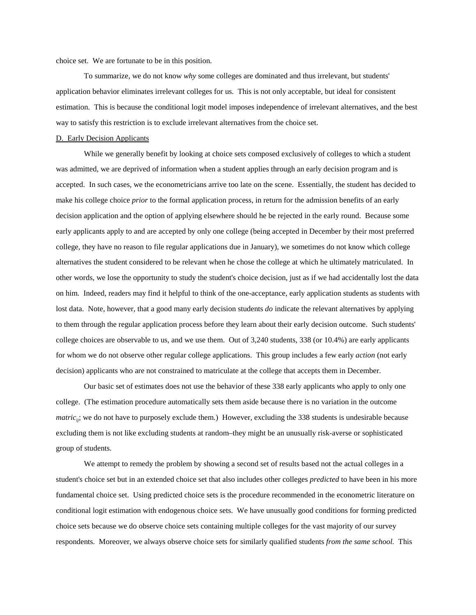choice set. We are fortunate to be in this position.

To summarize, we do not know why some colleges are dominated and thus irrelevant, but students' application behavior eliminates irrelevant colleges for us. This is not only acceptable, but ideal for consistent estimation. This is because the conditional logit model imposes independence of irrelevant alternatives, and the best way to satisfy this restriction is to exclude irrelevant alternatives from the choice set.

#### D. Early Decision Applicants

While we generally benefit by looking at choice sets composed exclusively of colleges to which a student was admitted, we are deprived of information when a student applies through an early decision program and is accepted. In such cases, we the econometricians arrive too late on the scene. Essentially, the student has decided to make his college choice *prior* to the formal application process, in return for the admission benefits of an early decision application and the option of applying elsewhere should he be rejected in the early round. Because some early applicants apply to and are accepted by only one college (being accepted in December by their most preferred college, they have no reason to file regular applications due in January), we sometimes do not know which college alternatives the student considered to be relevant when he chose the college at which he ultimately matriculated. In other words, we lose the opportunity to study the student's choice decision, just as if we had accidentally lost the data on him. Indeed, readers may find it helpful to think of the one-acceptance, early application students as students with lost data. Note, however, that a good many early decision students *do* indicate the relevant alternatives by applying to them through the regular application process before they learn about their early decision outcome. Such students' college choices are observable to us, and we use them. Out of  $3,240$  students,  $338$  (or  $10.4\%$ ) are early applicants for whom we do not observe other regular college applications. This group includes a few early *action* (not early decision) applicants who are not constrained to matriculate at the college that accepts them in December.

Our basic set of estimates does not use the behavior of these 338 early applicants who apply to only one college. (The estimation procedure automatically sets them aside because there is no variation in the outcome *matric<sub>ii</sub>*; we do not have to purposely exclude them.) However, excluding the 338 students is undesirable because excluding them is not like excluding students at random–they might be an unusually risk-averse or sophisticated group of students.

We attempt to remedy the problem by showing a second set of results based not the actual colleges in a student's choice set but in an extended choice set that also includes other colleges *predicted* to have been in his more fundamental choice set. Using predicted choice sets is the procedure recommended in the econometric literature on conditional logit estimation with endogenous choice sets. We have unusually good conditions for forming predicted choice sets because we do observe choice sets containing multiple colleges for the vast majority of our survey respondents. Moreover, we always observe choice sets for similarly qualified students *from the same school*. This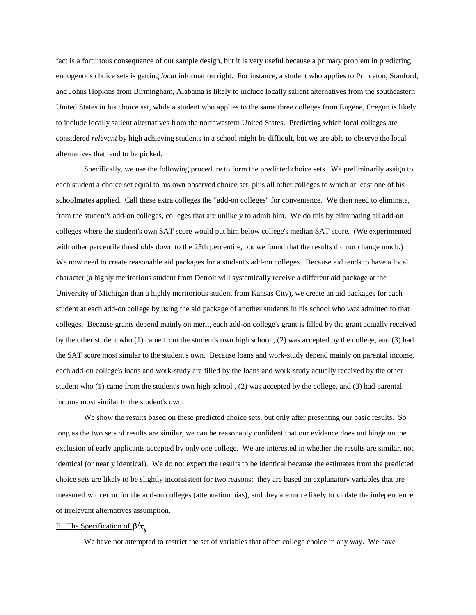fact is a fortuitous consequence of our sample design, but it is very useful because a primary problem in predicting endogenous choice sets is getting *local* information right. For instance, a student who applies to Princeton, Stanford, and Johns Hopkins from Birmingham, Alabama is likely to include locally salient alternatives from the southeastern United States in his choice set, while a student who applies to the same three colleges from Eugene, Oregon is likely to include locally salient alternatives from the northwestern United States. Predicting which local colleges are considered *relevant* by high achieving students in a school might be difficult, but we are able to observe the local alternatives that tend to be picked.

Specifically, we use the following procedure to form the predicted choice sets. We preliminarily assign to each student a choice set equal to his own observed choice set, plus all other colleges to which at least one of his schoolmates applied. Call these extra colleges the "add-on colleges" for convenience. We then need to eliminate, from the student's add-on colleges, colleges that are unlikely to admit him. We do this by eliminating all add-on colleges where the student's own SAT score would put him below college's median SAT score. (We experimented with other percentile thresholds down to the 25th percentile, but we found that the results did not change much.) We now need to create reasonable aid packages for a student's add-on colleges. Because aid tends to have a local character (a highly meritorious student from Detroit will systemically receive a different aid package at the University of Michigan than a highly meritorious student from Kansas City), we create an aid packages for each student at each add-on college by using the aid package of another students in his school who was admitted to that colleges. Because grants depend mainly on merit, each add-on college's grant is filled by the grant actually received by the other student who  $(1)$  came from the student's own high school,  $(2)$  was accepted by the college, and  $(3)$  had the SAT score most similar to the student's own. Because loans and work-study depend mainly on parental income, each add-on college's loans and work-study are filled by the loans and work-study actually received by the other student who $(1)$  came from the student's own high school,  $(2)$  was accepted by the college, and  $(3)$  had parental income most similar to the student's own.

We show the results based on these predicted choice sets, but only after presenting our basic results. So long as the two sets of results are similar, we can be reasonably confident that our evidence does not hinge on the exclusion of early applicants accepted by only one college. We are interested in whether the results are similar, not identical (or nearly identical). We do not expect the results to be identical because the estimates from the predicted choice sets are likely to be slightly inconsistent for two reasons: they are based on explanatory variables that are measured with error for the add-on colleges (attenuation bias), and they are more likely to violate the independence of irrelevant alternatives assumption.

### E. The Specification of  $\beta' x_n$

We have not attempted to restrict the set of variables that affect college choice in any way. We have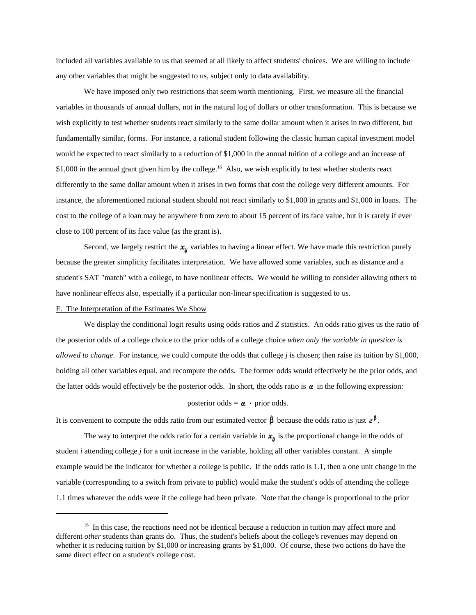included all variables available to us that seemed at all likely to affect students' choices. We are willing to include any other variables that might be suggested to us, subject only to data availability.

We have imposed only two restrictions that seem worth mentioning. First, we measure all the financial variables in thousands of annual dollars, not in the natural log of dollars or other transformation. This is because we wish explicitly to test whether students react similarly to the same dollar amount when it arises in two different, but fundamentally similar, forms. For instance, a rational student following the classic human capital investment model would be expected to react similarly to a reduction of \$1,000 in the annual tuition of a college and an increase of \$1,000 in the annual grant given him by the college.<sup>16</sup> Also, we wish explicitly to test whether students react differently to the same dollar amount when it arises in two forms that cost the college very different amounts. For instance, the aforementioned rational student should not react similarly to  $$1,000$  in grants and  $$1,000$  in loans. The cost to the college of a loan may be anywhere from zero to about 15 percent of its face value, but it is rarely if ever close to 100 percent of its face value (as the grant is).

Second, we largely restrict the  $x_{ij}$  variables to having a linear effect. We have made this restriction purely because the greater simplicity facilitates interpretation. We have allowed some variables, such as distance and a student's SAT "match" with a college, to have nonlinear effects. We would be willing to consider allowing others to have nonlinear effects also, especially if a particular non-linear specification is suggested to us.

#### F. The Interpretation of the Estimates We Show

We display the conditional logit results using odds ratios and Z statistics. An odds ratio gives us the ratio of the posterior odds of a college choice to the prior odds of a college choice when only the variable in question is *allowed to change*. For instance, we could compute the odds that college *j* is chosen; then raise its tuition by \$1,000, holding all other variables equal, and recompute the odds. The former odds would effectively be the prior odds, and the latter odds would effectively be the posterior odds. In short, the odds ratio is  $\alpha$  in the following expression:

#### posterior odds =  $\alpha \cdot$  prior odds.

It is convenient to compute the odds ratio from our estimated vector  $\beta$  because the odds ratio is just  $e^{\beta}$ .

The way to interpret the odds ratio for a certain variable in  $x_{ij}$  is the proportional change in the odds of student  $i$  attending college  $j$  for a unit increase in the variable, holding all other variables constant. A simple example would be the indicator for whether a college is public. If the odds ratio is 1.1, then a one unit change in the variable (corresponding to a switch from private to public) would make the student's odds of attending the college 1.1 times whatever the odds were if the college had been private. Note that the change is proportional to the prior

 $16$  In this case, the reactions need not be identical because a reduction in tuition may affect more and different *other* students than grants do. Thus, the student's beliefs about the college's revenues may depend on whether it is reducing tuition by \$1,000 or increasing grants by \$1,000. Of course, these two actions do have the same direct effect on a student's college cost.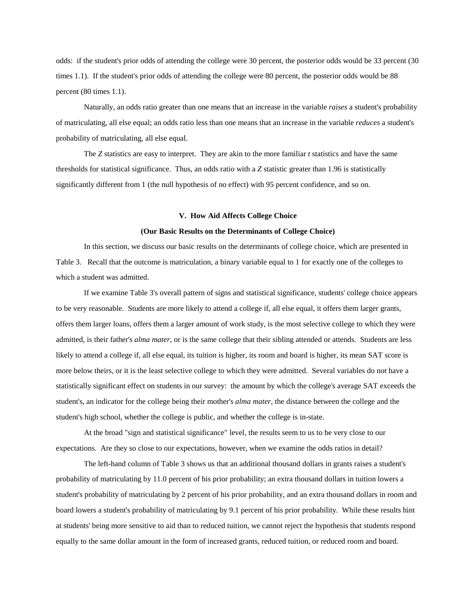odds: if the student's prior odds of attending the college were 30 percent, the posterior odds would be 33 percent (30 times 1.1). If the student's prior odds of attending the college were 80 percent, the posterior odds would be 88 percent  $(80 \text{ times } 1.1)$ .

Naturally, an odds ratio greater than one means that an increase in the variable *raises* a student's probability ofmatriculating,allelseequal;anoddsratiolessthanonemeansthatanincreaseinthevariable*reduces*astudent's probability of matriculating, all else equal.

The *Z* statistics are easy to interpret. They are akin to the more familiar t statistics and have the same thresholds for statistical significance. Thus, an odds ratio with a Z statistic greater than 1.96 is statistically significantly different from 1 (the null hypothesis of no effect) with 95 percent confidence, and so on.

#### **V. How Aid Affects College Choice**

#### (Our Basic Results on the Determinants of College Choice)

In this section, we discuss our basic results on the determinants of college choice, which are presented in Table 3. Recall that the outcome is matriculation, a binary variable equal to 1 for exactly one of the colleges to which a student was admitted.

If we examine Table 3's overall pattern of signs and statistical significance, students' college choice appears to be very reasonable. Students are more likely to attend a college if, all else equal, it offers them larger grants, offers them larger loans, offers them a larger amount of work study, is the most selective college to which they were admitted, is their father's *alma mater*, or is the same college that their sibling attended or attends. Students are less likely to attend a college if, all else equal, its tuition is higher, its room and board is higher, its mean SAT score is more below theirs, or it is the least selective college to which they were admitted. Several variables do not have a statistically significant effect on students in our survey: the amount by which the college's average SAT exceeds the student's, an indicator for the college being their mother's *alma mater*, the distance between the college and the student's high school, whether the college is public, and whether the college is in-state.

At the broad "sign and statistical significance" level, the results seem to us to be very close to our expectations. Are they so close to our expectations, however, when we examine the odds ratios in detail?

The left-hand column of Table 3 shows us that an additional thousand dollars in grants raises a student's probability of matriculating by 11.0 percent of his prior probability; an extra thousand dollars in tuition lowers a student's probability of matriculating by 2 percent of his prior probability, and an extra thousand dollars in room and board lowers a student's probability of matriculating by 9.1 percent of his prior probability. While these results hint at students' being more sensitive to aid than to reduced tuition, we cannot reject the hypothesis that students respond equally to the same dollar amount in the form of increased grants, reduced tuition, or reduced room and board.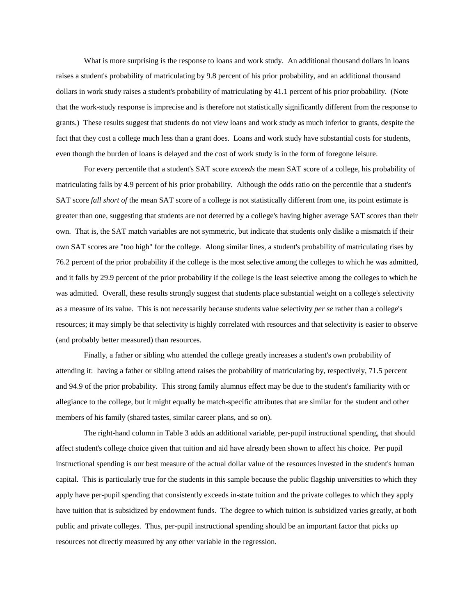What is more surprising is the response to loans and work study. An additional thousand dollars in loans raises a student's probability of matriculating by 9.8 percent of his prior probability, and an additional thousand dollars in work study raises a student's probability of matriculating by 41.1 percent of his prior probability. (Note that the work-study response is imprecise and is therefore not statistically significantly different from the response to grants.) These results suggest that students do not view loans and work study as much inferior to grants, despite the fact that they cost a college much less than a grant does. Loans and work study have substantial costs for students, even though the burden of loans is delayed and the cost of work study is in the form of foregone leisure.

For every percentile that a student's SAT score *exceeds* the mean SAT score of a college, his probability of matriculating falls by 4.9 percent of his prior probability. Although the odds ratio on the percentile that a student's SAT score *fall short of* the mean SAT score of a college is not statistically different from one, its point estimate is greater than one, suggesting that students are not deterred by a college's having higher average SAT scores than their own. That is, the SAT match variables are not symmetric, but indicate that students only dislike a mismatch if their own SAT scores are "too high" for the college. Along similar lines, a student's probability of matriculating rises by 76.2 percent of the prior probability if the college is the most selective among the colleges to which he was admitted, and it falls by 29.9 percent of the prior probability if the college is the least selective among the colleges to which he was admitted. Overall, these results strongly suggest that students place substantial weight on a college's selectivity as a measure of its value. This is not necessarily because students value selectivity *per se* rather than a college's resources; it may simply be that selectivity is highly correlated with resources and that selectivity is easier to observe (and probably better measured) than resources.

Finally, a father or sibling who attended the college greatly increases a student's own probability of attending it: having a father or sibling attend raises the probability of matriculating by, respectively, 71.5 percent and 94.9 of the prior probability. This strong family alumnus effect may be due to the student's familiarity with or allegiance to the college, but it might equally be match-specific attributes that are similar for the student and other members of his family (shared tastes, similar career plans, and so on).

The right-hand column in Table 3 adds an additional variable, per-pupil instructional spending, that should affect student's college choice given that tuition and aid have already been shown to affect his choice. Per pupil instructional spending is our best measure of the actual dollar value of the resources invested in the student's human capital. This is particularly true for the students in this sample because the public flagship universities to which they apply have per-pupil spending that consistently exceeds in-state tuition and the private colleges to which they apply have tuition that is subsidized by endowment funds. The degree to which tuition is subsidized varies greatly, at both public and private colleges. Thus, per-pupil instructional spending should be an important factor that picks up resources not directly measured by any other variable in the regression.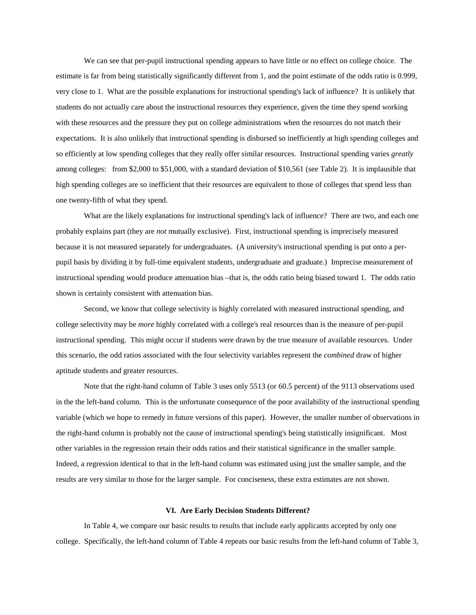We can see that per-pupil instructional spending appears to have little or no effect on college choice. The estimate is far from being statistically significantly different from 1, and the point estimate of the odds ratio is 0.999, very close to 1. What are the possible explanations for instructional spending's lack of influence? It is unlikely that students do not actually care about the instructional resources they experience, given the time they spend working with these resources and the pressure they put on college administrations when the resources do not match their expectations. It is also unlikely that instructional spending is disbursed so inefficiently at high spending colleges and so efficiently at low spending colleges that they really offer similar resources. Instructional spending varies *greatly* among colleges: from \$2,000 to \$51,000, with a standard deviation of \$10,561 (see Table 2). It is implausible that high spending colleges are so inefficient that their resources are equivalent to those of colleges that spend less than one twenty-fifth of what they spend.

What are the likely explanations for instructional spending's lack of influence? There are two, and each one probably explains part (they are *not* mutually exclusive). First, instructional spending is imprecisely measured because it is not measured separately for undergraduates. (A university's instructional spending is put onto a perpupil basis by dividing it by full-time equivalent students, undergraduate and graduate.) Imprecise measurement of instructional spending would produce attenuation bias –that is, the odds ratio being biased toward 1. The odds ratio shown is certainly consistent with attenuation bias.

Second, we know that college selectivity is highly correlated with measured instructional spending, and college selectivity may be *more* highly correlated with a college's real resources than is the measure of per-pupil instructional spending. This might occur if students were drawn by the true measure of available resources. Under this scenario, the odd ratios associated with the four selectivity variables represent the *combined* draw of higher aptitude students and greater resources.

Note that the right-hand column of Table 3 uses only 5513 (or 60.5 percent) of the 9113 observations used in the the left-hand column. This is the unfortunate consequence of the poor availability of the instructional spending variable (which we hope to remedy in future versions of this paper). However, the smaller number of observations in the right-hand column is probably not the cause of instructional spending's being statistically insignificant. Most other variables in the regression retain their odds ratios and their statistical significance in the smaller sample. Indeed, a regression identical to that in the left-hand column was estimated using just the smaller sample, and the results are very similar to those for the larger sample. For conciseness, these extra estimates are not shown.

#### **VI.AreEarlyDecisionStudentsDifferent?**

In Table 4, we compare our basic results to results that include early applicants accepted by only one college. Specifically, the left-hand column of Table 4 repeats our basic results from the left-hand column of Table 3,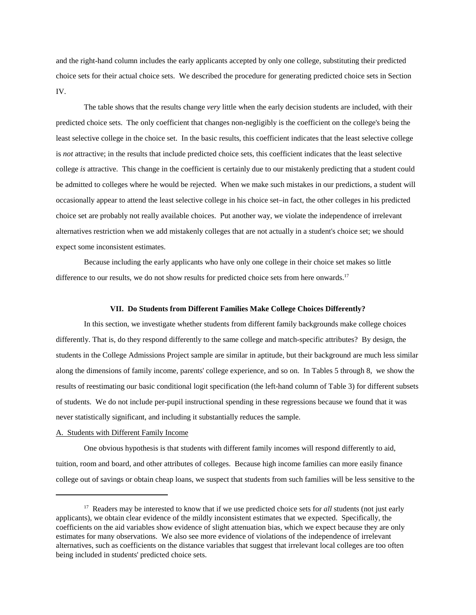and the right-hand column includes the early applicants accepted by only one college, substituting their predicted choice sets for their actual choice sets. We described the procedure for generating predicted choice sets in Section IV.

The table shows that the results change *very* little when the early decision students are included, with their predicted choice sets. The only coefficient that changes non-negligibly is the coefficient on the college's being the least selective college in the choice set. In the basic results, this coefficient indicates that the least selective college is not attractive; in the results that include predicted choice sets, this coefficient indicates that the least selective college *is* attractive. This change in the coefficient is certainly due to our mistakenly predicting that a student could be admitted to colleges where he would be rejected. When we make such mistakes in our predictions, a student will occasionally appear to attend the least selective college in his choice set–in fact, the other colleges in his predicted choice set are probably not really available choices. Put another way, we violate the independence of irrelevant alternatives restriction when we add mistakenly colleges that are not actually in a student's choice set; we should expect some inconsistent estimates.

Because including the early applicants who have only one college in their choice set makes so little difference to our results, we do not show results for predicted choice sets from here onwards.<sup>17</sup>

#### **VII.DoStudentsfromDifferentFamiliesMakeCollegeChoicesDifferently?**

In this section, we investigate whether students from different family backgrounds make college choices differently. That is, do they respond differently to the same college and match-specific attributes? By design, the students in the College Admissions Project sample are similar in aptitude, but their background are much less similar along the dimensions of family income, parents' college experience, and so on. In Tables 5 through 8, we show the results of reestimating our basic conditional logit specification (the left-hand column of Table 3) for different subsets of students. We do not include per-pupil instructional spending in these regressions because we found that it was never statistically significant, and including it substantially reduces the sample.

#### A. Students with Different Family Income

One obvious hypothesis is that students with different family incomes will respond differently to aid, tuition, room and board, and other attributes of colleges. Because high income families can more easily finance college out of savings or obtain cheap loans, we suspect that students from such families will be less sensitive to the

<sup>&</sup>lt;sup>17</sup> Readers may be interested to know that if we use predicted choice sets for *all* students (not just early applicants), we obtain clear evidence of the mildly inconsistent estimates that we expected. Specifically, the coefficients on the aid variables show evidence of slight attenuation bias, which we expect because they are only estimates for many observations. We also see more evidence of violations of the independence of irrelevant alternatives, such as coefficients on the distance variables that suggest that irrelevant local colleges are too often being included in students' predicted choice sets.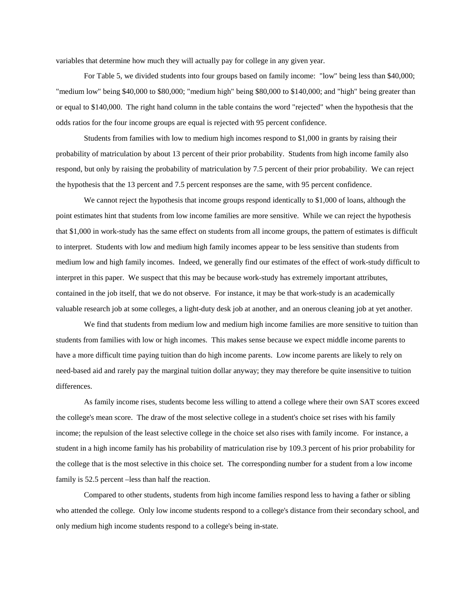variables that determine how much they will actually pay for college in any given year.

For Table 5, we divided students into four groups based on family income: "low" being less than \$40,000; "medium low" being \$40,000 to \$80,000; "medium high" being \$80,000 to \$140,000; and "high" being greater than or equal to \$140,000. The right hand column in the table contains the word "rejected" when the hypothesis that the odds ratios for the four income groups are equal is rejected with 95 percent confidence.

Students from families with low to medium high incomes respond to  $$1,000$  in grants by raising their probability of matriculation by about 13 percent of their prior probability. Students from high income family also respond, but only by raising the probability of matriculation by 7.5 percent of their prior probability. We can reject the hypothesis that the 13 percent and 7.5 percent responses are the same, with 95 percent confidence.

We cannot reject the hypothesis that income groups respond identically to  $$1,000$  of loans, although the point estimates hint that students from low income families are more sensitive. While we can reject the hypothesis that \$1,000 in work-study has the same effect on students from all income groups, the pattern of estimates is difficult to interpret. Students with low and medium high family incomes appear to be less sensitive than students from medium low and high family incomes. Indeed, we generally find our estimates of the effect of work-study difficult to interpret in this paper. We suspect that this may be because work-study has extremely important attributes, contained in the job itself, that we do not observe. For instance, it may be that work-study is an academically valuable research job at some colleges, a light-duty desk job at another, and an onerous cleaning job at yet another.

We find that students from medium low and medium high income families are more sensitive to tuition than students from families with low or high incomes. This makes sense because we expect middle income parents to have a more difficult time paying tuition than do high income parents. Low income parents are likely to rely on need-based aid and rarely pay the marginal tuition dollar anyway; they may therefore be quite insensitive to tuition differences.

As family income rises, students become less willing to attend a college where their own SAT scores exceed the college's mean score. The draw of the most selective college in a student's choice set rises with his family income; the repulsion of the least selective college in the choice set also rises with family income. For instance, a student in a high income family has his probability of matriculation rise by 109.3 percent of his prior probability for the college that is the most selective in this choice set. The corresponding number for a student from a low income family is 52.5 percent –less than half the reaction.

Compared to other students, students from high income families respond less to having a father or sibling who attended the college. Only low income students respond to a college's distance from their secondary school, and only medium high income students respond to a college's being in-state.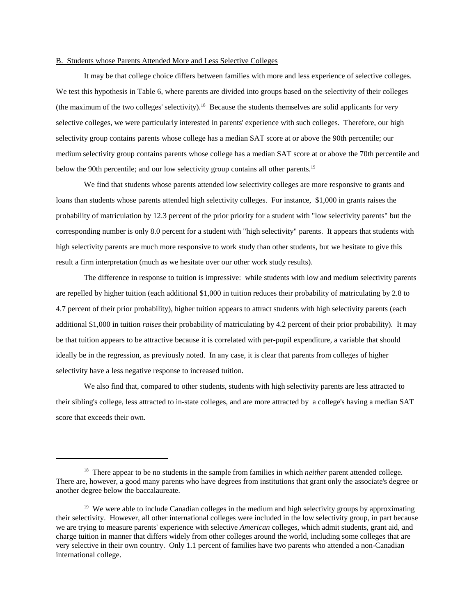#### B. Students whose Parents Attended More and Less Selective Colleges

It may be that college choice differs between families with more and less experience of selective colleges. We test this hypothesis in Table 6, where parents are divided into groups based on the selectivity of their colleges (the maximum of the two colleges' selectivity).<sup>18</sup> Because the students themselves are solid applicants for *very* selective colleges, we were particularly interested in parents' experience with such colleges. Therefore, our high selectivity group contains parents whose college has a median SAT score at or above the 90th percentile; our medium selectivity group contains parents whose college has a median SAT score at or above the 70th percentile and below the 90th percentile; and our low selectivity group contains all other parents.<sup>19</sup>

We find that students whose parents attended low selectivity colleges are more responsive to grants and loans than students whose parents attended high selectivity colleges. For instance, \$1,000 in grants raises the probability of matriculation by 12.3 percent of the prior priority for a student with "low selectivity parents" but the corresponding number is only 8.0 percent for a student with "high selectivity" parents. It appears that students with high selectivity parents are much more responsive to work study than other students, but we hesitate to give this result a firm interpretation (much as we hesitate over our other work study results).

The difference in response to tuition is impressive: while students with low and medium selectivity parents are repelled by higher tuition (each additional  $$1,000$  in tuition reduces their probability of matriculating by 2.8 to 4.7 percent of their prior probability), higher tuition appears to attract students with high selectivity parents (each additional \$1,000 in tuition *raises* their probability of matriculating by 4.2 percent of their prior probability). It may be that tuition appears to be attractive because it is correlated with per-pupil expenditure, a variable that should ideally be in the regression, as previously noted. In any case, it is clear that parents from colleges of higher selectivity have a less negative response to increased tuition.

We also find that, compared to other students, students with high selectivity parents are less attracted to their sibling's college, less attracted to in-state colleges, and are more attracted by a college's having a median SAT score that exceeds their own.

<sup>&</sup>lt;sup>18</sup> There appear to be no students in the sample from families in which *neither* parent attended college. There are, however, a good many parents who have degrees from institutions that grant only the associate's degree or another degree below the baccalaureate.

<sup>&</sup>lt;sup>19</sup> We were able to include Canadian colleges in the medium and high selectivity groups by approximating their selectivity. However, all other international colleges were included in the low selectivity group, in part because we are trying to measure parents' experience with selective *American* colleges, which admit students, grant aid, and charge tuition in manner that differs widely from other colleges around the world, including some colleges that are very selective in their own country. Only 1.1 percent of families have two parents who attended a non-Canadian international college.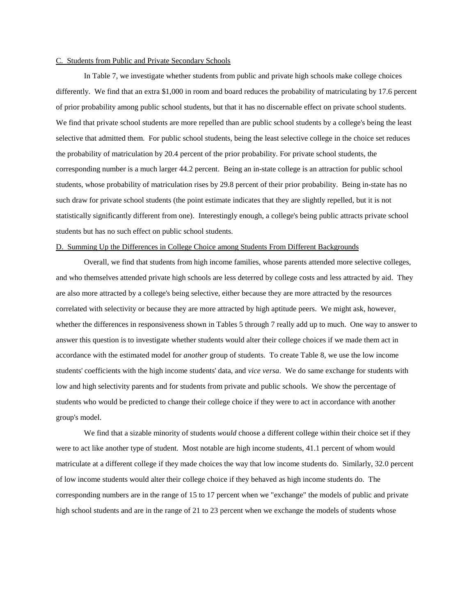#### C. Students from Public and Private Secondary Schools

In Table 7, we investigate whether students from public and private high schools make college choices differently. We find that an extra  $$1,000$  in room and board reduces the probability of matriculating by 17.6 percent of prior probability among public school students, but that it has no discernable effect on private school students. We find that private school students are more repelled than are public school students by a college's being the least selective that admitted them. For public school students, being the least selective college in the choice set reduces the probability of matriculation by 20.4 percent of the prior probability. For private school students, the corresponding number is a much larger 44.2 percent. Being an in-state college is an attraction for public school students, whose probability of matriculation rises by 29.8 percent of their prior probability. Being in-state has no such draw for private school students (the point estimate indicates that they are slightly repelled, but it is not statistically significantly different from one). Interestingly enough, a college's being public attracts private school students but has no such effect on public school students.

#### D. Summing Up the Differences in College Choice among Students From Different Backgrounds

Overall, we find that students from high income families, whose parents attended more selective colleges, and who themselves attended private high schools are less deterred by college costs and less attracted by aid. They are also more attracted by a college's being selective, either because they are more attracted by the resources correlated with selectivity or because they are more attracted by high aptitude peers. We might ask, however, whether the differences in responsiveness shown in Tables 5 through 7 really add up to much. One way to answer to answer this question is to investigate whether students would alter their college choices if we made them act in accordance with the estimated model for *another* group of students. To create Table 8, we use the low income students' coefficients with the high income students' data, and *vice versa*. We do same exchange for students with low and high selectivity parents and for students from private and public schools. We show the percentage of students who would be predicted to change their college choice if they were to act in accordance with another group's model.

We find that a sizable minority of students *would* choose a different college within their choice set if they were to act like another type of student. Most notable are high income students, 41.1 percent of whom would matriculate at a different college if they made choices the way that low income students do. Similarly, 32.0 percent oflowincomestudentswouldaltertheircollegechoiceiftheybehavedashighincomestudentsdo.The corresponding numbers are in the range of 15 to 17 percent when we "exchange" the models of public and private high school students and are in the range of 21 to 23 percent when we exchange the models of students whose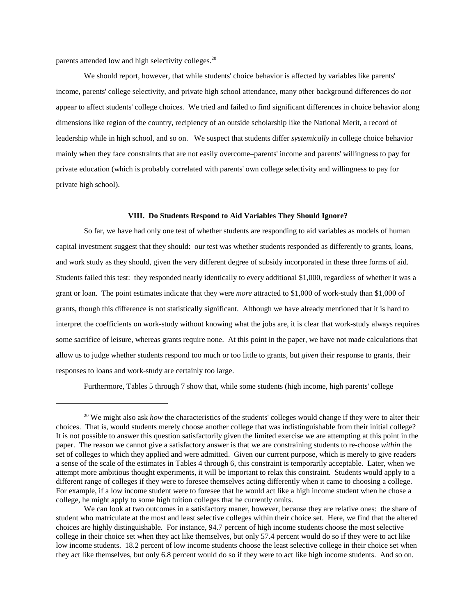parents attended low and high selectivity colleges.<sup>20</sup>

We should report, however, that while students' choice behavior is affected by variables like parents' income, parents' college selectivity, and private high school attendance, many other background differences do *not* appear to affect students' college choices. We tried and failed to find significant differences in choice behavior along dimensions like region of the country, recipiency of an outside scholarship like the National Merit, a record of leadership while in high school, and so on. We suspect that students differ *systemically* in college choice behavior mainly when they face constraints that are not easily overcome–parents' income and parents' willingness to pay for private education (which is probably correlated with parents' own college selectivity and willingness to pay for private high school).

#### VIII. Do Students Respond to Aid Variables They Should Ignore?

So far, we have had only one test of whether students are responding to aid variables as models of human capital investment suggest that they should: our test was whether students responded as differently to grants, loans, and work study as they should, given the very different degree of subsidy incorporated in these three forms of aid. Students failed this test: they responded nearly identically to every additional \$1,000, regardless of whether it was a grant or loan. The point estimates indicate that they were *more* attracted to \$1,000 of work-study than \$1,000 of grants, though this difference is not statistically significant. Although we have already mentioned that it is hard to interpret the coefficients on work-study without knowing what the jobs are, it is clear that work-study always requires some sacrifice of leisure, whereas grants require none. At this point in the paper, we have not made calculations that allow us to judge whether students respond too much or too little to grants, but *given* their response to grants, their responses to loans and work-study are certainly too large.

Furthermore, Tables 5 through 7 show that, while some students (high income, high parents' college

<sup>&</sup>lt;sup>20</sup> We might also ask *how* the characteristics of the students' colleges would change if they were to alter their choices. That is, would students merely choose another college that was indistinguishable from their initial college? It is not possible to answer this question satisfactorily given the limited exercise we are attempting at this point in the paper. The reason we cannot give a satisfactory answer is that we are constraining students to re-choose *within* the set of colleges to which they applied and were admitted. Given our current purpose, which is merely to give readers a sense of the scale of the estimates in Tables 4 through 6, this constraint is temporarily acceptable. Later, when we attempt more ambitious thought experiments, it will be important to relax this constraint. Students would apply to a different range of colleges if they were to foresee themselves acting differently when it came to choosing a college. For example, if a low income student were to foresee that he would act like a high income student when he chose a college, he might apply to some high tuition colleges that he currently omits.

We can look at two outcomes in a satisfactory maner, however, because they are relative ones: the share of student who matriculate at the most and least selective colleges within their choice set. Here, we find that the altered choices are highly distinguishable. For instance, 94.7 percent of high income students choose the most selective college in their choice set when they act like themselves, but only 57.4 percent would do so if they were to act like low income students. 18.2 percent of low income students choose the least selective college in their choice set when they act like themselves, but only 6.8 percent would do so if they were to act like high income students. And so on.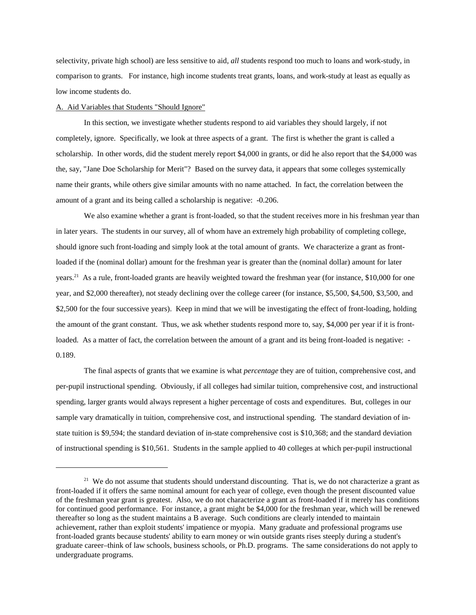selectivity, private high school) are less sensitive to aid, *all* students respond too much to loans and work-study, in comparison to grants. For instance, high income students treat grants, loans, and work-study at least as equally as low income students do.

#### A. Aid Variables that Students "Should Ignore"

In this section, we investigate whether students respond to aid variables they should largely, if not completely, ignore. Specifically, we look at three aspects of a grant. The first is whether the grant is called a scholarship. In other words, did the student merely report \$4,000 in grants, or did he also report that the \$4,000 was the, say, "Jane Doe Scholarship for Merit"? Based on the survey data, it appears that some colleges systemically name their grants, while others give similar amounts with no name attached. In fact, the correlation between the amount of a grant and its being called a scholarship is negative: -0.206.

We also examine whether a grant is front-loaded, so that the student receives more in his freshman year than in later years. The students in our survey, all of whom have an extremely high probability of completing college, should ignore such front-loading and simply look at the total amount of grants. We characterize a grant as frontloaded if the (nominal dollar) amount for the freshman year is greater than the (nominal dollar) amount for later years.<sup>21</sup> As a rule, front-loaded grants are heavily weighted toward the freshman year (for instance, \$10,000 for one year, and \$2,000 thereafter), not steady declining over the college career (for instance, \$5,500, \$4,500, \$3,500, and \$2,500 for the four successive years). Keep in mind that we will be investigating the effect of front-loading, holding the amount of the grant constant. Thus, we ask whether students respond more to, say, \$4,000 per year if it is frontloaded. As a matter of fact, the correlation between the amount of a grant and its being front-loaded is negative: 0.189.

The final aspects of grants that we examine is what *percentage* they are of tuition, comprehensive cost, and per-pupil instructional spending. Obviously, if all colleges had similar tuition, comprehensive cost, and instructional spending, larger grants would always represent a higher percentage of costs and expenditures. But, colleges in our sample vary dramatically in tuition, comprehensive cost, and instructional spending. The standard deviation of instate tuition is \$9,594; the standard deviation of in-state comprehensive cost is \$10,368; and the standard deviation of instructional spending is  $$10,561$ . Students in the sample applied to 40 colleges at which per-pupil instructional

<sup>&</sup>lt;sup>21</sup> We do not assume that students should understand discounting. That is, we do not characterize a grant as front-loaded if it offers the same nominal amount for each year of college, even though the present discounted value of the freshman year grant is greatest. Also, we do not characterize a grant as front-loaded if it merely has conditions for continued good performance. For instance, a grant might be \$4,000 for the freshman year, which will be renewed thereafter so long as the student maintains a B average. Such conditions are clearly intended to maintain achievement, rather than exploit students' impatience or myopia. Many graduate and professional programs use front-loaded grants because students' ability to earn money or win outside grants rises steeply during a student's graduate career–think of law schools, business schools, or Ph.D. programs. The same considerations do not apply to undergraduate programs.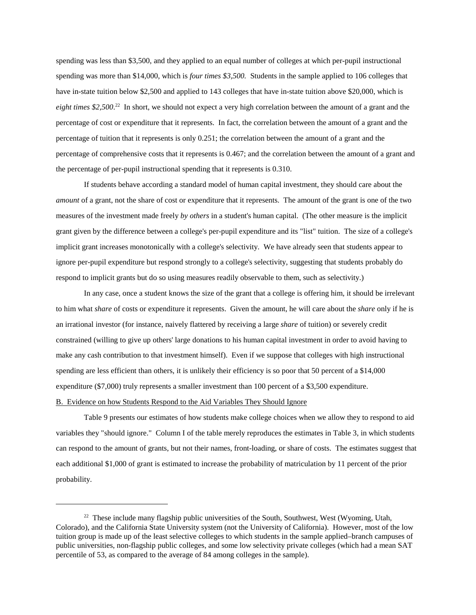spending was less than \$3,500, and they applied to an equal number of colleges at which per-pupil instructional spending was more than \$14,000, which is *four times \$3,500*. Students in the sample applied to 106 colleges that have in-state tuition below \$2,500 and applied to 143 colleges that have in-state tuition above \$20,000, which is *eight times* \$2,500.<sup>22</sup> In short, we should not expect a very high correlation between the amount of a grant and the percentage of cost or expenditure that it represents. In fact, the correlation between the amount of a grant and the percentage of tuition that it represents is only  $0.251$ ; the correlation between the amount of a grant and the percentage of comprehensive costs that it represents is 0.467; and the correlation between the amount of a grant and the percentage of per-pupil instructional spending that it represents is  $0.310$ .

If students behave according a standard model of human capital investment, they should care about the *amount* of a grant, not the share of cost or expenditure that it represents. The amount of the grant is one of the two measures of the investment made freely *by others* in a student's human capital. (The other measure is the implicit grant given by the difference between a college's per-pupil expenditure and its "list" tuition. The size of a college's implicit grant increases monotonically with a college's selectivity. We have already seen that students appear to ignore per-pupil expenditure but respond strongly to a college's selectivity, suggesting that students probably do respond to implicit grants but do so using measures readily observable to them, such as selectivity.)

In any case, once a student knows the size of the grant that a college is offering him, it should be irrelevant to him what *share* of costs or expenditure it represents. Given the amount, he will care about the *share* only if he is an irrational investor (for instance, naively flattered by receiving a large *share* of tuition) or severely credit constrained (willing to give up others' large donations to his human capital investment in order to avoid having to make any cash contribution to that investment himself). Even if we suppose that colleges with high instructional spending are less efficient than others, it is unlikely their efficiency is so poor that 50 percent of a \$14,000 expenditure ( $$7,000$ ) truly represents a smaller investment than 100 percent of a  $$3,500$  expenditure. B. Evidence on how Students Respond to the Aid Variables They Should Ignore

Table 9 presents our estimates of how students make college choices when we allow they to respond to aid variables they "should ignore." Column I of the table merely reproduces the estimates in Table 3, in which students can respond to the amount of grants, but not their names, front-loading, or share of costs. The estimates suggest that each additional \$1,000 of grant is estimated to increase the probability of matriculation by 11 percent of the prior probability.

<sup>&</sup>lt;sup>22</sup> These include many flagship public universities of the South, Southwest, West (Wyoming, Utah, Colorado), and the California State University system (not the University of California). However, most of the low tuition group is made up of the least selective colleges to which students in the sample applied–branch campuses of public universities, non-flagship public colleges, and some low selectivity private colleges (which had a mean SAT percentile of 53, as compared to the average of 84 among colleges in the sample).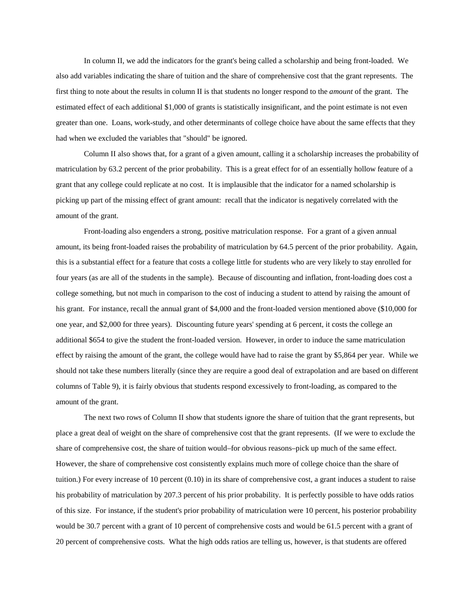In column II, we add the indicators for the grant's being called a scholarship and being front-loaded. We also add variables indicating the share of tuition and the share of comprehensive cost that the grant represents. The first thing to note about the results in column II is that students no longer respond to the *amount* of the grant. The estimated effect of each additional \$1,000 of grants is statistically insignificant, and the point estimate is not even greater than one. Loans, work-study, and other determinants of college choice have about the same effects that they had when we excluded the variables that "should" be ignored.

Column II also shows that, for a grant of a given amount, calling it a scholarship increases the probability of matriculation by 63.2 percent of the prior probability. This is a great effect for of an essentially hollow feature of a grant that any college could replicate at no cost. It is implausible that the indicator for a named scholarship is picking up part of the missing effect of grant amount: recall that the indicator is negatively correlated with the amount of the grant.

Front-loading also engenders a strong, positive matriculation response. For a grant of a given annual amount, its being front-loaded raises the probability of matriculation by 64.5 percent of the prior probability. Again, this is a substantial effect for a feature that costs a college little for students who are very likely to stay enrolled for four years (as are all of the students in the sample). Because of discounting and inflation, front-loading does cost a college something, but not much in comparison to the cost of inducing a student to attend by raising the amount of his grant. For instance, recall the annual grant of \$4,000 and the front-loaded version mentioned above (\$10,000 for one year, and \$2,000 for three years). Discounting future years' spending at 6 percent, it costs the college an additional \$654 to give the student the front-loaded version. However, in order to induce the same matriculation effect by raising the amount of the grant, the college would have had to raise the grant by  $$5,864$  per year. While we should not take these numbers literally (since they are require a good deal of extrapolation and are based on different columns of Table 9), it is fairly obvious that students respond excessively to front-loading, as compared to the amount of the grant.

The next two rows of Column II show that students ignore the share of tuition that the grant represents, but place a great deal of weight on the share of comprehensive cost that the grant represents. (If we were to exclude the share of comprehensive cost, the share of tuition would–for obvious reasons–pick up much of the same effect. However, the share of comprehensive cost consistently explains much more of college choice than the share of tuition.) For every increase of 10 percent  $(0.10)$  in its share of comprehensive cost, a grantinduces a student to raise his probability of matriculation by 207.3 percent of his prior probability. It is perfectly possible to have odds ratios of this size. For instance, if the student's prior probability of matriculation were 10 percent, his posterior probability would be 30.7 percent with a grant of 10 percent of comprehensive costs and would be 61.5 percent with a grant of 20 percent of comprehensive costs. What the high odds ratios are telling us, however, is that students are offered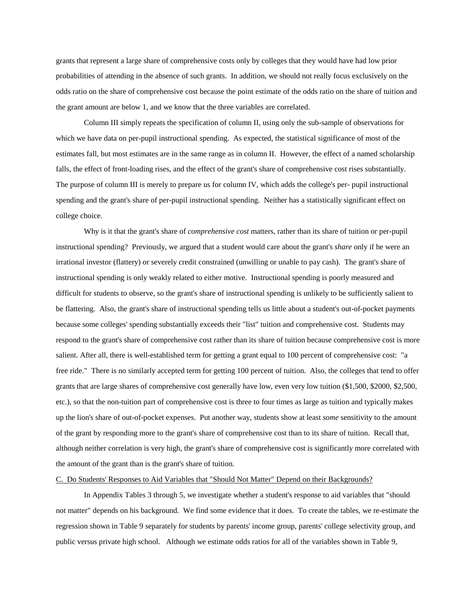grants that represent a large share of comprehensive costs only by colleges that they would have had low prior probabilities of attending in the absence of such grants. In addition, we should not really focus exclusively on the odds ratio on the share of comprehensive cost because the point estimate of the odds ratio on the share of tuition and the grant amount are below 1, and we know that the three variables are correlated.

Column III simply repeats the specification of column II, using only the sub-sample of observations for which we have data on per-pupil instructional spending. As expected, the statistical significance of most of the estimates fall, but most estimates are in the same range as in column II. However, the effect of a named scholarship falls, the effect of front-loading rises, and the effect of the grant's share of comprehensive cost rises substantially. The purpose of column III is merely to prepare us for column IV, which adds the college's per-pupil instructional spending and the grant's share of per-pupil instructional spending. Neither has a statistically significant effect on college choice.

Why is it that the grant's share of *comprehensive cost* matters, rather than its share of tuition or per-pupil instructional spending? Previously, we argued that a student would care about the grant's *share* only if he were an irrational investor (flattery) or severely credit constrained (unwilling or unable to pay cash). The grant's share of instructional spending is only weakly related to either motive. Instructional spending is poorly measured and difficult for students to observe, so the grant's share of instructional spending is unlikely to be sufficiently salient to be flattering. Also, the grant's share of instructional spending tells us little about a student's out-of-pocket payments because some colleges' spending substantially exceeds their "list" tuition and comprehensive cost. Students may respond to the grant's share of comprehensive cost rather than its share of tuition because comprehensive cost is more salient. After all, there is well-established term for getting a grant equal to 100 percent of comprehensive cost: "a free ride." There is no similarly accepted term for getting 100 percent of tuition. Also, the colleges that tend to offer grants that are large shares of comprehensive cost generally have low, even very low tuition (\$1,500, \$2000, \$2,500, etc.), so that the non-tuition part of comprehensive cost is three to four times as large as tuition and typically makes up the lion's share of out-of-pocket expenses. Put another way, students show at least *some* sensitivity to the amount of the grant by responding more to the grant's share of comprehensive cost than to its share of tuition. Recall that, although neither correlation is very high, the grant's share of comprehensive cost is significantly more correlated with the amount of the grant than is the grant's share of tuition.

#### C. Do Students' Responses to Aid Variables that "Should Not Matter" Depend on their Backgrounds?

In Appendix Tables 3 through 5, we investigate whether a student's response to aid variables that "should not matter" depends on his background. We find some evidence that it does. To create the tables, we re-estimate the regression shown in Table 9 separately for students by parents' income group, parents' college selectivity group, and public versus private high school. Although we estimate odds ratios for all of the variables shown in Table 9,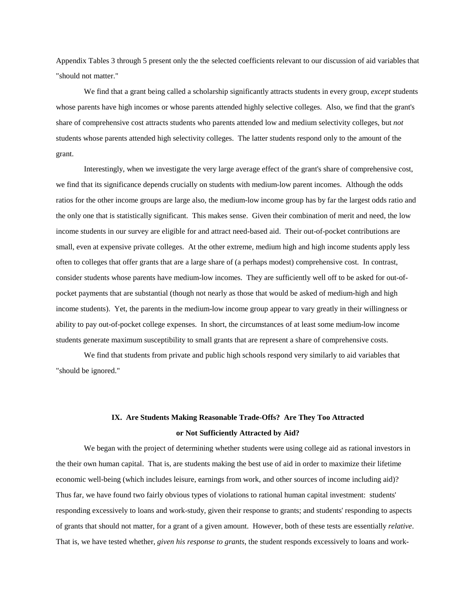Appendix Tables 3 through 5 present only the the selected coefficients relevant to our discussion of aid variables that "should not matter."

We find that a grant being called a scholarship significantly attracts students in every group, *except* students whose parents have high incomes or whose parents attended highly selective colleges. Also, we find that the grant's share of comprehensive cost attracts students who parents attended low and medium selectivity colleges, but *not* students whose parents attended high selectivity colleges. The latter students respond only to the amount of the grant.

Interestingly, when we investigate the very large average effect of the grant's share of comprehensive cost, we find that its significance depends crucially on students with medium-low parent incomes. Although the odds ratios for the other income groups are large also, the medium-low income group has by far the largest odds ratio and the only one that is statistically significant. This makes sense. Given their combination of merit and need, the low income students in our survey are eligible for and attract need-based aid. Their out-of-pocket contributions are small, even at expensive private colleges. At the other extreme, medium high and high income students apply less often to colleges that offer grants that are a large share of (a perhaps modest) comprehensive cost. In contrast, consider students whose parents have medium-low incomes. They are sufficiently well off to be asked for out-ofpocket payments that are substantial (though not nearly as those that would be asked of medium-high and high income students). Yet, the parents in the medium-low income group appear to vary greatly in their willingness or ability to pay out-of-pocket college expenses. In short, the circumstances of at least some medium-low income students generate maximum susceptibility to small grants that are represent a share of comprehensive costs.

We find that students from private and public high schools respond very similarly to aid variables that "should be ignored."

# IX. Are Students Making Reasonable Trade-Offs? Are They Too Attracted or Not Sufficiently Attracted by Aid?

We began with the project of determining whether students were using college aid as rational investors in the their own human capital. That is, are students making the best use of aid in order to maximize their lifetime economic well-being (which includes leisure, earnings from work, and other sources of income including aid)? Thus far, we have found two fairly obvious types of violations to rational human capital investment: students' responding excessively to loans and work-study, given their response to grants; and students' responding to aspects ofgrantsthatshouldnotmatter,foragrantofagivenamount.However,bothofthesetestsareessentially*relative*. That is, we have tested whether, *given his response to grants*, the student responds excessively to loans and work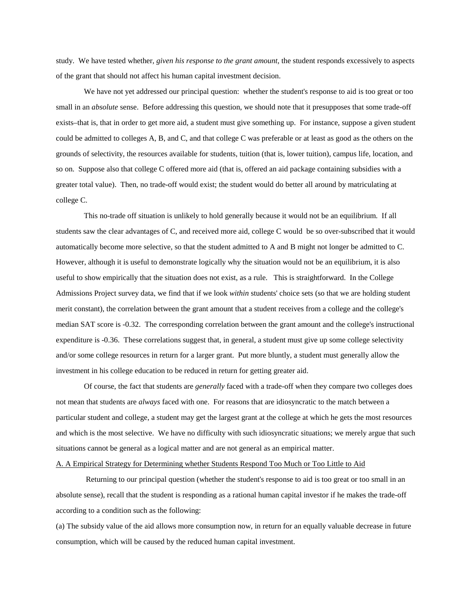study. We have tested whether, *given his response to the grant amount*, the student responds excessively to aspects of the grant that should not affect his human capital investment decision.

We have not yet addressed our principal question: whether the student's response to aid is too great or too small in an *absolute* sense. Before addressing this question, we should note that it presupposes that some trade-off exists–that is, that in order to get more aid, a student must give something up. For instance, suppose a given student could be admitted to colleges A, B, and C, and that college C was preferable or at least as good as the others on the grounds of selectivity, the resources available for students, tuition (that is, lower tuition), campus life, location, and so on. Suppose also that college C offered more aid (that is, offered an aid package containing subsidies with a greater total value). Then, no trade-off would exist; the student would do better all around by matriculating at college C.

This no-trade off situation is unlikely to hold generally because it would not be an equilibrium. If all students saw the clear advantages of C, and received more aid, college C would be so over-subscribed that it would automatically become more selective, so that the student admitted to A and B might not longer be admitted to C. However, although it is useful to demonstrate logically why the situation would not be an equilibrium, it is also useful to show empirically that the situation does not exist, as a rule. This is straightforward. In the College Admissions Project survey data, we find that if we look *within* students' choice sets (so that we are holding student merit constant), the correlation between the grant amount that a student receives from a college and the college's median SAT score is -0.32. The corresponding correlation between the grant amount and the college's instructional expenditure is -0.36. These correlations suggest that, in general, a student must give up some college selectivity and/or some college resources in return for a larger grant. Put more bluntly, a student must generally allow the investment in his college education to be reduced in return for getting greater aid.

Of course, the fact that students are *generally* faced with a trade-off when they compare two colleges does not mean that students are *always* faced with one. For reasons that are idiosyncratic to the match between a particular student and college, a student may get the largest grant at the college at which he gets the most resources and which is the most selective. We have no difficulty with such idiosyncratic situations; we merely argue that such situations cannot be general as a logical matter and are not general as an empirical matter.

#### A. A Empirical Strategy for Determining whether Students Respond Too Much or Too Little to Aid

Returning to our principal question (whether the student's response to aid is too great or too small in an absolute sense), recall that the student is responding as a rational human capital investor if he makes the trade-off according to a condition such as the following:

(a) The subsidy value of the aid allows more consumption now, in return for an equally valuable decrease in future consumption, which will be caused by the reduced human capital investment.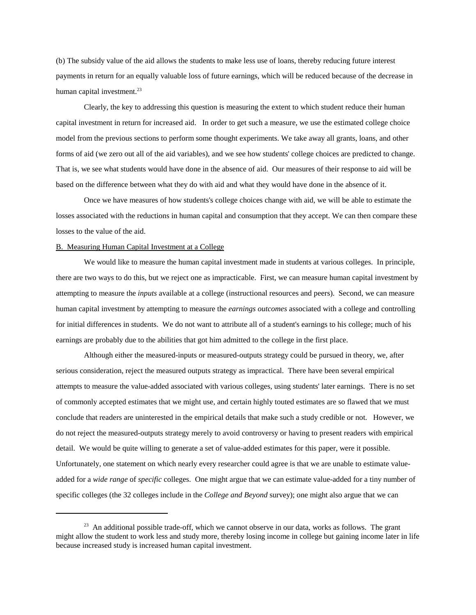(b) The subsidy value of the aid allows the students to make less use of loans, thereby reducing future interest payments in return for an equally valuable loss of future earnings, which will be reduced because of the decrease in human capital investment. $^{23}$ 

Clearly, the key to addressing this question is measuring the extent to which student reduce their human capital investment in return for increased aid. In order to get such a measure, we use the estimated college choice model from the previous sections to perform some thought experiments. We take away all grants, loans, and other forms of aid (we zero out all of the aid variables), and we see how students' college choices are predicted to change. That is, we see what students would have done in the absence of aid. Our measures of their response to aid will be based on the difference between what they do with aid and what they would have done in the absence of it.

Once we have measures of how students's college choices change with aid, we will be able to estimate the losses associated with the reductions in human capital and consumption that they accept. We can then compare these losses to the value of the aid.

#### B. Measuring Human Capital Investment at a College

We would like to measure the human capital investment made in students at various colleges. In principle, there are two ways to do this, but we reject one as impracticable. First, we can measure human capital investment by attempting to measure the *inputs* available at a college (instructional resources and peers). Second, we can measure human capital investment by attempting to measure the *earnings outcomes* associated with a college and controlling for initial differences in students. We do not want to attribute all of a student's earnings to his college; much of his earnings are probably due to the abilities that got him admitted to the college in the first place.

Although either the measured-inputs or measured-outputs strategy could be pursued in theory, we, after serious consideration, reject the measured outputs strategy as impractical. There have been several empirical attempts to measure the value-added associated with various colleges, using students' later earnings. There is no set of commonly accepted estimates that we might use, and certain highly touted estimates are so flawed that we must conclude that readers are uninterested in the empirical details that make such a study credible or not. However, we do not reject the measured-outputs strategy merely to avoid controversy or having to present readers with empirical detail. We would be quite willing to generate a set of value-added estimates for this paper, were it possible. Unfortunately, one statement on which nearly every researcher could agree is that we are unable to estimate valueadded for a *wide range* of *specific* colleges. One might argue that we can estimate value-added for a tiny number of specific colleges (the 32 colleges include in the *College and Beyond* survey); one might also argue that we can

 $23$  An additional possible trade-off, which we cannot observe in our data, works as follows. The grant might allow the student to work less and study more, thereby losing income in college but gaining income later in life because increased study is increased human capital investment.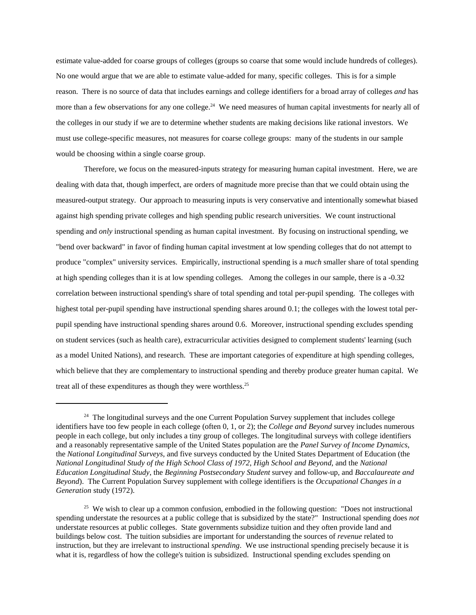estimate value-added for coarse groups of colleges (groups so coarse that some would include hundreds of colleges). No one would argue that we are able to estimate value-added for many, specific colleges. This is for a simple reason. There is no source of data that includes earnings and college identifiers for a broad array of colleges *and* has more than a few observations for any one college.<sup>24</sup> We need measures of human capital investments for nearly all of the colleges in our study if we are to determine whether students are making decisions like rational investors. We must use college-specific measures, not measures for coarse college groups: many of the students in our sample would be choosing within a single coarse group.

Therefore, we focus on the measured-inputs strategy for measuring human capital investment. Here, we are dealing with data that, though imperfect, are orders of magnitude more precise than that we could obtain using the measured-output strategy. Our approach to measuring inputs is very conservative and intentionally somewhat biased against high spending private colleges and high spending public research universities. We count instructional spending and *only* instructional spending as human capital investment. By focusing on instructional spending, we "bend over backward" in favor of finding human capital investment at low spending colleges that do not attempt to produce "complex" university services. Empirically, instructional spending is a *much* smaller share of total spending at high spending colleges than it is at low spending colleges. Among the colleges in our sample, there is a -0.32 correlation between instructional spending's share of total spending and total per-pupil spending. The colleges with highest total per-pupil spending have instructional spending shares around 0.1; the colleges with the lowest total perpupil spending have instructional spending shares around 0.6. Moreover, instructional spending excludes spending on student services (such as health care), extracurricular activities designed to complement students' learning (such as a model United Nations), and research. These are important categories of expenditure at high spending colleges, which believe that they are complementary to instructional spending and thereby produce greater human capital. We treat all of these expenditures as though they were worthless.<sup>25</sup>

 $24$  The longitudinal surveys and the one Current Population Survey supplement that includes college identifiers have too few people in each college (often 0, 1, or 2); the *College and Beyond* survey includes numerous people in each college, but only includes a tiny group of colleges. The longitudinal surveys with college identifiers and a reasonably representative sample of the United States population are the *Panel Survey of Income Dynamics*, the *National Longitudinal Surveys*, and five surveys conducted by the United States Department of Education (the *NationalLongitudinalStudyoftheHighSchoolClassof1972*,*HighSchoolandBeyond*,andthe*National Education Longitudinal Study*, the *Beginning Postsecondary Student* survey and follow-up, and *Baccalaureate and Beyond*). The Current Population Survey supplement with college identifiers is the *Occupational Changes in a* Generation study (1972).

<sup>&</sup>lt;sup>25</sup> We wish to clear up a common confusion, embodied in the following question: "Does not instructional spending understate the resources at a public college that is subsidized by the state?" Instructional spending does *not* understate resources at public colleges. State governments subsidize tuition and they often provide land and buildings below cost. The tuition subsidies are important for understanding the sources of *revenue* related to instruction, but they are irrelevant to instructional *spending*. We use instructional spending precisely because it is what it is, regardless of how the college's tuition is subsidized. Instructional spending excludes spending on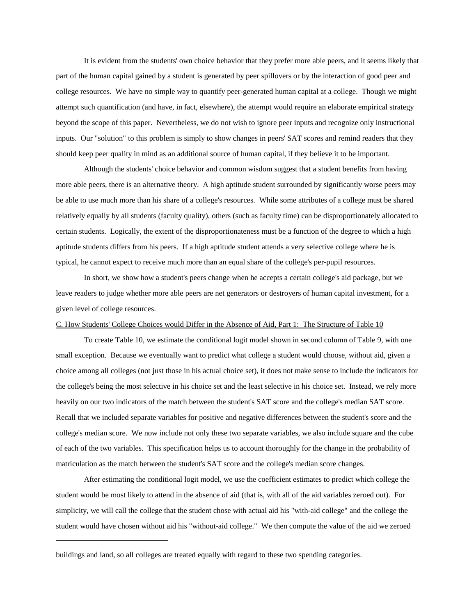It is evident from the students' own choice behavior that they prefer more able peers, and it seems likely that part of the human capital gained by a student is generated by peer spillovers or by the interaction of good peer and college resources. We have no simple way to quantify peer-generated human capital at a college. Though we might attempt such quantification (and have, in fact, elsewhere), the attempt would require an elaborate empirical strategy beyond the scope of this paper. Nevertheless, we do not wish to ignore peer inputs and recognize only instructional inputs. Our "solution" to this problem is simply to show changes in peers' SAT scores and remind readers that they should keep peer quality in mind as an additional source of human capital, if they believe it to be important.

Although the students' choice behavior and common wisdom suggest that a student benefits from having more able peers, there is an alternative theory. A high aptitude student surrounded by significantly worse peers may be able to use much more than his share of a college's resources. While some attributes of a college must be shared relatively equally by all students (faculty quality), others (such as faculty time) can be disproportionately allocated to certain students. Logically, the extent of the disproportionateness must be a function of the degree to which a high aptitude students differs from his peers. If a high aptitude student attends a very selective college where he is typical, he cannot expect to receive much more than an equal share of the college's per-pupil resources.

In short, we show how a student's peers change when he accepts a certain college's aid package, but we leave readers to judge whether more able peers are net generators or destroyers of human capital investment, for a given level of college resources.

## C. How Students' College Choices would Differ in the Absence of Aid, Part 1: The Structure of Table 10

To create Table 10, we estimate the conditional logit model shown in second column of Table 9, with one small exception. Because we eventually want to predict what college a student would choose, without aid, given a choice among all colleges (not just those in his actual choice set), it does not make sense to include the indicators for the college's being the most selective in his choice set and the least selective in his choice set. Instead, we rely more heavily on our two indicators of the match between the student's SAT score and the college's median SAT score. Recall that we included separate variables for positive and negative differences between the student's score and the college's median score. We now include not only these two separate variables, we also include square and the cube of each of the two variables. This specification helps us to account thoroughly for the change in the probability of matriculation as the match between the student's SAT score and the college's median score changes.

After estimating the conditional logit model, we use the coefficient estimates to predict which college the student would be most likely to attend in the absence of aid (that is, with all of the aid variables zeroed out). For simplicity, we will call the college that the student chose with actual aid his "with-aid college" and the college the student would have chosen without aid his "without-aid college." We then compute the value of the aid we zeroed

buildings and land, so all colleges are treated equally with regard to these two spending categories.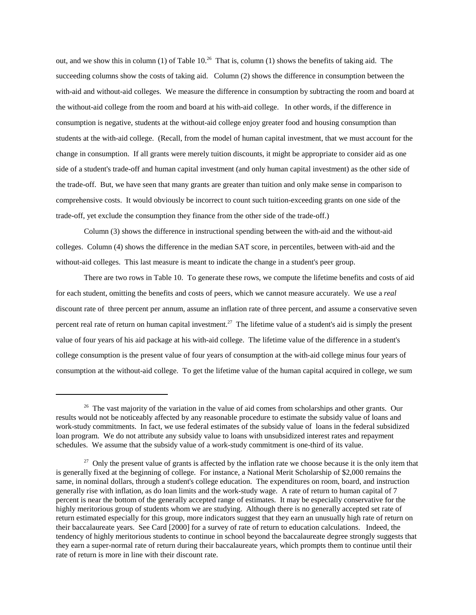out, and we show this in column (1) of Table  $10^{26}$  That is, column (1) shows the benefits of taking aid. The succeeding columns show the costs of taking aid. Column (2) shows the difference in consumption between the with-aid and without-aid colleges. We measure the difference in consumption by subtracting the room and board at the without-aid college from the room and board at his with-aid college. In other words, if the difference in consumption is negative, students at the without-aid college enjoy greater food and housing consumption than students at the with-aid college. (Recall, from the model of human capital investment, that we must account for the change in consumption. If all grants were merely tuition discounts, it might be appropriate to consider aid as one side of a student's trade-off and human capital investment (and only human capital investment) as the other side of the trade-off. But, we have seen that many grants are greater than tuition and only make sense in comparison to comprehensive costs. It would obviously be incorrect to count such tuition-exceeding grants on one side of the trade-off, yet exclude the consumption they finance from the other side of the trade-off.)

Column (3) shows the difference in instructional spending between the with-aid and the without-aid colleges. Column (4) shows the difference in the median SAT score, in percentiles, between with-aid and the without-aid colleges. This last measure is meant to indicate the change in a student's peer group.

There are two rows in Table 10. To generate these rows, we compute the lifetime benefits and costs of aid for each student, omitting the benefits and costs of peers, which we cannot measure accurately. We use a *real* discount rate of three percent per annum, assume an inflation rate of three percent, and assume a conservative seven percent real rate of return on human capital investment.<sup>27</sup> The lifetime value of a student's aid is simply the present value of four years of his aid package at his with-aid college. The lifetime value of the difference in a student's college consumption is the present value of four years of consumption at the with-aid college minus four years of consumption at the without-aid college. To get the lifetime value of the human capital acquired in college, we sum

<sup>&</sup>lt;sup>26</sup> The vast majority of the variation in the value of aid comes from scholarships and other grants. Our results would not be noticeably affected by any reasonable procedure to estimate the subsidy value of loans and work-study commitments. In fact, we use federal estimates of the subsidy value of loans in the federal subsidized loan program. We do not attribute any subsidy value to loans with unsubsidized interest rates and repayment schedules. We assume that the subsidy value of a work-study commitment is one-third of its value.

 $27$  Only the present value of grants is affected by the inflation rate we choose because it is the only item that is generally fixed at the beginning of college. For instance, a National Merit Scholarship of \$2,000 remains the same, in nominal dollars, through a student's college education. The expenditures on room, board, and instruction generally rise with inflation, as do loan limits and the work-study wage. A rate of return to human capital of 7 percent is near the bottom of the generally accepted range of estimates. It may be especially conservative for the highly meritorious group of students whom we are studying. Although there is no generally accepted set rate of return estimated especially for this group, more indicators suggest that they earn an unusually high rate of return on their baccalaureate years. See Card [2000] for a survey of rate of return to education calculations. Indeed, the tendency of highly meritorious students to continue in school beyond the baccalaureate degree strongly suggests that they earn a super-normal rate of return during their baccalaureate years, which prompts them to continue until their rate of return is more in line with their discount rate.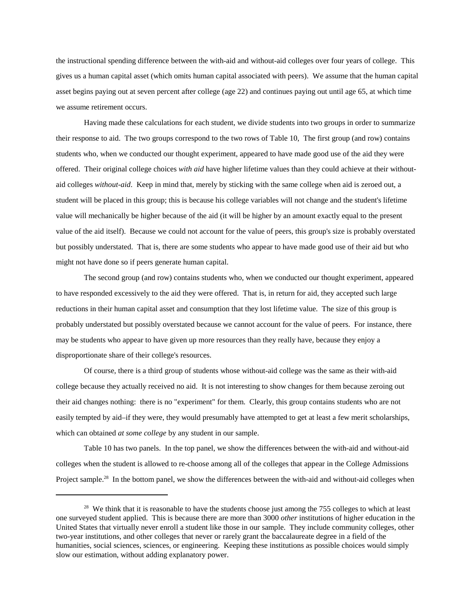the instructional spending difference between the with-aid and without-aid colleges over four years of college. This gives us a human capital asset (which omits human capital associated with peers). We assume that the human capital asset begins paying out at seven percent after college (age 22) and continues paying out until age 65, at which time we assume retirement occurs.

Having made these calculations for each student, we divide students into two groups in order to summarize their response to aid. The two groups correspond to the two rows of Table 10, The first group (and row) contains students who, when we conducted our thought experiment, appeared to have made good use of the aid they were offered. Their original college choices with aid have higher lifetime values than they could achieve at their withoutaid colleges *without-aid*. Keep in mind that, merely by sticking with the same college when aid is zeroed out, a student will be placed in this group; this is because his college variables will not change and the student's lifetime value will mechanically be higher because of the aid (it will be higher by an amount exactly equal to the present value of the aid itself). Because we could not account for the value of peers, this group's size is probably overstated but possibly understated. That is, there are some students who appear to have made good use of their aid but who might not have done so if peers generate human capital.

The second group (and row) contains students who, when we conducted our thought experiment, appeared to have responded excessively to the aid they were offered. That is, in return for aid, they accepted such large reductions in their human capital asset and consumption that they lost lifetime value. The size of this group is probably understated but possibly overstated because we cannot account for the value of peers. For instance, there may be students who appear to have given up more resources than they really have, because they enjoy a disproportionate share of their college's resources.

Of course, there is a third group of students whose without-aid college was the same as their with-aid college because they actually received no aid. It is not interesting to show changes for them because zeroing out their aid changes nothing: there is no "experiment" for them. Clearly, this group contains students who are not easily tempted by aid–if they were, they would presumably have attempted to get at least a few merit scholarships, which can obtained *at some college* by any student in our sample.

Table 10 has two panels. In the top panel, we show the differences between the with-aid and without-aid colleges when the student is allowed to re-choose among all of the colleges that appear in the College Admissions Project sample.<sup>28</sup> In the bottom panel, we show the differences between the with-aid and without-aid colleges when

<sup>&</sup>lt;sup>28</sup> We think that it is reasonable to have the students choose just among the 755 colleges to which at least one surveyed student applied. This is because there are more than 3000 *other* institutions of higher education in the United States that virtually never enroll a student like those in our sample. They include community colleges, other two-year institutions, and other colleges that never or rarely grant the baccalaureate degree in a field of the humanities, social sciences, sciences, or engineering. Keeping these institutions as possible choices would simply slow our estimation, without adding explanatory power.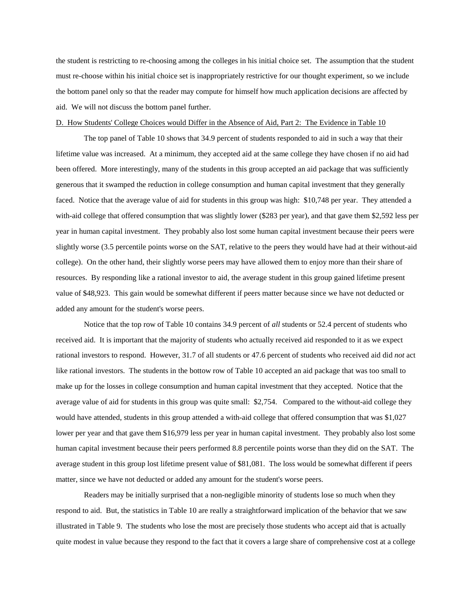the student is restricting to re-choosing among the colleges in his initial choice set. The assumption that the student must re-choose within his initial choice set is inappropriately restrictive for our thought experiment, so we include the bottom panel only so that the reader may compute for himself how much application decisions are affected by aid. We will not discuss the bottom panel further.

#### D. How Students' College Choices would Differ in the Absence of Aid, Part 2: The Evidence in Table 10

The top panel of Table 10 shows that 34.9 percent of students responded to aid in such a way that their lifetime value was increased. At a minimum, they accepted aid at the same college they have chosen if no aid had been offered. More interestingly, many of the students in this group accepted an aid package that was sufficiently generous that it swamped the reduction in college consumption and human capital investment that they generally faced. Notice that the average value of aid for students in this group was high: \$10,748 per year. They attended a with-aid college that offered consumption that was slightly lower (\$283 per year), and that gave them \$2,592 less per year in human capital investment. They probably also lost some human capital investment because their peers were slightly worse (3.5 percentile points worse on the SAT, relative to the peers they would have had at their without-aid college). On the other hand, their slightly worse peers may have allowed them to enjoy more than their share of resources. By responding like a rational investor to aid, the average student in this group gained lifetime present value of \$48,923. This gain would be somewhat different if peers matter because since we have not deducted or added any amount for the student's worse peers.

Notice that the top row of Table 10 contains 34.9 percent of *all* students or 52.4 percent of students who received aid. It is important that the majority of students who actually received aid responded to it as we expect rational investors to respond. However, 31.7 of all students or 47.6 percent of students who received aid did *not* act like rational investors. The students in the bottow row of Table 10 accepted an aid package that was too small to make up for the losses in college consumption and human capital investment that they accepted. Notice that the average value of aid for students in this group was quite small: \$2,754. Compared to the without-aid college they would have attended, students in this group attended a with-aid college that offered consumption that was \$1,027 lower per year and that gave them \$16,979 less per year in human capital investment. They probably also lost some human capital investment because their peers performed 8.8 percentile points worse than they did on the SAT. The average student in this group lost lifetime present value of \$81,081. The loss would be somewhat different if peers matter, since we have not deducted or added any amount for the student's worse peers.

Readers may be initially surprised that a non-negligible minority of students lose so much when they respond to aid. But, the statistics in Table 10 are really a straightforward implication of the behavior that we saw illustrated in Table 9. The students who lose the most are precisely those students who accept aid that is actually quite modest in value because they respond to the fact that it covers a large share of comprehensive cost at a college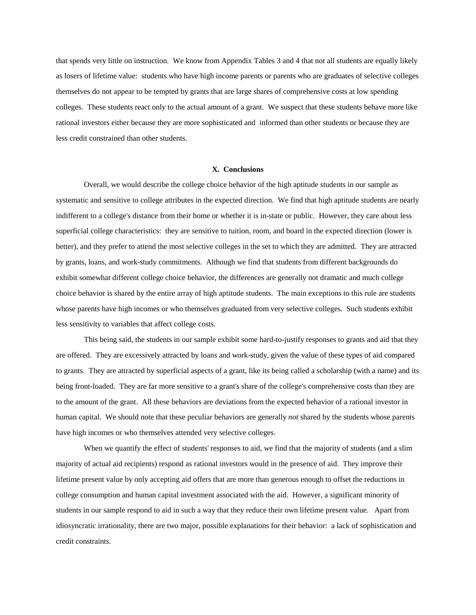that spends very little on instruction. We know from Appendix Tables 3 and 4 that not all students are equally likely as losers of lifetime value: students who have high income parents or parents who are graduates of selective colleges themselves do not appear to be tempted by grants that are large shares of comprehensive costs at low spending colleges. These students react only to the actual amount of a grant. We suspect that these students behave more like rational investors either because they are more sophisticated and informed than other students or because they are less credit constrained than other students.

#### **X.Conclusions**

Overall, we would describe the college choice behavior of the high aptitude students in our sample as systematic and sensitive to college attributes in the expected direction. We find that high aptitude students are nearly indifferent to a college's distance from their home or whether it is in-state or public. However, they care about less superficial college characteristics: they are sensitive to tuition, room, and board in the expected direction (lower is better), and they prefer to attend the most selective colleges in the set to which they are admitted. They are attracted by grants, loans, and work-study commitments. Although we find that students from different backgrounds do exhibit somewhat different college choice behavior, the differences are generally not dramatic and much college choice behavior is shared by the entire array of high aptitude students. The main exceptions to this rule are students whose parents have high incomes or who themselves graduated from very selective colleges. Such students exhibit less sensitivity to variables that affect college costs.

This being said, the students in our sample exhibit some hard-to-justify responses to grants and aid that they are offered. They are excessively attracted by loans and work-study, given the value of these types of aid compared to grants. They are attracted by superficial aspects of a grant, like its being called a scholarship (with a name) and its being front-loaded. They are far more sensitive to a grant's share of the college's comprehensive costs than they are to the amount of the grant. All these behaviors are deviations from the expected behavior of a rational investor in human capital. We should note that these peculiar behaviors are generally *not* shared by the students whose parents have high incomes or who themselves attended very selective colleges.

When we quantify the effect of students' responses to aid, we find that the majority of students (and a slim majority of actual aid recipients) respond as rational investors would in the presence of aid. They improve their lifetime present value by only accepting aid offers that are more than generous enough to offset the reductions in college consumption and human capital investment associated with the aid. However, a significant minority of students in our sample respond to aid in such a way that they reduce their own lifetime present value. Apart from idiosyncratic irrationality, there are two major, possible explanations for their behavior: a lack of sophistication and credit constraints.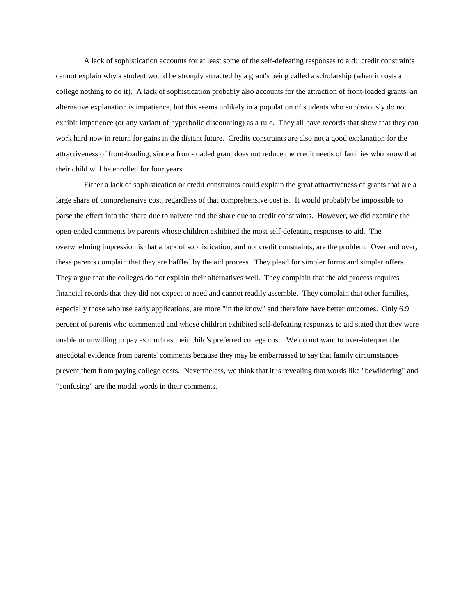A lack of sophistication accounts for at least some of the self-defeating responses to aid: credit constraints cannot explain why a student would be strongly attracted by a grant's being called a scholarship (when it costs a college nothing to do it). A lack of sophistication probably also accounts for the attraction of front-loaded grants–an alternative explanation is impatience, but this seems unlikely in a population of students who so obviously do not exhibit impatience (or any variant of hyperbolic discounting) as a rule. They all have records that show that they can work hard now in return for gains in the distant future. Credits constraints are also not a good explanation for the attractiveness of front-loading, since a front-loaded grant does not reduce the credit needs of families who know that their child will be enrolled for four years.

Either a lack of sophistication or credit constraints could explain the great attractiveness of grants that are a large share of comprehensive cost, regardless of that comprehensive cost is. It would probably be impossible to parse the effect into the share due to naivete and the share due to credit constraints. However, we did examine the open-ended comments by parents whose children exhibited the most self-defeating responses to aid. The overwhelming impression is that a lack of sophistication, and not credit constraints, are the problem. Over and over, these parents complain that they are baffled by the aid process. They plead for simpler forms and simpler offers. They argue that the colleges do not explain their alternatives well. They complain that the aid process requires financial records that they did not expect to need and cannot readily assemble. They complain that other families, especially those who use early applications, are more "in the know" and therefore have better outcomes. Only 6.9 percent of parents who commented and whose children exhibited self-defeating responses to aid stated that they were unable or unwilling to pay as much as their child's preferred college cost. We do not want to over-interpret the anecdotal evidence from parents' comments because they may be embarrassed to say that family circumstances prevent them from paying college costs. Nevertheless, we think that it is revealing that words like "bewildering" and "confusing" are the modal words in their comments.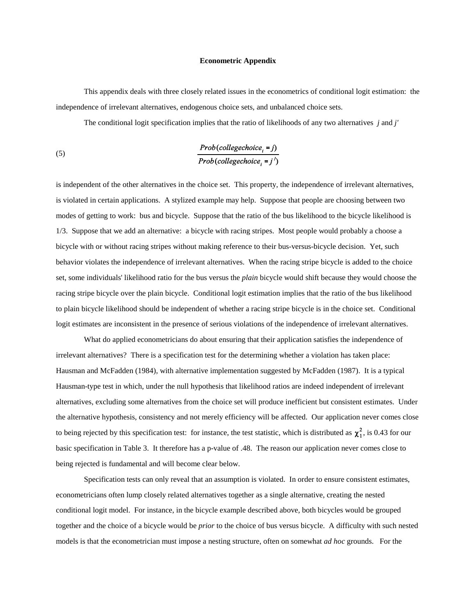#### **EconometricAppendix**

This appendix deals with three closely related issues in the econometrics of conditional logit estimation: the independence of irrelevant alternatives, endogenous choice sets, and unbalanced choice sets.

The conditional logit specification implies that the ratio of likelihoods of any two alternatives *j* and *j'* 

(5) 
$$
\frac{Prob(college choice_i = j)}{Prob(college choice_i = j')}
$$

is independent of the other alternatives in the choice set. This property, the independence of irrelevant alternatives, is violated in certain applications. A stylized example may help. Suppose that people are choosing between two modes of getting to work: bus and bicycle. Suppose that the ratio of the bus likelihood to the bicycle likelihood is 1/3. Suppose that we add an alternative: a bicycle with racing stripes. Most people would probably a choose a bicycle with or without racing stripes without making reference to their bus-versus-bicycle decision. Yet, such behavior violates the independence of irrelevant alternatives. When the racing stripe bicycle is added to the choice set, some individuals' likelihood ratio for the bus versus the *plain* bicycle would shift because they would choose the racing stripe bicycle over the plain bicycle. Conditional logit estimation implies that the ratio of the bus likelihood to plain bicycle likelihood should be independent of whether a racing stripe bicycle is in the choice set. Conditional logit estimates are inconsistent in the presence of serious violations of the independence of irrelevant alternatives.

What do applied econometricians do about ensuring that their application satisfies the independence of irrelevant alternatives? There is a specification test for the determining whether a violation has taken place: Hausman and McFadden (1984), with alternative implementation suggested by McFadden (1987). It is a typical Hausman-type test in which, under the null hypothesis that likelihood ratios are indeed independent of irrelevant alternatives, excluding some alternatives from the choice set will produce inefficient but consistent estimates. Under the alternative hypothesis, consistency and not merely efficiency will be affected. Our application never comes close to being rejected by this specification test: for instance, the test statistic, which is distributed as  $\chi^2_1$ , is 0.43 for our basic specification in Table 3. It therefore has a p-value of .48. The reason our application never comes close to being rejected is fundamental and will become clear below.

Specification tests can only reveal that an assumption is violated. In order to ensure consistent estimates, econometricians often lump closely related alternatives together as a single alternative, creating the nested conditional logit model. For instance, in the bicycle example described above, both bicycles would be grouped together and the choice of a bicycle would be *prior* to the choice of bus versus bicycle. A difficulty with such nested models is that the econometrician must impose a nesting structure, often on somewhat *ad hoc* grounds. For the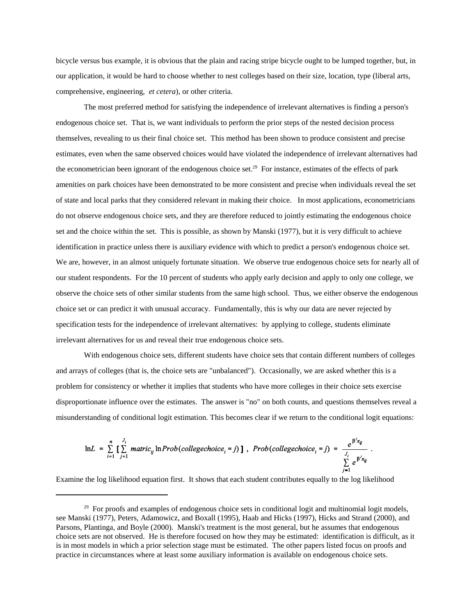bicycle versus bus example, it is obvious that the plain and racing stripe bicycle ought to be lumped together, but, in our application, it would be hard to choose whether to nest colleges based on their size, location, type (liberal arts, comprehensive, engineering, *et cetera*), or other criteria.

The most preferred method for satisfying the independence of irrelevant alternatives is finding a person's endogenous choice set. That is, we wantindividuals to perform the prior steps of the nested decision process themselves, revealing to us their final choice set. This method has been shown to produce consistent and precise estimates, even when the same observed choices would have violated the independence of irrelevant alternatives had the econometrician been ignorant of the endogenous choice set.<sup>29</sup> For instance, estimates of the effects of park amenities on park choices have been demonstrated to be more consistent and precise when individuals reveal the set of state and local parks that they considered relevant in making their choice. In most applications, econometricians do not observe endogenous choice sets, and they are therefore reduced to jointly estimating the endogenous choice set and the choice within the set. This is possible, as shown by Manski (1977), but it is very difficult to achieve identification in practice unless there is auxiliary evidence with which to predict a person's endogenous choice set. We are, however, in an almost uniquely fortunate situation. We observe true endogenous choice sets for nearly all of our student respondents. For the 10 percent of students who apply early decision and apply to only one college, we observe the choice sets of other similar students from the same high school. Thus, we either observe the endogenous choice set or can predict it with unusual accuracy. Fundamentally, this is why our data are never rejected by specification tests for the independence of irrelevant alternatives: by applying to college, students eliminate irrelevant alternatives for us and reveal their true endogenous choice sets.

With endogenous choice sets, different students have choice sets that contain different numbers of colleges and arrays of colleges (that is, the choice sets are "unbalanced"). Occasionally, we are asked whether this is a problem for consistency or whether it implies that students who have more colleges in their choice sets exercise disproportionate influence over the estimates. The answer is "no" on both counts, and questions themselves reveal a misunderstanding of conditional logit estimation. This becomes clear if we return to the conditional logit equations:

$$
\ln L = \sum_{i=1}^{n} \left[ \sum_{j=1}^{J_i} \text{matrix}_{ij} \ln \text{Prob}(collective_i = j) \right], \text{Prob}(collective_i = j) = \frac{e^{\beta x_{ij}}}{\sum_{i=1}^{J_i} e^{\beta x_{ij}}}.
$$

Examine the log likelihood equation first. It shows that each student contributes equally to the log likelihood

 $29$  For proofs and examples of endogenous choice sets in conditional logit and multinomial logit models, see Manski (1977), Peters, Adamowicz, and Boxall (1995), Haab and Hicks (1997), Hicks and Strand (2000), and Parsons, Plantinga, and Boyle (2000). Manski's treatment is the most general, but he assumes that endogenous choice sets are not observed. He is therefore focused on how they may be estimated: identification is difficult, as it is in most models in which a prior selection stage must be estimated. The other papers listed focus on proofs and practice in circumstances where at least some auxiliary information is available on endogenous choice sets.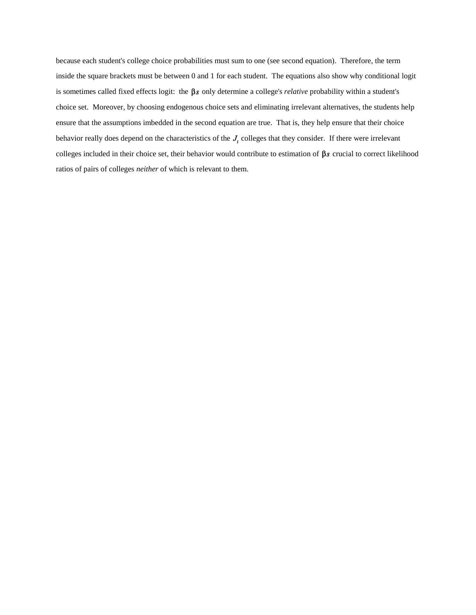because each student's college choice probabilities must sum to one (see second equation). Therefore, the term inside the square brackets must be between 0 and 1 for each student. The equations also show why conditional logit is sometimes called fixed effects logit: the  $\beta s$  only determine a college's *relative* probability within a student's choice set. Moreover, by choosing endogenous choice sets and eliminating irrelevant alternatives, the students help ensure that the assumptions imbedded in the second equation are true. That is, they help ensure that their choice behavior really does depend on the characteristics of the  $J_i$  colleges that they consider. If there were irrelevant colleges included in their choice set, their behavior would contribute to estimation of  $\beta s$  crucial to correct likelihood ratios of pairs of colleges *neither* of which is relevant to them.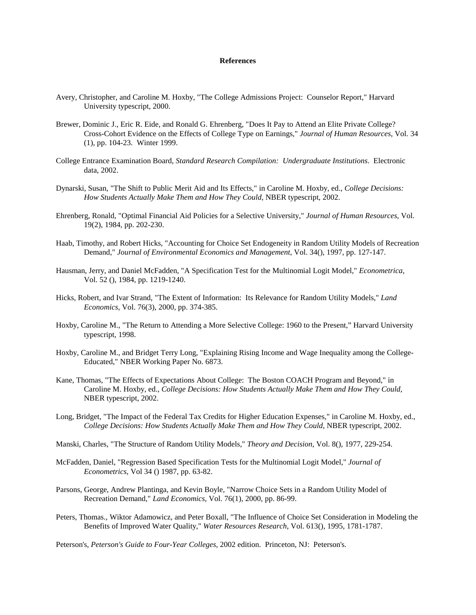#### **References**

- Avery, Christopher, and Caroline M. Hoxby, "The College Admissions Project: Counselor Report," Harvard University typescript, 2000.
- Brewer, Dominic J., Eric R. Eide, and Ronald G. Ehrenberg, "Does It Pay to Attend an Elite Private College? Cross-Cohort Evidence on the Effects of College Type on Earnings," *Journal of Human Resources*, Vol. 34 (1), pp. 104-23. Winter 1999.
- College Entrance Examination Board, Standard Research Compilation: Undergraduate Institutions. Electronic data, 2002.
- Dynarski, Susan, "The Shift to Public Merit Aid and Its Effects," in Caroline M. Hoxby, ed., College Decisions: *How Students Actually Make Them and How They Could, NBER typescript, 2002.*
- Ehrenberg, Ronald, "Optimal Financial Aid Policies for a Selective University," *Journal of Human Resources*, Vol. 19(2),1984,pp.202-230.
- Haab, Timothy, and Robert Hicks, "Accounting for Choice Set Endogeneity in Random Utility Models of Recreation Demand," Journal of Environmental Economics and Management, Vol. 34(), 1997, pp. 127-147.
- Hausman, Jerry, and Daniel McFadden, "A Specification Test for the Multinomial Logit Model," *Econometrica*, Vol. 52 (), 1984, pp. 1219-1240.
- Hicks, Robert, and Ivar Strand, "The Extent of Information: Its Relevance for Random Utility Models," Land *Economics*, Vol. 76(3), 2000, pp. 374-385.
- Hoxby, Caroline M., "The Return to Attending a More Selective College: 1960 to the Present," Harvard University typescript, 1998.
- Hoxby, Caroline M., and Bridget Terry Long, "Explaining Rising Income and Wage Inequality among the College-Educated," NBER Working Paper No. 6873.
- Kane, Thomas, "The Effects of Expectations About College: The Boston COACH Program and Beyond," in Caroline M. Hoxby, ed., *College Decisions: How Students Actually Make Them and How They Could*, NBER typescript, 2002.
- Long, Bridget, "The Impact of the Federal Tax Credits for Higher Education Expenses," in Caroline M. Hoxby, ed., *College Decisions: How Students Actually Make Them and How They Could, NBER typescript, 2002.*
- Manski, Charles, "The Structure of Random Utility Models," Theory and Decision, Vol. 8(), 1977, 229-254.
- McFadden,Daniel,"RegressionBasedSpecificationTestsfortheMultinomialLogitModel,"*Journalof Econometrics*, Vol 34 () 1987, pp. 63-82.
- Parsons, George, Andrew Plantinga, and Kevin Boyle, "Narrow Choice Sets in a Random Utility Model of Recreation Demand," *Land Economics*, Vol. 76(1), 2000, pp. 86-99.
- Peters, Thomas., Wiktor Adamowicz, and Peter Boxall, "The Influence of Choice Set Consideration in Modeling the BenefitsofImprovedWaterQuality,"*WaterResourcesResearch*,Vol.613(),1995,1781-1787.

Peterson's, Peterson's Guide to Four-Year Colleges, 2002 edition. Princeton, NJ: Peterson's.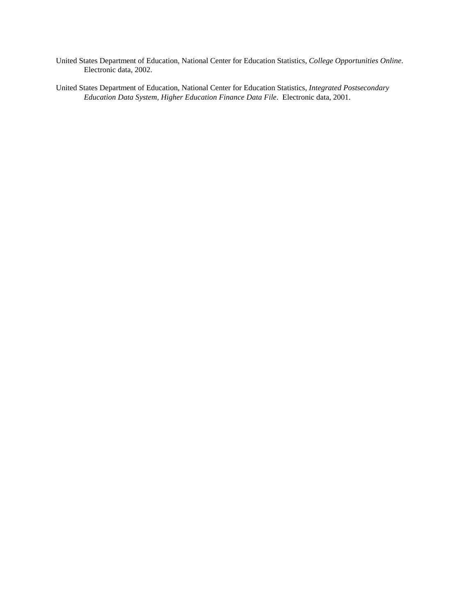United States Department of Education, National Center for Education Statistics, College Opportunities Online. Electronic data, 2002.

United States Department of Education, National Center for Education Statistics, Integrated Postsecondary Education Data System, Higher Education Finance Data File. Electronic data, 2001.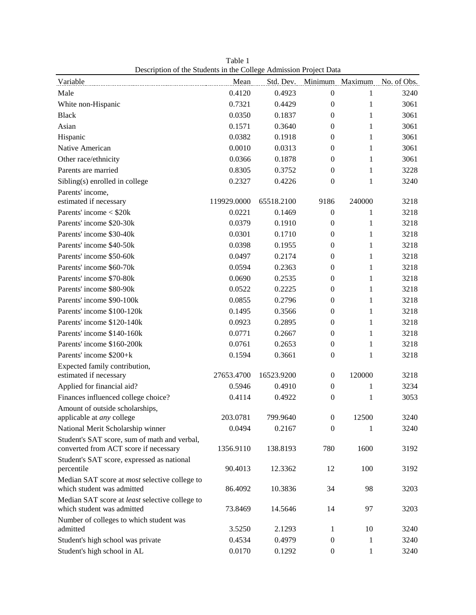| Description of the students in the Conege Admission I foject Data            |             |            |                  |              |                                       |
|------------------------------------------------------------------------------|-------------|------------|------------------|--------------|---------------------------------------|
| <u>Variable</u>                                                              | Mean        |            |                  |              | Std. Dev. Minimum Maximum No. of Obs. |
| Male                                                                         | 0.4120      | 0.4923     | $\boldsymbol{0}$ | $\mathbf{1}$ | 3240                                  |
| White non-Hispanic                                                           | 0.7321      | 0.4429     | $\boldsymbol{0}$ | 1            | 3061                                  |
| <b>Black</b>                                                                 | 0.0350      | 0.1837     | $\mathbf{0}$     | 1            | 3061                                  |
| Asian                                                                        | 0.1571      | 0.3640     | $\boldsymbol{0}$ | 1            | 3061                                  |
| Hispanic                                                                     | 0.0382      | 0.1918     | $\theta$         | 1            | 3061                                  |
| Native American                                                              | 0.0010      | 0.0313     | $\theta$         | 1            | 3061                                  |
| Other race/ethnicity                                                         | 0.0366      | 0.1878     | 0                | 1            | 3061                                  |
| Parents are married                                                          | 0.8305      | 0.3752     | $\mathbf{0}$     | 1            | 3228                                  |
| Sibling(s) enrolled in college                                               | 0.2327      | 0.4226     | $\boldsymbol{0}$ | 1            | 3240                                  |
| Parents' income,                                                             |             |            |                  |              |                                       |
| estimated if necessary                                                       | 119929.0000 | 65518.2100 | 9186             | 240000       | 3218                                  |
| Parents' income $<$ \$20 $k$                                                 | 0.0221      | 0.1469     | $\boldsymbol{0}$ | 1            | 3218                                  |
| Parents' income \$20-30k                                                     | 0.0379      | 0.1910     | $\boldsymbol{0}$ | 1            | 3218                                  |
| Parents' income \$30-40k                                                     | 0.0301      | 0.1710     | $\mathbf{0}$     | 1            | 3218                                  |
| Parents' income \$40-50k                                                     | 0.0398      | 0.1955     | $\mathbf{0}$     | 1            | 3218                                  |
| Parents' income \$50-60k                                                     | 0.0497      | 0.2174     | $\boldsymbol{0}$ | 1            | 3218                                  |
| Parents' income \$60-70k                                                     | 0.0594      | 0.2363     | $\theta$         | 1            | 3218                                  |
| Parents' income \$70-80k                                                     | 0.0690      | 0.2535     | $\mathbf{0}$     | 1            | 3218                                  |
| Parents' income \$80-90k                                                     | 0.0522      | 0.2225     | $\boldsymbol{0}$ | 1            | 3218                                  |
| Parents' income \$90-100k                                                    | 0.0855      | 0.2796     | $\mathbf{0}$     | 1            | 3218                                  |
| Parents' income \$100-120k                                                   | 0.1495      | 0.3566     | $\theta$         | 1            | 3218                                  |
| Parents' income \$120-140k                                                   | 0.0923      | 0.2895     | $\boldsymbol{0}$ | 1            | 3218                                  |
| Parents' income \$140-160k                                                   | 0.0771      | 0.2667     | $\mathbf{0}$     | 1            | 3218                                  |
| Parents' income \$160-200k                                                   | 0.0761      | 0.2653     | $\boldsymbol{0}$ | 1            | 3218                                  |
| Parents' income \$200+k                                                      | 0.1594      | 0.3661     | $\boldsymbol{0}$ | 1            | 3218                                  |
| Expected family contribution,                                                |             |            |                  |              |                                       |
| estimated if necessary                                                       | 27653.4700  | 16523.9200 | $\boldsymbol{0}$ | 120000       | 3218                                  |
| Applied for financial aid?                                                   | 0.5946      | 0.4910     | $\boldsymbol{0}$ | 1            | 3234                                  |
| Finances influenced college choice?                                          | 0.4114      | 0.4922     | $\boldsymbol{0}$ | 1            | 3053                                  |
| Amount of outside scholarships,                                              |             |            |                  |              |                                       |
| applicable at <i>any</i> college                                             | 203.0781    | 799.9640   | 0                | 12500        | 3240                                  |
| National Merit Scholarship winner                                            | 0.0494      | 0.2167     | 0                | 1            | 3240                                  |
| Student's SAT score, sum of math and verbal,                                 |             |            |                  |              |                                       |
| converted from ACT score if necessary                                        | 1356.9110   | 138.8193   | 780              | 1600         | 3192                                  |
| Student's SAT score, expressed as national                                   |             |            |                  |              |                                       |
| percentile                                                                   | 90.4013     | 12.3362    | 12               | 100          | 3192                                  |
| Median SAT score at <i>most</i> selective college to                         |             |            |                  |              |                                       |
| which student was admitted                                                   | 86.4092     | 10.3836    | 34               | 98           | 3203                                  |
| Median SAT score at least selective college to<br>which student was admitted |             |            |                  |              |                                       |
|                                                                              | 73.8469     | 14.5646    | 14               | 97           | 3203                                  |
| Number of colleges to which student was<br>admitted                          | 3.5250      | 2.1293     | 1                | 10           | 3240                                  |
| Student's high school was private                                            | 0.4534      | 0.4979     | 0                | 1            | 3240                                  |
| Student's high school in AL                                                  | 0.0170      | 0.1292     | $\boldsymbol{0}$ | 1            | 3240                                  |
|                                                                              |             |            |                  |              |                                       |

Table 1 Description of the Students in the College Admission Project Data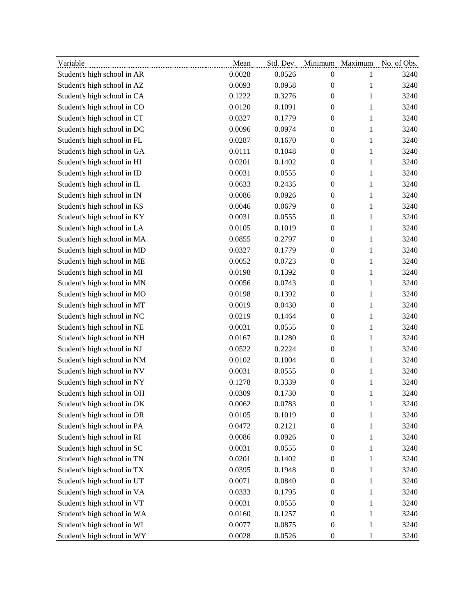| Variable                    | Mean   |        |                  |              | Std. Dev. Minimum Maximum No. of Obs. |
|-----------------------------|--------|--------|------------------|--------------|---------------------------------------|
| Student's high school in AR | 0.0028 | 0.0526 | $\boldsymbol{0}$ | $\mathbf{1}$ | 3240                                  |
| Student's high school in AZ | 0.0093 | 0.0958 | $\boldsymbol{0}$ | $\mathbf{1}$ | 3240                                  |
| Student's high school in CA | 0.1222 | 0.3276 | $\boldsymbol{0}$ | 1            | 3240                                  |
| Student's high school in CO | 0.0120 | 0.1091 | 0                | 1            | 3240                                  |
| Student's high school in CT | 0.0327 | 0.1779 | $\boldsymbol{0}$ | 1            | 3240                                  |
| Student's high school in DC | 0.0096 | 0.0974 | $\boldsymbol{0}$ | 1            | 3240                                  |
| Student's high school in FL | 0.0287 | 0.1670 | 0                | 1            | 3240                                  |
| Student's high school in GA | 0.0111 | 0.1048 | $\boldsymbol{0}$ | 1            | 3240                                  |
| Student's high school in HI | 0.0201 | 0.1402 | $\boldsymbol{0}$ | 1            | 3240                                  |
| Student's high school in ID | 0.0031 | 0.0555 | $\boldsymbol{0}$ | 1            | 3240                                  |
| Student's high school in IL | 0.0633 | 0.2435 | 0                | 1            | 3240                                  |
| Student's high school in IN | 0.0086 | 0.0926 | $\boldsymbol{0}$ | 1            | 3240                                  |
| Student's high school in KS | 0.0046 | 0.0679 | $\boldsymbol{0}$ | 1            | 3240                                  |
| Student's high school in KY | 0.0031 | 0.0555 | $\boldsymbol{0}$ | $\mathbf{1}$ | 3240                                  |
| Student's high school in LA | 0.0105 | 0.1019 | $\boldsymbol{0}$ | $\mathbf{1}$ | 3240                                  |
| Student's high school in MA | 0.0855 | 0.2797 | $\boldsymbol{0}$ | 1            | 3240                                  |
| Student's high school in MD | 0.0327 | 0.1779 | 0                | 1            | 3240                                  |
| Student's high school in ME | 0.0052 | 0.0723 | 0                | 1            | 3240                                  |
| Student's high school in MI | 0.0198 | 0.1392 | $\boldsymbol{0}$ | 1            | 3240                                  |
| Student's high school in MN | 0.0056 | 0.0743 | $\boldsymbol{0}$ | 1            | 3240                                  |
| Student's high school in MO | 0.0198 | 0.1392 | 0                | 1            | 3240                                  |
| Student's high school in MT | 0.0019 | 0.0430 | $\boldsymbol{0}$ | 1            | 3240                                  |
| Student's high school in NC | 0.0219 | 0.1464 | $\boldsymbol{0}$ | 1            | 3240                                  |
| Student's high school in NE | 0.0031 | 0.0555 | 0                | 1            | 3240                                  |
| Student's high school in NH | 0.0167 | 0.1280 | $\boldsymbol{0}$ | 1            | 3240                                  |
| Student's high school in NJ | 0.0522 | 0.2224 | $\boldsymbol{0}$ | 1            | 3240                                  |
| Student's high school in NM | 0.0102 | 0.1004 | $\boldsymbol{0}$ | 1            | 3240                                  |
| Student's high school in NV | 0.0031 | 0.0555 | 0                | 1            | 3240                                  |
| Student's high school in NY | 0.1278 | 0.3339 | $\boldsymbol{0}$ | 1            | 3240                                  |
| Student's high school in OH | 0.0309 | 0.1730 | 0                | 1            | 3240                                  |
| Student's high school in OK | 0.0062 | 0.0783 | $\boldsymbol{0}$ | 1            | 3240                                  |
| Student's high school in OR | 0.0105 | 0.1019 | 0                | $\mathbf{1}$ | 3240                                  |
| Student's high school in PA | 0.0472 | 0.2121 | 0                | $\mathbf{1}$ | 3240                                  |
| Student's high school in RI | 0.0086 | 0.0926 | $\boldsymbol{0}$ | 1            | 3240                                  |
| Student's high school in SC | 0.0031 | 0.0555 | 0                | 1            | 3240                                  |
| Student's high school in TN | 0.0201 | 0.1402 | 0                | 1            | 3240                                  |
| Student's high school in TX | 0.0395 | 0.1948 | 0                | 1            | 3240                                  |
| Student's high school in UT | 0.0071 | 0.0840 | 0                | 1            | 3240                                  |
| Student's high school in VA | 0.0333 | 0.1795 | 0                | $\mathbf{1}$ | 3240                                  |
| Student's high school in VT | 0.0031 | 0.0555 | 0                | 1            | 3240                                  |
| Student's high school in WA | 0.0160 | 0.1257 | 0                | 1            | 3240                                  |
| Student's high school in WI | 0.0077 | 0.0875 | $\boldsymbol{0}$ | $\mathbf{1}$ | 3240                                  |
| Student's high school in WY | 0.0028 | 0.0526 | $\boldsymbol{0}$ | 1            | 3240                                  |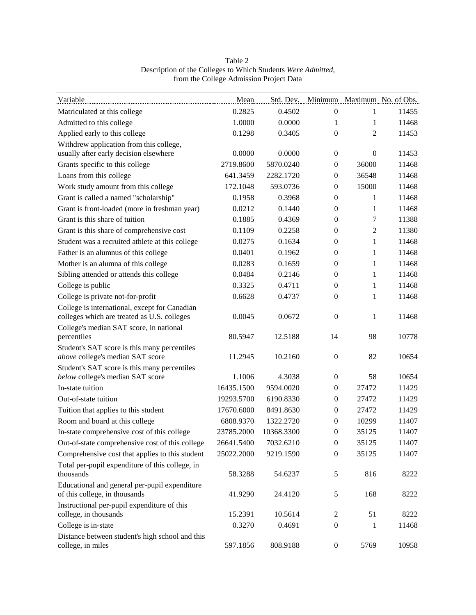| Variable                                                                                     | Mean       | Std. Dev.  |                  |                  | Minimum Maximum No. of Obs. |
|----------------------------------------------------------------------------------------------|------------|------------|------------------|------------------|-----------------------------|
| Matriculated at this college                                                                 | 0.2825     | 0.4502     | $\boldsymbol{0}$ | 1                | 11455                       |
| Admitted to this college                                                                     | 1.0000     | 0.0000     | 1                | 1                | 11468                       |
| Applied early to this college                                                                | 0.1298     | 0.3405     | $\mathbf{0}$     | 2                | 11453                       |
| Withdrew application from this college,                                                      |            |            |                  |                  |                             |
| usually after early decision elsewhere                                                       | 0.0000     | 0.0000     | $\overline{0}$   | $\boldsymbol{0}$ | 11453                       |
| Grants specific to this college                                                              | 2719.8600  | 5870.0240  | $\overline{0}$   | 36000            | 11468                       |
| Loans from this college                                                                      | 641.3459   | 2282.1720  | $\boldsymbol{0}$ | 36548            | 11468                       |
| Work study amount from this college                                                          | 172.1048   | 593.0736   | $\overline{0}$   | 15000            | 11468                       |
| Grant is called a named "scholarship"                                                        | 0.1958     | 0.3968     | $\mathbf{0}$     | 1                | 11468                       |
| Grant is front-loaded (more in freshman year)                                                | 0.0212     | 0.1440     | $\overline{0}$   | 1                | 11468                       |
| Grant is this share of tuition                                                               | 0.1885     | 0.4369     | $\mathbf{0}$     | 7                | 11388                       |
| Grant is this share of comprehensive cost                                                    | 0.1109     | 0.2258     | $\boldsymbol{0}$ | 2                | 11380                       |
| Student was a recruited athlete at this college                                              | 0.0275     | 0.1634     | $\overline{0}$   | $\mathbf{1}$     | 11468                       |
| Father is an alumnus of this college                                                         | 0.0401     | 0.1962     | $\overline{0}$   | 1                | 11468                       |
| Mother is an alumna of this college                                                          | 0.0283     | 0.1659     | $\mathbf{0}$     | $\mathbf{1}$     | 11468                       |
| Sibling attended or attends this college                                                     | 0.0484     | 0.2146     | $\overline{0}$   | 1                | 11468                       |
| College is public                                                                            | 0.3325     | 0.4711     | $\overline{0}$   | $\mathbf{1}$     | 11468                       |
| College is private not-for-profit                                                            | 0.6628     | 0.4737     | $\mathbf{0}$     | $\mathbf{1}$     | 11468                       |
| College is international, except for Canadian<br>colleges which are treated as U.S. colleges | 0.0045     | 0.0672     | $\mathbf{0}$     | $\mathbf{1}$     | 11468                       |
| College's median SAT score, in national<br>percentiles                                       | 80.5947    | 12.5188    | 14               | 98               | 10778                       |
| Student's SAT score is this many percentiles                                                 |            |            |                  |                  |                             |
| above college's median SAT score                                                             | 11.2945    | 10.2160    | $\mathbf{0}$     | 82               | 10654                       |
| Student's SAT score is this many percentiles                                                 |            |            |                  |                  |                             |
| below college's median SAT score                                                             | 1.1006     | 4.3038     | $\overline{0}$   | 58               | 10654                       |
| In-state tuition                                                                             | 16435.1500 | 9594.0020  | $\mathbf{0}$     | 27472            | 11429                       |
| Out-of-state tuition                                                                         | 19293.5700 | 6190.8330  | $\overline{0}$   | 27472            | 11429                       |
| Tuition that applies to this student                                                         | 17670.6000 | 8491.8630  | $\overline{0}$   | 27472            | 11429                       |
| Room and board at this college                                                               | 6808.9370  | 1322.2720  | $\overline{0}$   | 10299            | 11407                       |
| In-state comprehensive cost of this college                                                  | 23785.2000 | 10368.3300 | $\mathbf{0}$     | 35125            | 11407                       |
| Out-of-state comprehensive cost of this college                                              | 26641.5400 | 7032.6210  | $\boldsymbol{0}$ | 35125            | 11407                       |
| Comprehensive cost that applies to this student                                              | 25022.2000 | 9219.1590  | $\boldsymbol{0}$ | 35125            | 11407                       |
| Total per-pupil expenditure of this college, in                                              |            |            |                  |                  |                             |
| thousands                                                                                    | 58.3288    | 54.6237    | 5                | 816              | 8222                        |
| Educational and general per-pupil expenditure<br>of this college, in thousands               | 41.9290    | 24.4120    | 5                | 168              | 8222                        |
| Instructional per-pupil expenditure of this<br>college, in thousands                         | 15.2391    | 10.5614    | 2                | 51               | 8222                        |
| College is in-state                                                                          | 0.3270     | 0.4691     | $\boldsymbol{0}$ | 1                | 11468                       |
| Distance between student's high school and this<br>college, in miles                         | 597.1856   | 808.9188   | $\boldsymbol{0}$ | 5769             | 10958                       |

Table 2 Description of the Colleges to Which Students Were Admitted, from the College Admission Project Data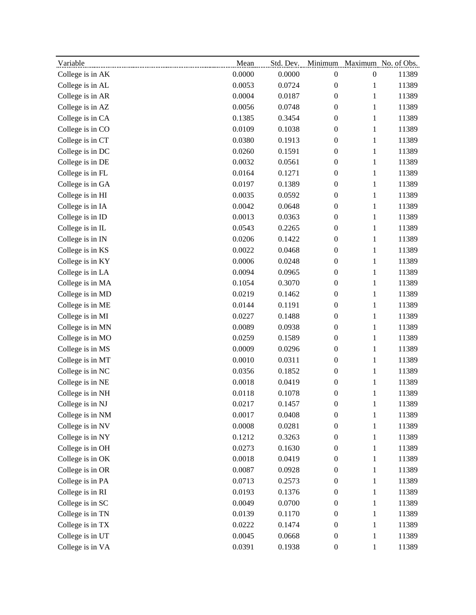| Variable         | Mean   | Std. Dev. |                  | Minimum Maximum No. of Obs. |       |
|------------------|--------|-----------|------------------|-----------------------------|-------|
| College is in AK | 0.0000 | 0.0000    | $\boldsymbol{0}$ | $\boldsymbol{0}$            | 11389 |
| College is in AL | 0.0053 | 0.0724    | $\boldsymbol{0}$ | $\mathbf{1}$                | 11389 |
| College is in AR | 0.0004 | 0.0187    | $\boldsymbol{0}$ | $\mathbf{1}$                | 11389 |
| College is in AZ | 0.0056 | 0.0748    | $\boldsymbol{0}$ | $\,1\,$                     | 11389 |
| College is in CA | 0.1385 | 0.3454    | $\boldsymbol{0}$ | $\mathbf{1}$                | 11389 |
| College is in CO | 0.0109 | 0.1038    | $\boldsymbol{0}$ | $\mathbf{1}$                | 11389 |
| College is in CT | 0.0380 | 0.1913    | $\boldsymbol{0}$ | $\mathbf{1}$                | 11389 |
| College is in DC | 0.0260 | 0.1591    | $\boldsymbol{0}$ | $\mathbf{1}$                | 11389 |
| College is in DE | 0.0032 | 0.0561    | $\boldsymbol{0}$ | $\,1\,$                     | 11389 |
| College is in FL | 0.0164 | 0.1271    | $\boldsymbol{0}$ | $\mathbf{1}$                | 11389 |
| College is in GA | 0.0197 | 0.1389    | $\boldsymbol{0}$ | $\mathbf{1}$                | 11389 |
| College is in HI | 0.0035 | 0.0592    | $\boldsymbol{0}$ | $\,1\,$                     | 11389 |
| College is in IA | 0.0042 | 0.0648    | $\boldsymbol{0}$ | $\mathbf{1}$                | 11389 |
| College is in ID | 0.0013 | 0.0363    | $\boldsymbol{0}$ | $\mathbf{1}$                | 11389 |
| College is in IL | 0.0543 | 0.2265    | $\boldsymbol{0}$ | $\,1\,$                     | 11389 |
| College is in IN | 0.0206 | 0.1422    | $\boldsymbol{0}$ | $\mathbf{1}$                | 11389 |
| College is in KS | 0.0022 | 0.0468    | $\boldsymbol{0}$ | $\mathbf{1}$                | 11389 |
| College is in KY | 0.0006 | 0.0248    | $\boldsymbol{0}$ | $\mathbf{1}$                | 11389 |
| College is in LA | 0.0094 | 0.0965    | $\boldsymbol{0}$ | $\mathbf{1}$                | 11389 |
| College is in MA | 0.1054 | 0.3070    | $\boldsymbol{0}$ | $\,1\,$                     | 11389 |
| College is in MD | 0.0219 | 0.1462    | $\boldsymbol{0}$ | $\mathbf{1}$                | 11389 |
| College is in ME | 0.0144 | 0.1191    | $\boldsymbol{0}$ | $\mathbf{1}$                | 11389 |
| College is in MI | 0.0227 | 0.1488    | $\boldsymbol{0}$ | $\,1\,$                     | 11389 |
| College is in MN | 0.0089 | 0.0938    | $\boldsymbol{0}$ | $\mathbf{1}$                | 11389 |
| College is in MO | 0.0259 | 0.1589    | $\boldsymbol{0}$ | $\mathbf{1}$                | 11389 |
| College is in MS | 0.0009 | 0.0296    | $\boldsymbol{0}$ | $\,1\,$                     | 11389 |
| College is in MT | 0.0010 | 0.0311    | $\boldsymbol{0}$ | $\mathbf{1}$                | 11389 |
| College is in NC | 0.0356 | 0.1852    | $\boldsymbol{0}$ | $\mathbf{1}$                | 11389 |
| College is in NE | 0.0018 | 0.0419    | $\boldsymbol{0}$ | $\,1\,$                     | 11389 |
| College is in NH | 0.0118 | 0.1078    | $\boldsymbol{0}$ | $\mathbf{1}$                | 11389 |
| College is in NJ | 0.0217 | 0.1457    | $\boldsymbol{0}$ | 1                           | 11389 |
| College is in NM | 0.0017 | 0.0408    | $\boldsymbol{0}$ | $\mathbf{1}$                | 11389 |
| College is in NV | 0.0008 | 0.0281    | $\boldsymbol{0}$ | $\mathbf{1}$                | 11389 |
| College is in NY | 0.1212 | 0.3263    | $\boldsymbol{0}$ | $\mathbf{1}$                | 11389 |
| College is in OH | 0.0273 | 0.1630    | $\boldsymbol{0}$ | $\mathbf{1}$                | 11389 |
| College is in OK | 0.0018 | 0.0419    | $\boldsymbol{0}$ | $\mathbf{1}$                | 11389 |
| College is in OR | 0.0087 | 0.0928    | $\boldsymbol{0}$ | $\mathbf{1}$                | 11389 |
| College is in PA | 0.0713 | 0.2573    | $\boldsymbol{0}$ | $\mathbf{1}$                | 11389 |
| College is in RI | 0.0193 | 0.1376    | $\boldsymbol{0}$ | $\mathbf{1}$                | 11389 |
| College is in SC | 0.0049 | 0.0700    | $\boldsymbol{0}$ | $\mathbf{1}$                | 11389 |
| College is in TN | 0.0139 | 0.1170    | $\boldsymbol{0}$ | $\mathbf{1}$                | 11389 |
| College is in TX | 0.0222 | 0.1474    | $\boldsymbol{0}$ | $\mathbf{1}$                | 11389 |
| College is in UT | 0.0045 | 0.0668    | $\boldsymbol{0}$ | $\mathbf{1}$                | 11389 |
| College is in VA | 0.0391 | 0.1938    | $\boldsymbol{0}$ | $\mathbf{1}$                | 11389 |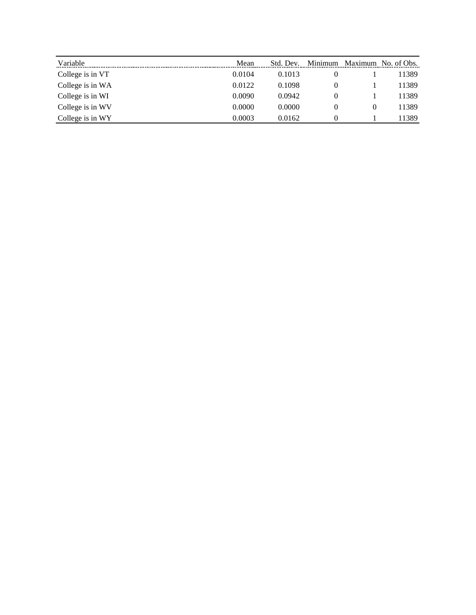| Variable         | Mean   | Std. Dev. | Minimum | Maximum  | No. of Obs. |
|------------------|--------|-----------|---------|----------|-------------|
| College is in VT | 0.0104 | 0.1013    |         |          | 11389       |
| College is in WA | 0.0122 | 0.1098    | 0       |          | 11389       |
| College is in WI | 0.0090 | 0.0942    | O       |          | 11389       |
| College is in WV | 0.0000 | 0.0000    |         | $\theta$ | 11389       |
| College is in WY | 0.0003 | 0.0162    |         |          | 1389        |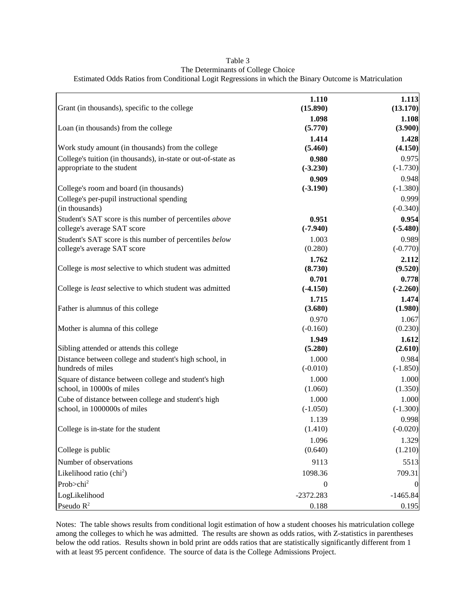| Grant (in thousands), specific to the college                  | 1.110<br>(15.890) | 1.113<br>(13.170)   |
|----------------------------------------------------------------|-------------------|---------------------|
|                                                                | 1.098             | 1.108               |
| Loan (in thousands) from the college                           | (5.770)           | (3.900)             |
|                                                                | 1.414             | 1.428               |
| Work study amount (in thousands) from the college              | (5.460)           | (4.150)             |
| College's tuition (in thousands), in-state or out-of-state as  | 0.980             | 0.975               |
| appropriate to the student                                     | $(-3.230)$        | $(-1.730)$          |
|                                                                | 0.909             | 0.948               |
| College's room and board (in thousands)                        | $(-3.190)$        | $(-1.380)$          |
| College's per-pupil instructional spending<br>(in thousands)   |                   | 0.999<br>$(-0.340)$ |
| Student's SAT score is this number of percentiles above        | 0.951             | 0.954               |
| college's average SAT score                                    | $(-7.940)$        | $(-5.480)$          |
| Student's SAT score is this number of percentiles below        | 1.003             | 0.989               |
| college's average SAT score                                    | (0.280)           | $(-0.770)$          |
|                                                                | 1.762             | 2.112               |
| College is <i>most</i> selective to which student was admitted | (8.730)           | (9.520)             |
|                                                                | 0.701             | 0.778               |
| College is least selective to which student was admitted       | $(-4.150)$        | $(-2.260)$          |
| Father is alumnus of this college                              | 1.715<br>(3.680)  | 1.474<br>(1.980)    |
|                                                                | 0.970             | 1.067               |
| Mother is alumna of this college                               | $(-0.160)$        | (0.230)             |
|                                                                | 1.949             | 1.612               |
| Sibling attended or attends this college                       | (5.280)           | (2.610)             |
| Distance between college and student's high school, in         | 1.000             | 0.984               |
| hundreds of miles                                              | $(-0.010)$        | $(-1.850)$          |
| Square of distance between college and student's high          | 1.000             | 1.000               |
| school, in 10000s of miles                                     | (1.060)           | (1.350)             |
| Cube of distance between college and student's high            | 1.000             | 1.000               |
| school, in 1000000s of miles                                   | $(-1.050)$        | $(-1.300)$          |
|                                                                | 1.139             | 0.998               |
| College is in-state for the student                            | (1.410)           | $(-0.020)$          |
|                                                                | 1.096             | 1.329               |
| College is public                                              | (0.640)           | (1.210)             |
| Number of observations                                         | 9113              | 5513                |
| Likelihood ratio (chi <sup>2</sup> )                           | 1098.36           | 709.31              |
| Prob>chi <sup>2</sup>                                          | $\boldsymbol{0}$  |                     |
| LogLikelihood                                                  | $-2372.283$       | $-1465.84$          |
| Pseudo $R^2$                                                   | 0.188             | 0.195               |

# Table 3 The Determinants of College Choice Estimated Odds Ratios from Conditional Logit Regressions in which the Binary Outcome is Matriculation

Notes: The table shows results from conditional logit estimation of how a student chooses his matriculation college among the colleges to which he was admitted. The results are shown as odds ratios, with Z-statistics in parentheses below the odd ratios. Results shown in bold print are odds ratios that are statistically significantly different from 1 with at least 95 percent confidence. The source of data is the College Admissions Project.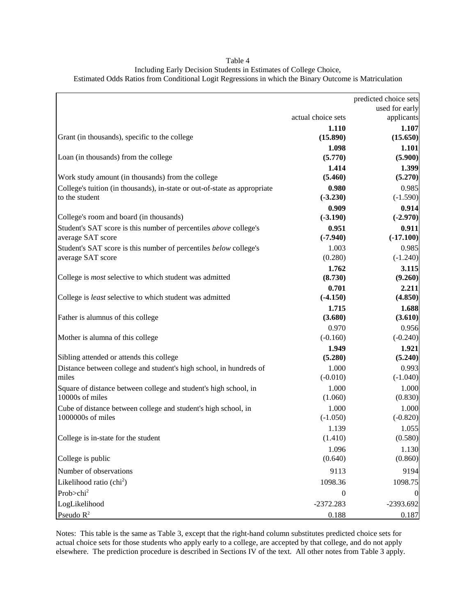| actual choice sets<br>1.110                                                        | used for early<br>applicants<br>1.107<br>(15.650) |
|------------------------------------------------------------------------------------|---------------------------------------------------|
|                                                                                    |                                                   |
|                                                                                    |                                                   |
| Grant (in thousands), specific to the college<br>(15.890)                          |                                                   |
| 1.098                                                                              | 1.101                                             |
| (5.770)<br>Loan (in thousands) from the college                                    | (5.900)                                           |
| 1.414                                                                              | 1.399                                             |
| Work study amount (in thousands) from the college<br>(5.460)                       | (5.270)                                           |
| College's tuition (in thousands), in-state or out-of-state as appropriate<br>0.980 | 0.985                                             |
| to the student<br>$(-3.230)$                                                       | $(-1.590)$                                        |
| 0.909                                                                              | 0.914                                             |
| College's room and board (in thousands)<br>$(-3.190)$                              | $(-2.970)$                                        |
| Student's SAT score is this number of percentiles above college's<br>0.951         | 0.911                                             |
| average SAT score<br>$(-7.940)$                                                    | $(-17.100)$                                       |
| 1.003<br>Student's SAT score is this number of percentiles below college's         | 0.985                                             |
| average SAT score<br>(0.280)                                                       | $(-1.240)$                                        |
| 1.762                                                                              | 3.115                                             |
| College is most selective to which student was admitted<br>(8.730)                 | (9.260)                                           |
| 0.701                                                                              | 2.211                                             |
| $(-4.150)$<br>College is least selective to which student was admitted             | (4.850)                                           |
| 1.715                                                                              | 1.688                                             |
| Father is alumnus of this college<br>(3.680)                                       | (3.610)                                           |
| 0.970                                                                              | 0.956                                             |
| Mother is alumna of this college<br>$(-0.160)$                                     | $(-0.240)$                                        |
| 1.949                                                                              | 1.921                                             |
| Sibling attended or attends this college<br>(5.280)                                | (5.240)                                           |
| 1.000<br>Distance between college and student's high school, in hundreds of        | 0.993                                             |
| miles<br>$(-0.010)$                                                                | $(-1.040)$                                        |
| 1.000<br>Square of distance between college and student's high school, in          | 1.000                                             |
| 10000s of miles<br>(1.060)                                                         | (0.830)                                           |
| Cube of distance between college and student's high school, in<br>1.000            | 1.000                                             |
| 1000000s of miles<br>$(-1.050)$                                                    | $(-0.820)$                                        |
| 1.139                                                                              | 1.055                                             |
| (1.410)<br>College is in-state for the student                                     | (0.580)                                           |
| 1.096                                                                              | 1.130                                             |
| College is public<br>(0.640)                                                       | (0.860)                                           |
| Number of observations<br>9113                                                     | 9194                                              |
| Likelihood ratio (chi <sup>2</sup> )<br>1098.36                                    | 1098.75                                           |
| Prob>chi <sup>2</sup><br>$\boldsymbol{0}$                                          | $\mathbf{0}$                                      |
| LogLikelihood<br>$-2372.283$                                                       | -2393.692                                         |

Table 4 Including Early Decision Students in Estimates of College Choice, Estimated Odds Ratios from Conditional Logit Regressions in which the Binary Outcome is Matriculation

Notes: This table is the same as Table 3, except that the right-hand column substitutes predicted choice sets for actual choice sets for those students who apply early to a college, are accepted by that college, and do not apply elsewhere. The prediction procedure is described in Sections IV of the text. All other notes from Table 3 apply.

Pseudo  $R^2$  0.187 0.188 0.187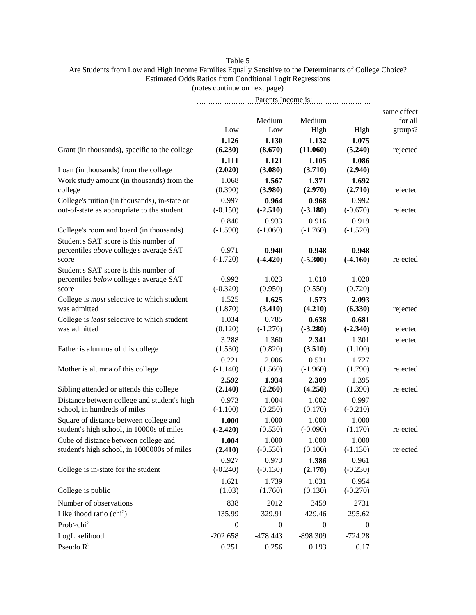# Table 5 Are Students from Low and High Income Families Equally Sensitive to the Determinants of College Choice? Estimated Odds Ratios from Conditional Logit Regressions (notes continue on next page)

|                                                    | Parents Income is: |                  |                  |                  |             |
|----------------------------------------------------|--------------------|------------------|------------------|------------------|-------------|
|                                                    |                    |                  |                  |                  | same effect |
|                                                    |                    | Medium           | Medium           |                  | for all     |
|                                                    | Low                | Low              | High             | High             | groups?     |
|                                                    | 1.126              | 1.130            | 1.132            | 1.075            |             |
| Grant (in thousands), specific to the college      | (6.230)            | (8.670)          | (11.060)         | (5.240)          | rejected    |
|                                                    | 1.111              | 1.121            | 1.105            | 1.086            |             |
| Loan (in thousands) from the college               | (2.020)            | (3.080)          | (3.710)          | (2.940)          |             |
| Work study amount (in thousands) from the          | 1.068              | 1.567            | 1.371            | 1.692            |             |
| college                                            | (0.390)            | (3.980)          | (2.970)          | (2.710)          | rejected    |
| College's tuition (in thousands), in-state or      | 0.997              | 0.964            | 0.968            | 0.992            |             |
| out-of-state as appropriate to the student         | $(-0.150)$         | $(-2.510)$       | $(-3.180)$       | $(-0.670)$       | rejected    |
|                                                    | 0.840              | 0.933            | 0.916            | 0.919            |             |
| College's room and board (in thousands)            | $(-1.590)$         | $(-1.060)$       | $(-1.760)$       | $(-1.520)$       |             |
| Student's SAT score is this number of              |                    |                  |                  |                  |             |
| percentiles above college's average SAT            | 0.971              | 0.940            | 0.948            | 0.948            |             |
| score                                              | $(-1.720)$         | $(-4.420)$       | $(-5.300)$       | $(-4.160)$       | rejected    |
| Student's SAT score is this number of              |                    |                  |                  |                  |             |
| percentiles below college's average SAT            | 0.992              | 1.023            | 1.010            | 1.020            |             |
| score                                              | $(-0.320)$         | (0.950)          | (0.550)          | (0.720)          |             |
| College is <i>most</i> selective to which student  | 1.525              | 1.625            | 1.573            | 2.093            |             |
| was admitted                                       | (1.870)            | (3.410)          | (4.210)          | (6.330)          | rejected    |
| College is <i>least</i> selective to which student | 1.034              | 0.785            | 0.638            | 0.681            |             |
| was admitted                                       | (0.120)            | $(-1.270)$       | $(-3.280)$       | $(-2.340)$       | rejected    |
|                                                    | 3.288              | 1.360            | 2.341            | 1.301            | rejected    |
| Father is alumnus of this college                  | (1.530)            | (0.820)          | (3.510)          | (1.100)          |             |
|                                                    | 0.221              | 2.006            | 0.531            | 1.727            |             |
| Mother is alumna of this college                   | $(-1.140)$         | (1.560)          | $(-1.960)$       | (1.790)          | rejected    |
|                                                    | 2.592              | 1.934            | 2.309            | 1.395            |             |
| Sibling attended or attends this college           | (2.140)            | (2.260)          | (4.250)          | (1.390)          | rejected    |
| Distance between college and student's high        | 0.973              | 1.004            | 1.002            | 0.997            |             |
| school, in hundreds of miles                       | $(-1.100)$         | (0.250)          | (0.170)          | $(-0.210)$       |             |
| Square of distance between college and             | 1.000              | 1.000            | 1.000            | 1.000            |             |
| student's high school, in 10000s of miles          | $(-2.420)$         | (0.530)          | $(-0.090)$       | (1.170)          | rejected    |
| Cube of distance between college and               | 1.004              | 1.000            | 1.000            | 1.000            |             |
| student's high school, in 1000000s of miles        | (2.410)            | $(-0.530)$       | (0.100)          | $(-1.130)$       | rejected    |
|                                                    | 0.927              | 0.973            | 1.386            | 0.961            |             |
| College is in-state for the student                | $(-0.240)$         | $(-0.130)$       | (2.170)          | $(-0.230)$       |             |
|                                                    | 1.621              | 1.739            | 1.031            | 0.954            |             |
| College is public                                  | (1.03)             | (1.760)          | (0.130)          | $(-0.270)$       |             |
| Number of observations                             | 838                | 2012             | 3459             | 2731             |             |
| Likelihood ratio $\text{chi}^2$ )                  | 135.99             | 329.91           | 429.46           | 295.62           |             |
| Prob>chi <sup>2</sup>                              | $\boldsymbol{0}$   | $\boldsymbol{0}$ | $\boldsymbol{0}$ | $\boldsymbol{0}$ |             |
| LogLikelihood                                      | $-202.658$         | $-478.443$       | -898.309         | $-724.28$        |             |
| Pseudo $R^2$                                       | 0.251              | 0.256            | 0.193            | 0.17             |             |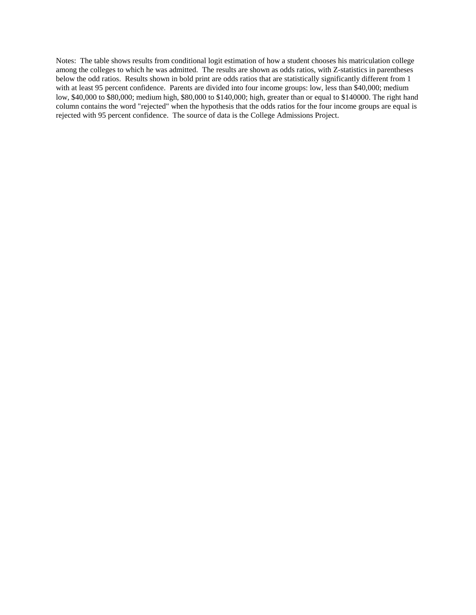Notes: The table shows results from conditional logit estimation of how a student chooses his matriculation college among the colleges to which he was admitted. The results are shown as odds ratios, with Z-statistics in parentheses below the odd ratios. Results shown in bold print are odds ratios that are statistically significantly different from 1 with at least 95 percent confidence. Parents are divided into four income groups: low, less than \$40,000; medium low, \$40,000 to \$80,000; medium high, \$80,000 to \$140,000; high, greater than or equal to \$140000. The right hand column contains the word "rejected" when the hypothesis that the odds ratios for the four income groups are equal is rejected with 95 percent confidence. The source of data is the College Admissions Project.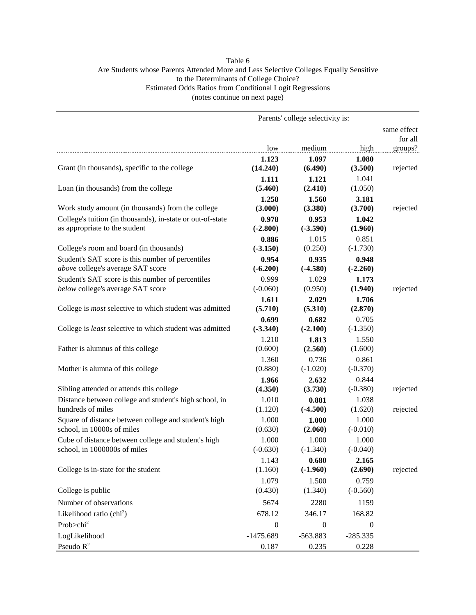# Table 6 Are Students whose Parents Attended More and Less Selective Colleges Equally Sensitive to the Determinants of College Choice? Estimated Odds Ratios from Conditional Logit Regressions (notes continue on next page)

|                                                                                             | Parents' college selectivity is: |                     |                     |             |
|---------------------------------------------------------------------------------------------|----------------------------------|---------------------|---------------------|-------------|
|                                                                                             |                                  |                     |                     | same effect |
|                                                                                             |                                  |                     |                     | for all     |
|                                                                                             | low                              | medium              | high                | groups?     |
|                                                                                             | 1.123                            | 1.097               | 1.080               |             |
| Grant (in thousands), specific to the college                                               | (14.240)                         | (6.490)             | (3.500)             | rejected    |
|                                                                                             | 1.111                            | 1.121               | 1.041               |             |
| Loan (in thousands) from the college                                                        | (5.460)                          | (2.410)             | (1.050)             |             |
| Work study amount (in thousands) from the college                                           | 1.258<br>(3.000)                 | 1.560<br>(3.380)    | 3.181<br>(3.700)    |             |
|                                                                                             |                                  |                     |                     | rejected    |
| College's tuition (in thousands), in-state or out-of-state<br>as appropriate to the student | 0.978<br>$(-2.800)$              | 0.953<br>$(-3.590)$ | 1.042<br>(1.960)    |             |
|                                                                                             | 0.886                            | 1.015               | 0.851               |             |
| College's room and board (in thousands)                                                     | $(-3.150)$                       | (0.250)             | $(-1.730)$          |             |
| Student's SAT score is this number of percentiles                                           | 0.954                            | 0.935               | 0.948               |             |
| above college's average SAT score                                                           | $(-6.200)$                       | $(-4.580)$          | $(-2.260)$          |             |
| Student's SAT score is this number of percentiles                                           | 0.999                            | 1.029               | 1.173               |             |
| below college's average SAT score                                                           | $(-0.060)$                       | (0.950)             | (1.940)             | rejected    |
|                                                                                             | 1.611                            | 2.029               | 1.706               |             |
| College is most selective to which student was admitted                                     | (5.710)                          | (5.310)             | (2.870)             |             |
|                                                                                             | 0.699                            | 0.682               | 0.705               |             |
| College is least selective to which student was admitted                                    | $(-3.340)$                       | $(-2.100)$          | $(-1.350)$          |             |
|                                                                                             | 1.210                            | 1.813               | 1.550               |             |
| Father is alumnus of this college                                                           | (0.600)                          | (2.560)             | (1.600)             |             |
|                                                                                             | 1.360                            | 0.736               | 0.861               |             |
| Mother is alumna of this college                                                            | (0.880)                          | $(-1.020)$          | $(-0.370)$          |             |
|                                                                                             | 1.966                            | 2.632               | 0.844               |             |
| Sibling attended or attends this college                                                    | (4.350)                          | (3.730)             | $(-0.380)$          | rejected    |
| Distance between college and student's high school, in                                      | 1.010                            | 0.881               | 1.038               |             |
| hundreds of miles                                                                           | (1.120)                          | $(-4.500)$          | (1.620)             | rejected    |
| Square of distance between college and student's high                                       | 1.000                            | 1.000               | 1.000               |             |
| school, in 10000s of miles                                                                  | (0.630)                          | (2.060)             | $(-0.010)$          |             |
| Cube of distance between college and student's high<br>school, in 1000000s of miles         | 1.000                            | 1.000               | 1.000               |             |
|                                                                                             | $(-0.630)$                       | $(-1.340)$          | $(-0.040)$          |             |
| College is in-state for the student                                                         | 1.143<br>(1.160)                 | 0.680<br>$(-1.960)$ | 2.165<br>(2.690)    | rejected    |
|                                                                                             |                                  |                     |                     |             |
| College is public                                                                           | 1.079<br>(0.430)                 | 1.500               | 0.759<br>$(-0.560)$ |             |
|                                                                                             |                                  | (1.340)             |                     |             |
| Number of observations                                                                      | 5674                             | 2280                | 1159                |             |
| Likelihood ratio (chi <sup>2</sup> )                                                        | 678.12                           | 346.17              | 168.82              |             |
| Prob>chi <sup>2</sup>                                                                       | $\boldsymbol{0}$                 | $\boldsymbol{0}$    | $\boldsymbol{0}$    |             |
| LogLikelihood                                                                               | $-1475.689$                      | $-563.883$          | $-285.335$          |             |
| Pseudo $R^2$                                                                                | 0.187                            | 0.235               | 0.228               |             |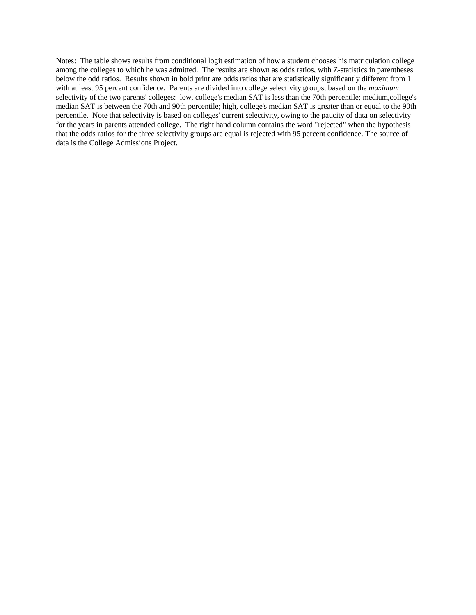Notes: The table shows results from conditional logit estimation of how a student chooses his matriculation college among the colleges to which he was admitted. The results are shown as odds ratios, with Z-statistics in parentheses below the odd ratios. Results shown in bold print are odds ratios that are statistically significantly different from 1 with at least 95 percent confidence. Parents are divided into college selectivity groups, based on the *maximum* selectivity of the two parents' colleges: low, college's median SAT is less than the 70th percentile; medium,college's median SAT is between the 70th and 90th percentile; high, college's median SAT is greater than or equal to the 90th percentile. Note that selectivity is based on colleges' current selectivity, owing to the paucity of data on selectivity for the years in parents attended college. The right hand column contains the word "rejected" when the hypothesis that the odds ratios for the three selectivity groups are equal is rejected with 95 percent confidence. The source of data is the College Admissions Project.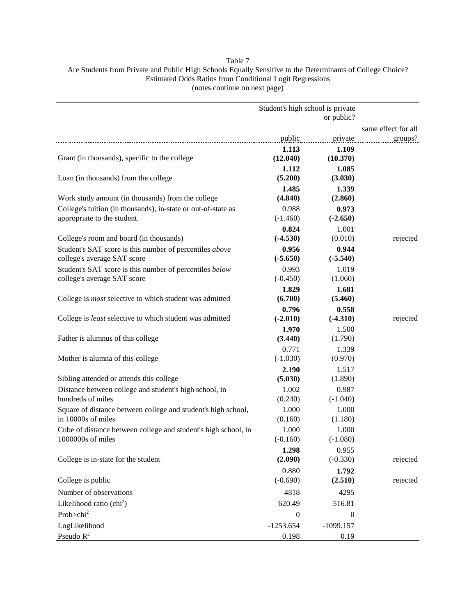# Table 7 Are Students from Private and Public High Schools Equally Sensitive to the Determinants of College Choice? Estimated Odds Ratios from Conditional Logit Regressions (notes continue on next page)

|                                                                                        | Student's high school is private |                     |                     |
|----------------------------------------------------------------------------------------|----------------------------------|---------------------|---------------------|
|                                                                                        |                                  | or public?          |                     |
|                                                                                        |                                  |                     | same effect for all |
|                                                                                        | public                           | private             | groups?             |
|                                                                                        | 1.113                            | 1.109               |                     |
| Grant (in thousands), specific to the college                                          | (12.040)                         | (10.370)            |                     |
|                                                                                        | 1.112                            | 1.085               |                     |
| Loan (in thousands) from the college                                                   | (5.200)                          | (3.030)             |                     |
|                                                                                        | 1.485                            | 1.339               |                     |
| Work study amount (in thousands) from the college                                      | (4.840)                          | (2.860)             |                     |
| College's tuition (in thousands), in-state or out-of-state as                          | 0.988                            | 0.973               |                     |
| appropriate to the student                                                             | $(-1.460)$                       | $(-2.650)$          |                     |
|                                                                                        | 0.824                            | 1.001<br>(0.010)    |                     |
| College's room and board (in thousands)                                                | $(-4.530)$                       |                     | rejected            |
| Student's SAT score is this number of percentiles above<br>college's average SAT score | 0.956<br>$(-5.650)$              | 0.944<br>$(-5.540)$ |                     |
| Student's SAT score is this number of percentiles below                                | 0.993                            | 1.019               |                     |
| college's average SAT score                                                            | $(-0.450)$                       | (1.060)             |                     |
|                                                                                        | 1.829                            | 1.681               |                     |
| College is <i>most</i> selective to which student was admitted                         | (6.700)                          | (5.460)             |                     |
|                                                                                        | 0.796                            | 0.558               |                     |
| College is least selective to which student was admitted                               | $(-2.010)$                       | $(-4.310)$          | rejected            |
|                                                                                        | 1.970                            | 1.500               |                     |
| Father is alumnus of this college                                                      | (3.440)                          | (1.790)             |                     |
|                                                                                        | 0.771                            | 1.339               |                     |
| Mother is alumna of this college                                                       | $(-1.030)$                       | (0.970)             |                     |
|                                                                                        | 2.190                            | 1.517               |                     |
| Sibling attended or attends this college                                               | (5.030)                          | (1.890)             |                     |
| Distance between college and student's high school, in                                 | 1.002                            | 0.987               |                     |
| hundreds of miles                                                                      | (0.240)                          | $(-1.040)$          |                     |
| Square of distance between college and student's high school,                          | 1.000                            | 1.000               |                     |
| in 10000s of miles                                                                     | (0.160)                          | (1.180)             |                     |
| Cube of distance between college and student's high school, in<br>1000000s of miles    | 1.000<br>$(-0.160)$              | 1.000               |                     |
|                                                                                        | 1.298                            | $(-1.080)$<br>0.955 |                     |
| College is in-state for the student                                                    | (2.090)                          | $(-0.330)$          | rejected            |
|                                                                                        | 0.880                            | 1.792               |                     |
| College is public                                                                      | $(-0.690)$                       | (2.510)             | rejected            |
|                                                                                        |                                  | 4295                |                     |
| Number of observations                                                                 | 4818                             |                     |                     |
| Likelihood ratio (chi <sup>2</sup> )                                                   | 620.49                           | 516.81              |                     |
| Prob>chi <sup>2</sup>                                                                  | $\boldsymbol{0}$                 | $\boldsymbol{0}$    |                     |
| LogLikelihood                                                                          | $-1253.654$                      | $-1099.157$         |                     |
| Pseudo $R^2$                                                                           | 0.198                            | 0.19                |                     |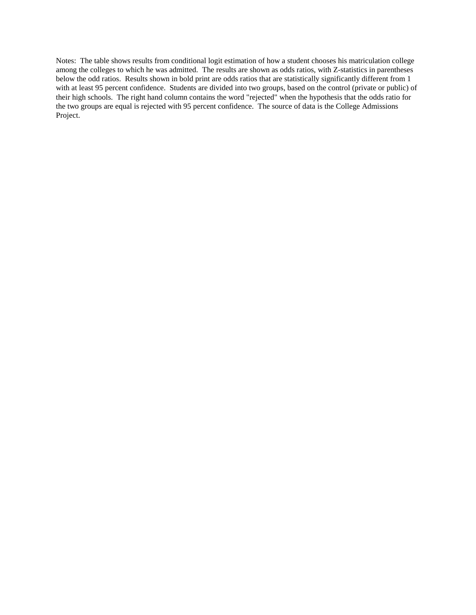Notes: The table shows results from conditional logit estimation of how a student chooses his matriculation college among the colleges to which he was admitted. The results are shown as odds ratios, with Z-statistics in parentheses below the odd ratios. Results shown in bold print are odds ratios that are statistically significantly different from 1 with at least 95 percent confidence. Students are divided into two groups, based on the control (private or public) of their high schools. The right hand column contains the word "rejected" when the hypothesis that the odds ratio for the two groups are equal is rejected with 95 percent confidence. The source of data is the College Admissions Project.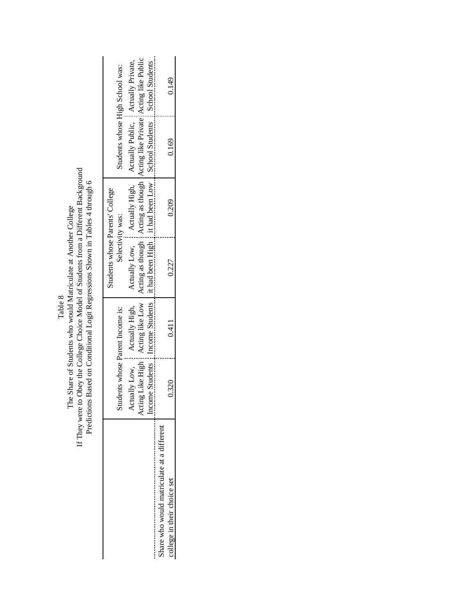|                                            | n Hanna Hanna Hanna Hanna Hanna Hanna Hanna Hanna Hanna Hanna Hanna Hanna Hanna Hanna Hanna Hanna Hanna Hanna H |                                |                                                                                                                                                                        |       |                                      |       |
|--------------------------------------------|-----------------------------------------------------------------------------------------------------------------|--------------------------------|------------------------------------------------------------------------------------------------------------------------------------------------------------------------|-------|--------------------------------------|-------|
|                                            |                                                                                                                 |                                | Students whose Parents' College                                                                                                                                        |       |                                      |       |
|                                            | $\sin$                                                                                                          | idents whose Parent Income is: | Selectivity was:                                                                                                                                                       |       | Students whose High School was:      |       |
|                                            | Actually Low, Actually High,                                                                                    |                                | Actually Low,   Actually High,                                                                                                                                         |       | Actually Public, a Actually Private, |       |
|                                            |                                                                                                                 |                                | Acting Like High : Acting like Low   Acting as though : Acting as though   Acting like Private : Acting like Public                                                    |       |                                      |       |
|                                            |                                                                                                                 |                                | income Students $\frac{1}{2}$ Income Students $\frac{1}{2}$ it had been High $\frac{1}{2}$ it had been Low $\frac{1}{2}$ School Students $\frac{1}{2}$ School Students |       |                                      |       |
| Share who would matriculate at a different |                                                                                                                 |                                |                                                                                                                                                                        |       |                                      |       |
| college in their choice set                | 0.320                                                                                                           | 0.411                          | 0.227                                                                                                                                                                  | 0.209 | 0.169                                | 0.149 |
|                                            |                                                                                                                 |                                |                                                                                                                                                                        |       |                                      |       |

If They were to Obey the College Choice Model of Students from a Different Background<br>Predictions Based on Conditional Logit Regressions Shown in Tables 4 through 6 IfTheyweretoObeytheCollegeChoiceModelofStudentsfromaDifferentBackground Predictions Based on Conditional Logit Regressions Shown in Tables 4 through 6 The Share of Students who would Matriculate at Another College The Share of Students who would Matriculate at Another College Table 8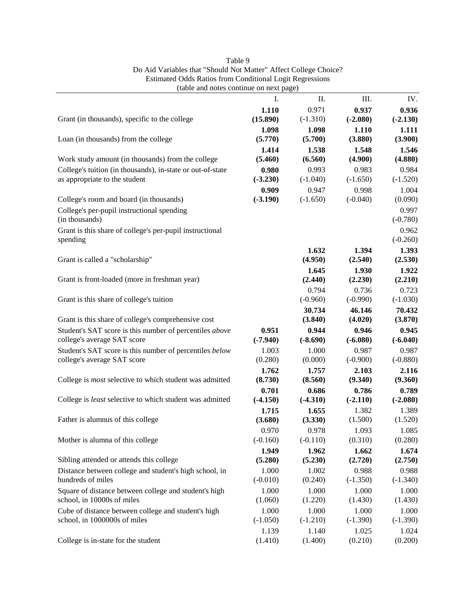| (table and notes continue on next page)                                                     |                     |                     |                     |                     |
|---------------------------------------------------------------------------------------------|---------------------|---------------------|---------------------|---------------------|
|                                                                                             | Ι.                  | Π.                  | III.                | IV.                 |
|                                                                                             | 1.110               | 0.971               | 0.937               | 0.936               |
| Grant (in thousands), specific to the college                                               | (15.890)            | $(-1.310)$          | $(-2.080)$          | $(-2.130)$          |
|                                                                                             | 1.098               | 1.098               | 1.110               | 1.111               |
| Loan (in thousands) from the college                                                        | (5.770)             | (5.700)             | (3.880)             | (3.900)             |
|                                                                                             | 1.414               | 1.538               | 1.548               | 1.546               |
| Work study amount (in thousands) from the college                                           | (5.460)             | (6.560)             | (4.900)             | (4.880)             |
| College's tuition (in thousands), in-state or out-of-state<br>as appropriate to the student | 0.980<br>$(-3.230)$ | 0.993<br>$(-1.040)$ | 0.983<br>$(-1.650)$ | 0.984<br>$(-1.520)$ |
|                                                                                             | 0.909               | 0.947               | 0.998               | 1.004               |
| College's room and board (in thousands)                                                     | $(-3.190)$          | $(-1.650)$          | $(-0.040)$          | (0.090)             |
| College's per-pupil instructional spending                                                  |                     |                     |                     | 0.997               |
| (in thousands)                                                                              |                     |                     |                     | $(-0.780)$          |
| Grant is this share of college's per-pupil instructional                                    |                     |                     |                     | 0.962               |
| spending                                                                                    |                     |                     |                     | $(-0.260)$          |
|                                                                                             |                     | 1.632               | 1.394               | 1.393               |
| Grant is called a "scholarship"                                                             |                     | (4.950)             | (2.540)             | (2.530)             |
| Grant is front-loaded (more in freshman year)                                               |                     | 1.645<br>(2.440)    | 1.930               | 1.922               |
|                                                                                             |                     | 0.794               | (2.230)<br>0.736    | (2.210)<br>0.723    |
| Grant is this share of college's tuition                                                    |                     | $(-0.960)$          | $(-0.990)$          | $(-1.030)$          |
|                                                                                             |                     | 30.734              | 46.146              | 70.432              |
| Grant is this share of college's comprehensive cost                                         |                     | (3.840)             | (4.020)             | (3.870)             |
| Student's SAT score is this number of percentiles above                                     | 0.951               | 0.944               | 0.946               | 0.945               |
| college's average SAT score                                                                 | $(-7.940)$          | $(-8.690)$          | $(-6.080)$          | $(-6.040)$          |
| Student's SAT score is this number of percentiles below                                     | 1.003               | 1.000               | 0.987               | 0.987               |
| college's average SAT score                                                                 | (0.280)             | (0.000)             | $(-0.900)$          | $(-0.880)$          |
|                                                                                             | 1.762               | 1.757               | 2.103               | 2.116               |
| College is <i>most</i> selective to which student was admitted                              | (8.730)             | (8.560)             | (9.340)             | (9.360)             |
|                                                                                             | 0.701               | 0.686               | 0.786               | 0.789               |
| College is least selective to which student was admitted                                    | $(-4.150)$          | $(-4.310)$          | $(-2.110)$<br>1.382 | $(-2.080)$          |
| Father is alumnus of this college                                                           | 1.715<br>(3.680)    | 1.655<br>(3.330)    | (1.500)             | 1.389<br>(1.520)    |
|                                                                                             | 0.970               | 0.978               | 1.093               | 1.085               |
| Mother is alumna of this college                                                            | $(-0.160)$          | $(-0.110)$          | (0.310)             | (0.280)             |
|                                                                                             | 1.949               | 1.962               | 1.662               | 1.674               |
| Sibling attended or attends this college                                                    | (5.280)             | (5.230)             | (2.720)             | (2.750)             |
| Distance between college and student's high school, in                                      | 1.000               | 1.002               | 0.988               | 0.988               |
| hundreds of miles                                                                           | $(-0.010)$          | (0.240)             | $(-1.350)$          | $(-1.340)$          |
| Square of distance between college and student's high                                       | 1.000               | 1.000               | 1.000               | 1.000               |
| school, in 10000s of miles                                                                  | (1.060)             | (1.220)             | (1.430)             | (1.430)             |
| Cube of distance between college and student's high                                         | 1.000               | 1.000               | 1.000               | 1.000               |
| school, in 1000000s of miles                                                                | $(-1.050)$          | $(-1.210)$          | $(-1.390)$          | $(-1.390)$          |
| College is in-state for the student                                                         | 1.139<br>(1.410)    | 1.140<br>(1.400)    | 1.025<br>(0.210)    | 1.024<br>(0.200)    |
|                                                                                             |                     |                     |                     |                     |

| Table 9                                                          |
|------------------------------------------------------------------|
| Do Aid Variables that "Should Not Matter" Affect College Choice? |
| <b>Estimated Odds Ratios from Conditional Logit Regressions</b>  |
| $\sim$ 11. The state of the state of the state $\sim$            |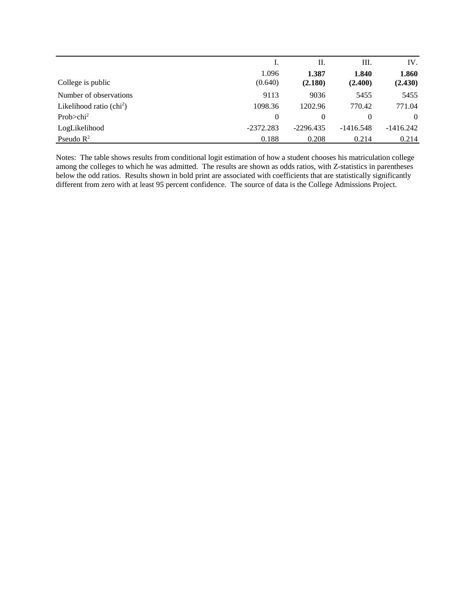|                                   |             | П.          | Ш.          | IV.         |
|-----------------------------------|-------------|-------------|-------------|-------------|
|                                   | 1.096       | 1.387       | 1.840       | 1.860       |
| College is public                 | (0.640)     | (2.180)     | (2.400)     | (2.430)     |
| Number of observations            | 9113        | 9036        | 5455        | 5455        |
| Likelihood ratio $\text{(chi}^2)$ | 1098.36     | 1202.96     | 770.42      | 771.04      |
| Prob $>$ chi <sup>2</sup>         | $\Omega$    | 0           | 0           | $\Omega$    |
| LogLikelihood                     | $-2372.283$ | $-2296.435$ | $-1416.548$ | $-1416.242$ |
| Pseudo $R^2$                      | 0.188       | 0.208       | 0.214       | 0.214       |

Notes: The table shows results from conditional logit estimation of how a student chooses his matriculation college among the colleges to which he was admitted. The results are shown as odds ratios, with Z-statistics in parentheses below the odd ratios. Results shown in bold print are associated with coefficients that are statistically significantly different from zero with at least 95 percent confidence. The source of data is the College Admissions Project.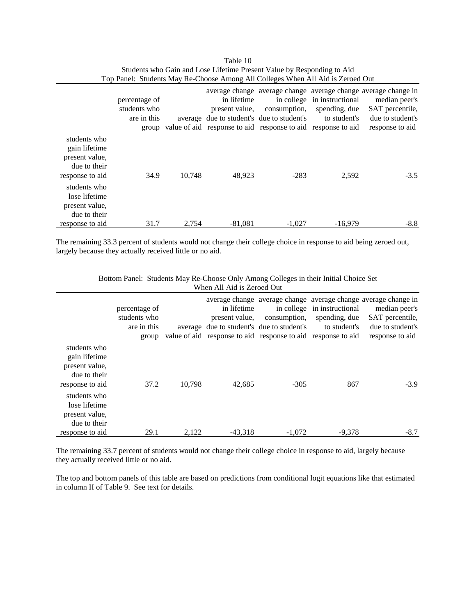|                                                                                    | percentage of<br>students who<br>are in this |        | in lifetime<br>present value.<br>average due to student's due to student's | in college<br>consumption,<br>group value of aid response to aid response to aid response to aid | in instructional<br>spending, due<br>to student's | average change average change average change average change in<br>median peer's<br>SAT percentile,<br>due to student's<br>response to aid |
|------------------------------------------------------------------------------------|----------------------------------------------|--------|----------------------------------------------------------------------------|--------------------------------------------------------------------------------------------------|---------------------------------------------------|-------------------------------------------------------------------------------------------------------------------------------------------|
| students who<br>gain lifetime<br>present value,<br>due to their<br>response to aid | 34.9                                         | 10.748 | 48,923                                                                     | $-283$                                                                                           | 2,592                                             | $-3.5$                                                                                                                                    |
| students who<br>lose lifetime<br>present value,<br>due to their<br>response to aid | 31.7                                         | 2.754  | $-81.081$                                                                  | $-1.027$                                                                                         | $-16.979$                                         | $-8.8$                                                                                                                                    |

| Table 10                                                                        |  |
|---------------------------------------------------------------------------------|--|
| Students who Gain and Lose Lifetime Present Value by Responding to Aid          |  |
| Top Panel: Students May Re-Choose Among All Colleges When All Aid is Zeroed Out |  |

The remaining 33.3 percent of students would not change their college choice in response to aid being zeroed out, largely because they actually received little or no aid.

|                                                                                    | percentage of<br>students who<br>are in this<br>group |        | in lifetime<br>present value, | consumption,<br>average due to student's due to student's<br>value of aid response to aid response to aid response to aid | in college in instructional<br>spending, due<br>to student's | average change average change average change average change in<br>median peer's<br>SAT percentile,<br>due to student's<br>response to aid |
|------------------------------------------------------------------------------------|-------------------------------------------------------|--------|-------------------------------|---------------------------------------------------------------------------------------------------------------------------|--------------------------------------------------------------|-------------------------------------------------------------------------------------------------------------------------------------------|
| students who<br>gain lifetime<br>present value,<br>due to their<br>response to aid | 37.2                                                  | 10.798 | 42.685                        | $-305$                                                                                                                    | 867                                                          | $-3.9$                                                                                                                                    |
| students who<br>lose lifetime<br>present value,<br>due to their<br>response to aid | 29.1                                                  | 2.122  | $-43.318$                     | $-1.072$                                                                                                                  | $-9.378$                                                     | $-8.7$                                                                                                                                    |

Bottom Panel: Students May Re-Choose Only Among Colleges in their Initial Choice Set When All Aid is Zeroed Out

The remaining 33.7 percent of students would not change their college choice in response to aid, largely because they actually received little or no aid.

The top and bottom panels of this table are based on predictions from conditional logit equations like that estimated in column II of Table 9. See text for details.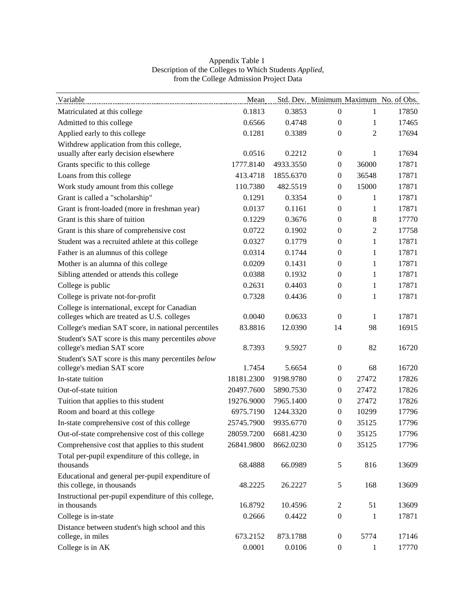| Variable                                                                       | Mean       |           |                  |                | Std. Dev. Minimum Maximum No. of Obs. |
|--------------------------------------------------------------------------------|------------|-----------|------------------|----------------|---------------------------------------|
| Matriculated at this college                                                   | 0.1813     | 0.3853    | $\boldsymbol{0}$ | 1              | 17850                                 |
| Admitted to this college                                                       | 0.6566     | 0.4748    | $\boldsymbol{0}$ | 1              | 17465                                 |
| Applied early to this college                                                  | 0.1281     | 0.3389    | $\mathbf{0}$     | $\overline{2}$ | 17694                                 |
| Withdrew application from this college,                                        |            |           |                  |                |                                       |
| usually after early decision elsewhere                                         | 0.0516     | 0.2212    | $\mathbf{0}$     | 1              | 17694                                 |
| Grants specific to this college                                                | 1777.8140  | 4933.3550 | $\boldsymbol{0}$ | 36000          | 17871                                 |
| Loans from this college                                                        | 413.4718   | 1855.6370 | $\boldsymbol{0}$ | 36548          | 17871                                 |
| Work study amount from this college                                            | 110.7380   | 482.5519  | $\boldsymbol{0}$ | 15000          | 17871                                 |
| Grant is called a "scholarship"                                                | 0.1291     | 0.3354    | $\overline{0}$   | 1              | 17871                                 |
| Grant is front-loaded (more in freshman year)                                  | 0.0137     | 0.1161    | $\boldsymbol{0}$ | 1              | 17871                                 |
| Grant is this share of tuition                                                 | 0.1229     | 0.3676    | $\boldsymbol{0}$ | 8              | 17770                                 |
| Grant is this share of comprehensive cost                                      | 0.0722     | 0.1902    | $\boldsymbol{0}$ | $\mathfrak{2}$ | 17758                                 |
| Student was a recruited athlete at this college                                | 0.0327     | 0.1779    | $\overline{0}$   | $\mathbf{1}$   | 17871                                 |
| Father is an alumnus of this college                                           | 0.0314     | 0.1744    | $\boldsymbol{0}$ | 1              | 17871                                 |
| Mother is an alumna of this college                                            | 0.0209     | 0.1431    | $\boldsymbol{0}$ | $\mathbf{1}$   | 17871                                 |
| Sibling attended or attends this college                                       | 0.0388     | 0.1932    | $\boldsymbol{0}$ | 1              | 17871                                 |
| College is public                                                              | 0.2631     | 0.4403    | $\boldsymbol{0}$ | 1              | 17871                                 |
| College is private not-for-profit                                              | 0.7328     | 0.4436    | $\boldsymbol{0}$ | 1              | 17871                                 |
| College is international, except for Canadian                                  |            |           |                  |                |                                       |
| colleges which are treated as U.S. colleges                                    | 0.0040     | 0.0633    | $\boldsymbol{0}$ | 1              | 17871                                 |
| College's median SAT score, in national percentiles                            | 83.8816    | 12.0390   | 14               | 98             | 16915                                 |
| Student's SAT score is this many percentiles above                             |            |           |                  |                |                                       |
| college's median SAT score                                                     | 8.7393     | 9.5927    | $\boldsymbol{0}$ | 82             | 16720                                 |
| Student's SAT score is this many percentiles below                             |            |           |                  |                |                                       |
| college's median SAT score                                                     | 1.7454     | 5.6654    | $\boldsymbol{0}$ | 68             | 16720                                 |
| In-state tuition                                                               | 18181.2300 | 9198.9780 | $\mathbf{0}$     | 27472          | 17826                                 |
| Out-of-state tuition                                                           | 20497.7600 | 5890.7530 | $\boldsymbol{0}$ | 27472          | 17826                                 |
| Tuition that applies to this student                                           | 19276.9000 | 7965.1400 | $\boldsymbol{0}$ | 27472          | 17826                                 |
| Room and board at this college                                                 | 6975.7190  | 1244.3320 | $\mathbf{0}$     | 10299          | 17796                                 |
| In-state comprehensive cost of this college                                    | 25745.7900 | 9935.6770 | $\overline{0}$   | 35125          | 17796                                 |
| Out-of-state comprehensive cost of this college                                | 28059.7200 | 6681.4230 | $\boldsymbol{0}$ | 35125          | 17796                                 |
| Comprehensive cost that applies to this student                                | 26841.9800 | 8662.0230 | $\boldsymbol{0}$ | 35125          | 17796                                 |
| Total per-pupil expenditure of this college, in<br>thousands                   |            |           |                  |                |                                       |
|                                                                                | 68.4888    | 66.0989   | $\mathfrak s$    | 816            | 13609                                 |
| Educational and general per-pupil expenditure of<br>this college, in thousands | 48.2225    | 26.2227   | 5                | 168            | 13609                                 |
| Instructional per-pupil expenditure of this college,                           |            |           |                  |                |                                       |
| in thousands                                                                   | 16.8792    | 10.4596   | $\overline{c}$   | 51             | 13609                                 |
| College is in-state                                                            | 0.2666     | 0.4422    | $\boldsymbol{0}$ | 1              | 17871                                 |
| Distance between student's high school and this                                |            |           |                  |                |                                       |
| college, in miles                                                              | 673.2152   | 873.1788  | $\boldsymbol{0}$ | 5774           | 17146                                 |
| College is in AK                                                               | 0.0001     | 0.0106    | $\boldsymbol{0}$ | 1              | 17770                                 |

## Appendix Table 1 Description of the Colleges to Which Students *Applied*, from the College Admission Project Data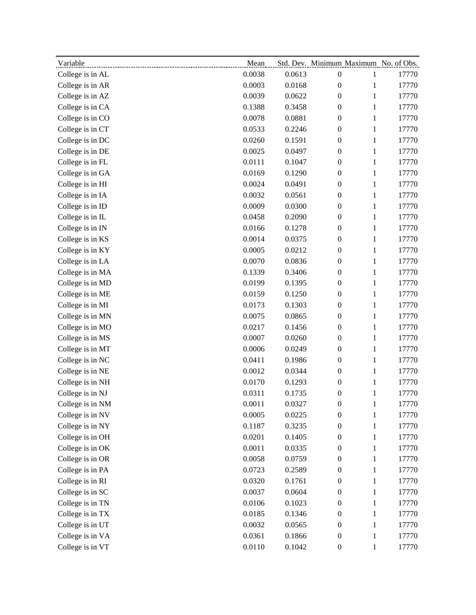| Variable         | ${\bf Mean}$ |        |                  |              | Std. Dev. Minimum Maximum No. of Obs. |
|------------------|--------------|--------|------------------|--------------|---------------------------------------|
| College is in AL | 0.0038       | 0.0613 | $\boldsymbol{0}$ | $\mathbf{1}$ | 17770                                 |
| College is in AR | 0.0003       | 0.0168 | $\boldsymbol{0}$ | $\mathbf{1}$ | 17770                                 |
| College is in AZ | 0.0039       | 0.0622 | 0                | $\mathbf{1}$ | 17770                                 |
| College is in CA | 0.1388       | 0.3458 | $\boldsymbol{0}$ | $\mathbf{1}$ | 17770                                 |
| College is in CO | 0.0078       | 0.0881 | $\boldsymbol{0}$ | 1            | 17770                                 |
| College is in CT | 0.0533       | 0.2246 | $\boldsymbol{0}$ | $\mathbf{1}$ | 17770                                 |
| College is in DC | 0.0260       | 0.1591 | $\boldsymbol{0}$ | $\mathbf 1$  | 17770                                 |
| College is in DE | 0.0025       | 0.0497 | $\boldsymbol{0}$ | $\mathbf{1}$ | 17770                                 |
| College is in FL | 0.0111       | 0.1047 | $\boldsymbol{0}$ | $\,1\,$      | 17770                                 |
| College is in GA | 0.0169       | 0.1290 | $\boldsymbol{0}$ | $\mathbf{1}$ | 17770                                 |
| College is in HI | 0.0024       | 0.0491 | $\boldsymbol{0}$ | $\mathbf{1}$ | 17770                                 |
| College is in IA | 0.0032       | 0.0561 | $\boldsymbol{0}$ | $\mathbf{1}$ | 17770                                 |
| College is in ID | 0.0009       | 0.0300 | $\boldsymbol{0}$ | $\mathbf{1}$ | 17770                                 |
| College is in IL | 0.0458       | 0.2090 | $\boldsymbol{0}$ | $\mathbf{1}$ | 17770                                 |
| College is in IN | 0.0166       | 0.1278 | $\boldsymbol{0}$ | $\,1\,$      | 17770                                 |
| College is in KS | 0.0014       | 0.0375 | $\boldsymbol{0}$ | $\mathbf{1}$ | 17770                                 |
| College is in KY | 0.0005       | 0.0212 | 0                | $\mathbf{1}$ | 17770                                 |
| College is in LA | 0.0070       | 0.0836 | $\boldsymbol{0}$ | $\mathbf 1$  | 17770                                 |
| College is in MA | 0.1339       | 0.3406 | $\boldsymbol{0}$ | $\mathbf{1}$ | 17770                                 |
| College is in MD | 0.0199       | 0.1395 | $\boldsymbol{0}$ | $\mathbf{1}$ | 17770                                 |
| College is in ME | 0.0159       | 0.1250 | $\boldsymbol{0}$ | $\mathbf{1}$ | 17770                                 |
| College is in MI | 0.0173       | 0.1303 | $\boldsymbol{0}$ | $\mathbf{1}$ | 17770                                 |
| College is in MN | 0.0075       | 0.0865 | $\boldsymbol{0}$ | $\mathbf{1}$ | 17770                                 |
| College is in MO | 0.0217       | 0.1456 | 0                | $\mathbf{1}$ | 17770                                 |
| College is in MS | 0.0007       | 0.0260 | $\boldsymbol{0}$ | $\mathbf{1}$ | 17770                                 |
| College is in MT | 0.0006       | 0.0249 | $\boldsymbol{0}$ | $\,1\,$      | 17770                                 |
| College is in NC | 0.0411       | 0.1986 | $\boldsymbol{0}$ | 1            | 17770                                 |
| College is in NE | 0.0012       | 0.0344 | $\boldsymbol{0}$ | $\mathbf{1}$ | 17770                                 |
| College is in NH | 0.0170       | 0.1293 | $\boldsymbol{0}$ | $\mathbf{1}$ | 17770                                 |
| College is in NJ | 0.0311       | 0.1735 | $\boldsymbol{0}$ | $\mathbf{1}$ | 17770                                 |
| College is in NM | 0.0011       | 0.0327 | $\boldsymbol{0}$ | 1            | 17770                                 |
| College is in NV | 0.0005       | 0.0225 | $\boldsymbol{0}$ | $\mathbf{1}$ | 17770                                 |
| College is in NY | 0.1187       | 0.3235 | $\boldsymbol{0}$ | $\mathbf{1}$ | 17770                                 |
| College is in OH | 0.0201       | 0.1405 | $\boldsymbol{0}$ | $\mathbf{1}$ | 17770                                 |
| College is in OK | 0.0011       | 0.0335 | 0                | $\mathbf{1}$ | 17770                                 |
| College is in OR | 0.0058       | 0.0759 | $\boldsymbol{0}$ | $\mathbf{1}$ | 17770                                 |
| College is in PA | 0.0723       | 0.2589 | $\boldsymbol{0}$ | $\mathbf{1}$ | 17770                                 |
| College is in RI | 0.0320       | 0.1761 | $\boldsymbol{0}$ | $\mathbf{1}$ | 17770                                 |
| College is in SC | 0.0037       | 0.0604 | $\boldsymbol{0}$ | $\mathbf{1}$ | 17770                                 |
| College is in TN | 0.0106       | 0.1023 | $\boldsymbol{0}$ | $\mathbf{1}$ | 17770                                 |
| College is in TX | 0.0185       | 0.1346 | $\boldsymbol{0}$ | $\mathbf{1}$ | 17770                                 |
| College is in UT | 0.0032       | 0.0565 | $\boldsymbol{0}$ | $\mathbf{1}$ | 17770                                 |
| College is in VA | 0.0361       | 0.1866 | $\boldsymbol{0}$ | $\mathbf{1}$ | 17770                                 |
| College is in VT | 0.0110       | 0.1042 | $\boldsymbol{0}$ | $\mathbf{1}$ | 17770                                 |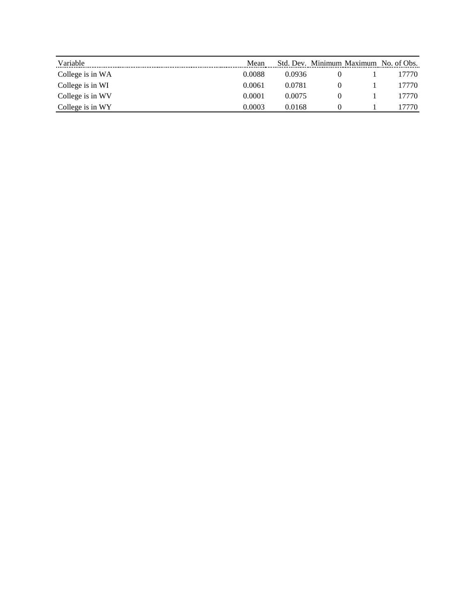| Variable         | Mean   |        | Std. Dev. Minimum Maximum No. of Obs. |        |
|------------------|--------|--------|---------------------------------------|--------|
| College is in WA | 0.0088 | 0.0936 |                                       | 17770. |
| College is in WI | 0.0061 | 0.0781 |                                       | 17770. |
| College is in WV | 0.0001 | 0.0075 |                                       | 17770. |
| College is in WY | 0.0003 | 0.0168 |                                       | 770    |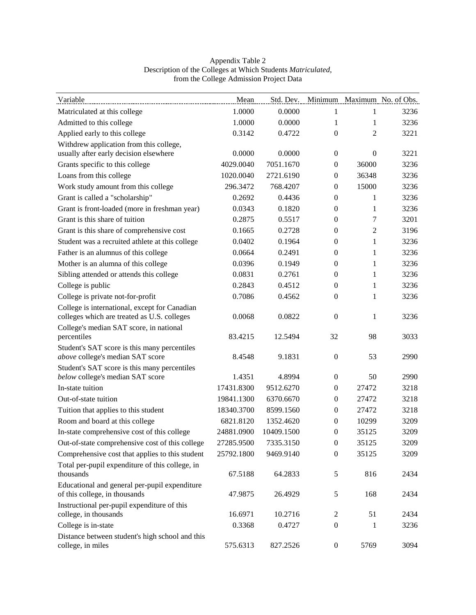| Variable                                                                                     | Mean       |            |                  |                  | Std. Dev. Minimum Maximum No. of Obs. |
|----------------------------------------------------------------------------------------------|------------|------------|------------------|------------------|---------------------------------------|
| Matriculated at this college                                                                 | 1.0000     | 0.0000     | 1                | 1                | 3236                                  |
| Admitted to this college                                                                     | 1.0000     | 0.0000     | 1                | 1                | 3236                                  |
| Applied early to this college                                                                | 0.3142     | 0.4722     | $\mathbf{0}$     | 2                | 3221                                  |
| Withdrew application from this college,                                                      |            |            |                  |                  |                                       |
| usually after early decision elsewhere                                                       | 0.0000     | 0.0000     | $\mathbf{0}$     | $\boldsymbol{0}$ | 3221                                  |
| Grants specific to this college                                                              | 4029.0040  | 7051.1670  | $\overline{0}$   | 36000            | 3236                                  |
| Loans from this college                                                                      | 1020.0040  | 2721.6190  | $\mathbf{0}$     | 36348            | 3236                                  |
| Work study amount from this college                                                          | 296.3472   | 768.4207   | $\overline{0}$   | 15000            | 3236                                  |
| Grant is called a "scholarship"                                                              | 0.2692     | 0.4436     | $\mathbf{0}$     | 1                | 3236                                  |
| Grant is front-loaded (more in freshman year)                                                | 0.0343     | 0.1820     | $\overline{0}$   | 1                | 3236                                  |
| Grant is this share of tuition                                                               | 0.2875     | 0.5517     | $\overline{0}$   | 7                | 3201                                  |
| Grant is this share of comprehensive cost                                                    | 0.1665     | 0.2728     | $\mathbf{0}$     | 2                | 3196                                  |
| Student was a recruited athlete at this college                                              | 0.0402     | 0.1964     | $\Omega$         | 1                | 3236                                  |
| Father is an alumnus of this college                                                         | 0.0664     | 0.2491     | $\overline{0}$   | 1                | 3236                                  |
| Mother is an alumna of this college                                                          | 0.0396     | 0.1949     | $\mathbf{0}$     | 1                | 3236                                  |
| Sibling attended or attends this college                                                     | 0.0831     | 0.2761     | $\mathbf{0}$     | 1                | 3236                                  |
| College is public                                                                            | 0.2843     | 0.4512     | $\overline{0}$   | $\mathbf{1}$     | 3236                                  |
| College is private not-for-profit                                                            | 0.7086     | 0.4562     | $\mathbf{0}$     | 1                | 3236                                  |
| College is international, except for Canadian<br>colleges which are treated as U.S. colleges | 0.0068     | 0.0822     | $\mathbf{0}$     | $\mathbf{1}$     | 3236                                  |
| College's median SAT score, in national                                                      |            |            |                  |                  |                                       |
| percentiles                                                                                  | 83.4215    | 12.5494    | 32               | 98               | 3033                                  |
| Student's SAT score is this many percentiles                                                 | 8.4548     | 9.1831     | $\overline{0}$   | 53               | 2990                                  |
| above college's median SAT score<br>Student's SAT score is this many percentiles             |            |            |                  |                  |                                       |
| below college's median SAT score                                                             | 1.4351     | 4.8994     | $\overline{0}$   | 50               | 2990                                  |
| In-state tuition                                                                             | 17431.8300 | 9512.6270  | $\boldsymbol{0}$ | 27472            | 3218                                  |
| Out-of-state tuition                                                                         | 19841.1300 | 6370.6670  | $\overline{0}$   | 27472            | 3218                                  |
| Tuition that applies to this student                                                         | 18340.3700 | 8599.1560  | $\overline{0}$   | 27472            | 3218                                  |
| Room and board at this college                                                               | 6821.8120  | 1352.4620  | $\boldsymbol{0}$ | 10299            | 3209                                  |
| In-state comprehensive cost of this college                                                  | 24881.0900 | 10409.1500 | $\mathbf{0}$     | 35125            | 3209                                  |
| Out-of-state comprehensive cost of this college                                              | 27285.9500 | 7335.3150  | $\boldsymbol{0}$ | 35125            | 3209                                  |
| Comprehensive cost that applies to this student                                              | 25792.1800 | 9469.9140  | $\boldsymbol{0}$ | 35125            | 3209                                  |
| Total per-pupil expenditure of this college, in                                              |            |            |                  |                  |                                       |
| thousands                                                                                    | 67.5188    | 64.2833    | $\sqrt{5}$       | 816              | 2434                                  |
| Educational and general per-pupil expenditure<br>of this college, in thousands               | 47.9875    | 26.4929    | $\sqrt{5}$       | 168              | 2434                                  |
| Instructional per-pupil expenditure of this                                                  |            |            |                  |                  |                                       |
| college, in thousands                                                                        | 16.6971    | 10.2716    | $\overline{c}$   | 51               | 2434                                  |
| College is in-state                                                                          | 0.3368     | 0.4727     | $\boldsymbol{0}$ | 1                | 3236                                  |
| Distance between student's high school and this<br>college, in miles                         | 575.6313   | 827.2526   | $\boldsymbol{0}$ | 5769             | 3094                                  |

# Appendix Table 2 Description of the Colleges at Which Students Matriculated, from the College Admission Project Data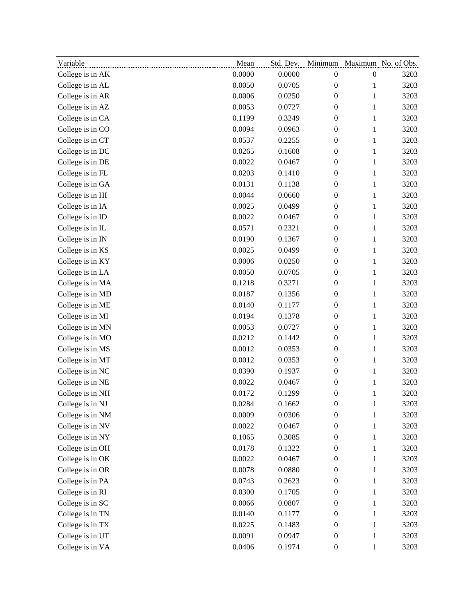| Variable         | Mean   | Std. Dev. |                  |                  | Minimum Maximum No. of Obs. |
|------------------|--------|-----------|------------------|------------------|-----------------------------|
| College is in AK | 0.0000 | 0.0000    | $\boldsymbol{0}$ | $\boldsymbol{0}$ | 3203                        |
| College is in AL | 0.0050 | 0.0705    | $\boldsymbol{0}$ | 1                | 3203                        |
| College is in AR | 0.0006 | 0.0250    | $\boldsymbol{0}$ | $\mathbf{1}$     | 3203                        |
| College is in AZ | 0.0053 | 0.0727    | $\boldsymbol{0}$ | $\mathbf{1}$     | 3203                        |
| College is in CA | 0.1199 | 0.3249    | $\boldsymbol{0}$ | 1                | 3203                        |
| College is in CO | 0.0094 | 0.0963    | $\boldsymbol{0}$ | $\mathbf{1}$     | 3203                        |
| College is in CT | 0.0537 | 0.2255    | $\boldsymbol{0}$ | $\mathbf{1}$     | 3203                        |
| College is in DC | 0.0265 | 0.1608    | $\boldsymbol{0}$ | $\mathbf{1}$     | 3203                        |
| College is in DE | 0.0022 | 0.0467    | $\boldsymbol{0}$ | $\mathbf{1}$     | 3203                        |
| College is in FL | 0.0203 | 0.1410    | $\boldsymbol{0}$ | 1                | 3203                        |
| College is in GA | 0.0131 | 0.1138    | $\boldsymbol{0}$ | $\mathbf{1}$     | 3203                        |
| College is in HI | 0.0044 | 0.0660    | $\boldsymbol{0}$ | $\mathbf{1}$     | 3203                        |
| College is in IA | 0.0025 | 0.0499    | $\boldsymbol{0}$ | $\mathbf{1}$     | 3203                        |
| College is in ID | 0.0022 | 0.0467    | $\boldsymbol{0}$ | $\mathbf{1}$     | 3203                        |
| College is in IL | 0.0571 | 0.2321    | $\boldsymbol{0}$ | $\mathbf{1}$     | 3203                        |
| College is in IN | 0.0190 | 0.1367    | $\boldsymbol{0}$ | 1                | 3203                        |
| College is in KS | 0.0025 | 0.0499    | $\boldsymbol{0}$ | $\mathbf{1}$     | 3203                        |
| College is in KY | 0.0006 | 0.0250    | $\boldsymbol{0}$ | $\mathbf{1}$     | 3203                        |
| College is in LA | 0.0050 | 0.0705    | $\boldsymbol{0}$ | 1                | 3203                        |
| College is in MA | 0.1218 | 0.3271    | $\boldsymbol{0}$ | $\mathbf{1}$     | 3203                        |
| College is in MD | 0.0187 | 0.1356    | $\boldsymbol{0}$ | 1                | 3203                        |
| College is in ME | 0.0140 | 0.1177    | $\boldsymbol{0}$ | $\mathbf{1}$     | 3203                        |
| College is in MI | 0.0194 | 0.1378    | $\boldsymbol{0}$ | $\mathbf{1}$     | 3203                        |
| College is in MN | 0.0053 | 0.0727    | $\boldsymbol{0}$ | $\mathbf{1}$     | 3203                        |
| College is in MO | 0.0212 | 0.1442    | $\boldsymbol{0}$ | $\mathbf{1}$     | 3203                        |
| College is in MS | 0.0012 | 0.0353    | $\boldsymbol{0}$ | $\mathbf{1}$     | 3203                        |
| College is in MT | 0.0012 | 0.0353    | $\boldsymbol{0}$ | 1                | 3203                        |
| College is in NC | 0.0390 | 0.1937    | $\boldsymbol{0}$ | 1                | 3203                        |
| College is in NE | 0.0022 | 0.0467    | $\boldsymbol{0}$ | $\mathbf{1}$     | 3203                        |
| College is in NH | 0.0172 | 0.1299    | $\boldsymbol{0}$ | 1                | 3203                        |
| College is in NJ | 0.0284 | 0.1662    | $\boldsymbol{0}$ | 1                | 3203                        |
| College is in NM | 0.0009 | 0.0306    | $\boldsymbol{0}$ | $\mathbf{1}$     | 3203                        |
| College is in NV | 0.0022 | 0.0467    | $\boldsymbol{0}$ | $\mathbf{1}$     | 3203                        |
| College is in NY | 0.1065 | 0.3085    | $\boldsymbol{0}$ | 1                | 3203                        |
| College is in OH | 0.0178 | 0.1322    | $\boldsymbol{0}$ | $\mathbf{1}$     | 3203                        |
| College is in OK | 0.0022 | 0.0467    | $\boldsymbol{0}$ | 1                | 3203                        |
| College is in OR | 0.0078 | 0.0880    | $\boldsymbol{0}$ | $\mathbf{1}$     | 3203                        |
| College is in PA | 0.0743 | 0.2623    | $\boldsymbol{0}$ | $\mathbf{1}$     | 3203                        |
| College is in RI | 0.0300 | 0.1705    | $\boldsymbol{0}$ | $\mathbf{1}$     | 3203                        |
| College is in SC | 0.0066 | 0.0807    | $\boldsymbol{0}$ | $\mathbf{1}$     | 3203                        |
| College is in TN | 0.0140 | 0.1177    | $\boldsymbol{0}$ | 1                | 3203                        |
| College is in TX | 0.0225 | 0.1483    | $\boldsymbol{0}$ | 1                | 3203                        |
| College is in UT | 0.0091 | 0.0947    | $\boldsymbol{0}$ | $\mathbf{1}$     | 3203                        |
| College is in VA | 0.0406 | 0.1974    | $\boldsymbol{0}$ | $\mathbf{1}$     | 3203                        |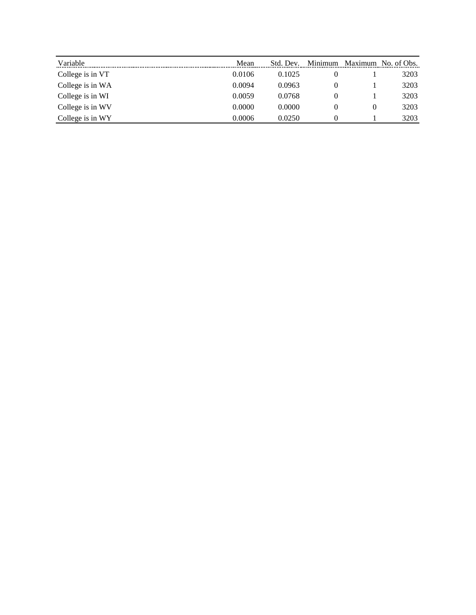| Variable         | Mean   | Std. Dev. | Minimum | Maximum  | No. of Obs. |
|------------------|--------|-----------|---------|----------|-------------|
| College is in VT | 0.0106 | 0.1025    |         |          | 3203        |
| College is in WA | 0.0094 | 0.0963    | 0       |          | 3203        |
| College is in WI | 0.0059 | 0.0768    | 0       |          | 3203        |
| College is in WV | 0.0000 | 0.0000    | 0       | $\theta$ | 3203        |
| College is in WY | 0.0006 | 0.0250    |         |          | 3203        |